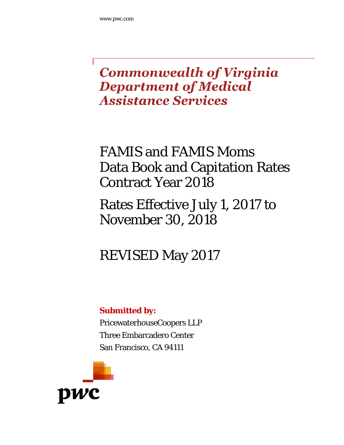# **Commonwealth of Virginia Department of Medical Assistance Services**

# FAMIS and FAMIS Moms Data Book and Capitation Rates Contract Year 2018

# Rates Effective July 1, 2017 to November 30, 2018

# REVISED May 2017

# **Submitted by:**

PricewaterhouseCoopers LLP Three Embarcadero Center San Francisco, CA 94111

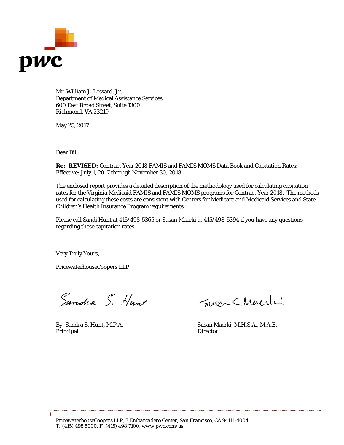

Mr. William J. Lessard, Jr. Department of Medical Assistance Services 600 East Broad Street, Suite 1300 Richmond, VA 23219

May 25, 2017

Dear Bill:

**Re: REVISED:** Contract Year 2018 FAMIS and FAMIS MOMS Data Book and Capitation Rates: Effective: July 1, 2017 through November 30, 2018

The enclosed report provides a detailed description of the methodology used for calculating capitation rates for the Virginia Medicaid FAMIS and FAMIS MOMS programs for Contract Year 2018. The methods used for calculating these costs are consistent with Centers for Medicare and Medicaid Services and State Children's Health Insurance Program requirements.

Please call Sandi Hunt at 415/498-5365 or Susan Maerki at 415/498-5394 if you have any questions regarding these capitation rates.

Very Truly Yours,

PricewaterhouseCoopers LLP

Sandra S. Hunt

Principal Director

Susan Charli \_\_\_\_\_\_\_\_\_\_\_\_\_\_\_\_\_\_\_\_\_\_\_\_\_\_ \_\_\_\_\_\_\_\_\_\_\_\_\_\_\_\_\_\_\_\_\_\_\_\_\_\_

By: Sandra S. Hunt, M.P.A. Susan Maerki, M.H.S.A., M.A.E.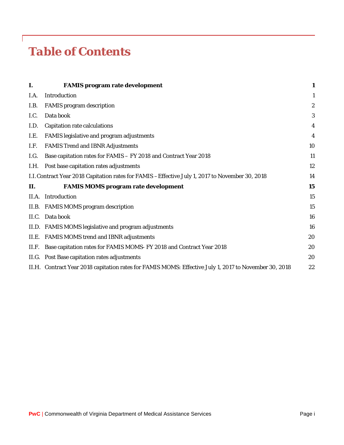# *Table of Contents*

| I.   | <b>FAMIS program rate development</b>                                                                 | $\mathbf{1}$     |
|------|-------------------------------------------------------------------------------------------------------|------------------|
| I.A. | Introduction                                                                                          | $\mathbf{1}$     |
| I.B. | <b>FAMIS</b> program description                                                                      | $\boldsymbol{2}$ |
| I.C. | Data book                                                                                             | 3                |
| I.D. | <b>Capitation rate calculations</b>                                                                   | $\boldsymbol{4}$ |
| I.E. | FAMIS legislative and program adjustments                                                             | 4                |
| I.F. | <b>FAMIS Trend and IBNR Adjustments</b>                                                               | 10               |
| I.G. | Base capitation rates for FAMIS - FY 2018 and Contract Year 2018                                      | 11               |
|      | I.H. Post base capitation rates adjustments                                                           | 12               |
|      | I.I. Contract Year 2018 Capitation rates for FAMIS - Effective July 1, 2017 to November 30, 2018      | 14               |
| П.   | <b>FAMIS MOMS program rate development</b>                                                            | 15               |
|      | II.A. Introduction                                                                                    | 15               |
|      | II.B. FAMIS MOMS program description                                                                  | 15               |
|      | II.C. Data book                                                                                       | 16               |
|      | II.D. FAMIS MOMS legislative and program adjustments                                                  | 16               |
|      | II.E. FAMIS MOMS trend and IBNR adjustments                                                           | 20               |
|      | II.F. Base capitation rates for FAMIS MOMS-FY 2018 and Contract Year 2018                             | 20               |
|      | II.G. Post Base capitation rates adjustments                                                          | 20               |
|      | II.H. Contract Year 2018 capitation rates for FAMIS MOMS: Effective July 1, 2017 to November 30, 2018 | 22               |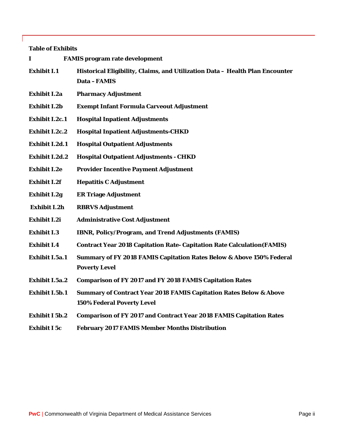#### **Table of Exhibits**

| I                     | <b>FAMIS</b> program rate development                                                                       |
|-----------------------|-------------------------------------------------------------------------------------------------------------|
| <b>Exhibit I.1</b>    | Historical Eligibility, Claims, and Utilization Data - Health Plan Encounter<br>Data-FAMIS                  |
| Exhibit I.2a          | <b>Pharmacy Adjustment</b>                                                                                  |
| <b>Exhibit I.2b</b>   | <b>Exempt Infant Formula Carveout Adjustment</b>                                                            |
| <b>Exhibit I.2c.1</b> | <b>Hospital Inpatient Adjustments</b>                                                                       |
| <b>Exhibit I.2c.2</b> | <b>Hospital Inpatient Adjustments-CHKD</b>                                                                  |
| <b>Exhibit I.2d.1</b> | <b>Hospital Outpatient Adjustments</b>                                                                      |
| <b>Exhibit I.2d.2</b> | <b>Hospital Outpatient Adjustments - CHKD</b>                                                               |
| <b>Exhibit I.2e</b>   | <b>Provider Incentive Payment Adjustment</b>                                                                |
| <b>Exhibit I.2f</b>   | <b>Hepatitis C Adjustment</b>                                                                               |
| <b>Exhibit I.2g</b>   | <b>ER Triage Adjustment</b>                                                                                 |
| Exhibit I.2h          | <b>RBRVS Adjustment</b>                                                                                     |
| <b>Exhibit I.2i</b>   | <b>Administrative Cost Adjustment</b>                                                                       |
| <b>Exhibit I.3</b>    | <b>IBNR, Policy/Program, and Trend Adjustments (FAMIS)</b>                                                  |
| <b>Exhibit I.4</b>    | <b>Contract Year 2018 Capitation Rate- Capitation Rate Calculation (FAMIS)</b>                              |
| Exhibit I.5a.1        | <b>Summary of FY 2018 FAMIS Capitation Rates Below &amp; Above 150% Federal</b><br><b>Poverty Level</b>     |
| <b>Exhibit I.5a.2</b> | <b>Comparison of FY 2017 and FY 2018 FAMIS Capitation Rates</b>                                             |
| Exhibit I.5b.1        | <b>Summary of Contract Year 2018 FAMIS Capitation Rates Below &amp; Above</b><br>150% Federal Poverty Level |
| <b>Exhibit I 5b.2</b> | <b>Comparison of FY 2017 and Contract Year 2018 FAMIS Capitation Rates</b>                                  |
| <b>Exhibit I 5c</b>   | <b>February 2017 FAMIS Member Months Distribution</b>                                                       |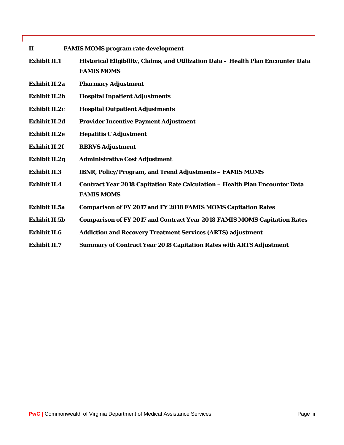- **II FAMIS MOMS program rate development**
- **Exhibit II.1 Historical Eligibility, Claims, and Utilization Data – Health Plan Encounter Data FAMIS MOMS**
- **Exhibit II.2a Pharmacy Adjustment**
- **Exhibit II.2b Hospital Inpatient Adjustments**
- **Exhibit II.2c Hospital Outpatient Adjustments**
- **Exhibit II.2d Provider Incentive Payment Adjustment**
- **Exhibit II.2e Hepatitis C Adjustment**
- **Exhibit II.2f RBRVS Adjustment**
- **Exhibit II.2g Administrative Cost Adjustment**
- **Exhibit II.3 IBNR, Policy/Program, and Trend Adjustments – FAMIS MOMS**
- **Exhibit II.4 Contract Year 2018 Capitation Rate Calculation – Health Plan Encounter Data FAMIS MOMS**
- **Exhibit II.5a Comparison of FY 2017 and FY 2018 FAMIS MOMS Capitation Rates**
- **Exhibit II.5b Comparison of FY 2017 and Contract Year 2018 FAMIS MOMS Capitation Rates**
- **Exhibit II.6 Addiction and Recovery Treatment Services (ARTS) adjustment**
- **Exhibit II.7 Summary of Contract Year 2018 Capitation Rates with ARTS Adjustment**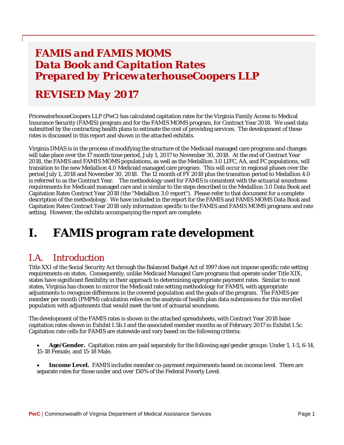# *FAMIS and FAMIS MOMS Data Book and Capitation Rates Prepared by PricewaterhouseCoopers LLP*

# *REVISED May 2017*

PricewaterhouseCoopers LLP (PwC) has calculated capitation rates for the Virginia Family Access to Medical Insurance Security (FAMIS) program and for the FAMIS MOMS program, for Contract Year 2018. We used data submitted by the contracting health plans to estimate the cost of providing services. The development of these rates is discussed in this report and shown in the attached exhibits.

Virginia DMAS is in the process of modifying the structure of the Medicaid managed care programs and changes will take place over the 17 month time period, July 1, 2017 to November 30, 2018. At the end of Contract Year 2018, the FAMIS and FAMIS MOMS populations, as well as the Medallion 3.0 LIFC, AA, and FC populations, will transition to the new Medallion 4.0 Medicaid managed care program. This will occur in regional phases over the period July 1, 2018 and November 30, 2018. The 12 month of FY 2018 plus the transition period to Medallion 4.0 is referred to as the Contract Year. The methodology used for FAMIS is consistent with the actuarial soundness requirements for Medicaid managed care and is similar to the steps described in the Medallion 3.0 Data Book and Capitation Rates Contract Year 2018 (the "Medallion 3.0 report"). Please refer to that document for a complete description of the methodology. We have included in the report for the FAMIS and FAMIS MOMS Data Book and Capitation Rates Contract Year 2018 only information specific to the FAMIS and FAMIS MOMS programs and rate setting. However, the exhibits accompanying the report are complete.

# <span id="page-5-0"></span>*I. FAMIS program rate development*

# <span id="page-5-1"></span>*I.A. Introduction*

Title XXI of the Social Security Act through the Balanced Budget Act of 1997 does not impose specific rate setting requirements on states. Consequently, unlike Medicaid Managed Care programs that operate under Title XIX, states have significant flexibility in their approach to determining appropriate payment rates. Similar to most states, Virginia has chosen to mirror the Medicaid rate setting methodology for FAMIS, with appropriate adjustments to recognize differences in the covered population and the goals of the program. The FAMIS per member per month (PMPM) calculation relies on the analysis of health plan data submissions for this enrolled population with adjustments that would meet the test of actuarial soundness.

The development of the FAMIS rates is shown in the attached spreadsheets, with Contract Year 2018 base capitation rates shown in Exhibit I.5b.1 and the associated member months as of February 2017 in Exhibit I.5c. Capitation rate cells for FAMIS are statewide and vary based on the following criteria:

- **Age/Gender.** Capitation rates are paid separately for the following age/gender groups: Under 1, 1-5, 6-14, 15-18 Female, and 15-18 Male.
- **Income Level.** FAMIS includes member co-payment requirements based on income level. There are separate rates for those under and over 150% of the Federal Poverty Level.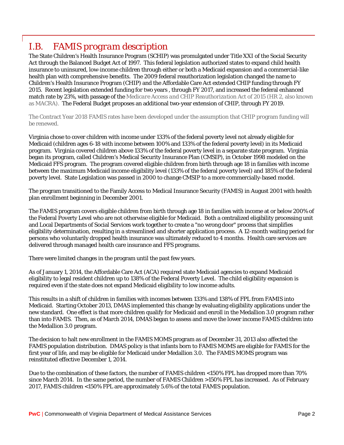# <span id="page-6-0"></span>*I.B. FAMIS program description*

The State Children's Health Insurance Program (SCHIP) was promulgated under Title XXI of the Social Security Act through the Balanced Budget Act of 1997. This federal legislation authorized states to expand child health insurance to uninsured, low-income children through either or both a Medicaid expansion and a commercial-like health plan with comprehensive benefits. The 2009 federal reauthorization legislation changed the name to Children's Health Insurance Program (CHIP) and the Affordable Care Act extended CHIP funding through FY 2015. Recent legislation extended funding for two years , through FY 2017, and increased the federal enhanced match rate by 23%, with passage of the *Medicare Access and CHIP Reauthorization Act of 2015* (HR 2, also known as MACRA). The Federal Budget proposes an additional two-year extension of CHIP, through FY 2019.

The Contract Year 2018 FAMIS rates have been developed under the assumption that CHIP program funding will be renewed.

Virginia chose to cover children with income under 133% of the federal poverty level not already eligible for Medicaid (children ages 6-18 with income between 100% and 133% of the federal poverty level) in its Medicaid program. Virginia covered children above 133% of the federal poverty level in a separate state program. Virginia began its program, called Children's Medical Security Insurance Plan (CMSIP), in October 1998 modeled on the Medicaid FFS program. The program covered eligible children from birth through age 18 in families with income between the maximum Medicaid income eligibility level (133% of the federal poverty level) and 185% of the federal poverty level. State Legislation was passed in 2000 to change CMSIP to a more commercially-based model.

The program transitioned to the Family Access to Medical Insurance Security (FAMIS) in August 2001 with health plan enrollment beginning in December 2001.

The FAMIS program covers eligible children from birth through age 18 in families with income at or below 200% of the Federal Poverty Level who are not otherwise eligible for Medicaid. Both a centralized eligibility processing unit and Local Departments of Social Services work together to create a "no wrong door" process that simplifies eligibility determination, resulting in a streamlined and shorter application process. A 12-month waiting period for persons who voluntarily dropped health insurance was ultimately reduced to 4 months. Health care services are delivered through managed health care insurance and FFS programs.

There were limited changes in the program until the past few years.

As of January 1, 2014, the Affordable Care Act (ACA) required state Medicaid agencies to expand Medicaid eligibility to legal resident children up to 138% of the Federal Poverty Level. The child eligibility expansion is required even if the state does not expand Medicaid eligibility to low income adults.

This results in a shift of children in families with incomes between 133% and 138% of FPL from FAMIS into Medicaid. Starting October 2013, DMAS implemented this change by evaluating eligibility applications under the new standard. One effect is that more children qualify for Medicaid and enroll in the Medallion 3.0 program rather than into FAMIS. Then, as of March 2014, DMAS began to assess and move the lower income FAMIS children into the Medallion 3.0 program.

The decision to halt new enrollment in the FAMIS MOMS program as of December 31, 2013 also affected the FAMIS population distribution. DMAS policy is that infants born to FAMIS MOMS are eligible for FAMIS for the first year of life, and may be eligible for Medicaid under Medallion 3.0. The FAMIS MOMS program was reinstituted effective December 1, 2014.

Due to the combination of these factors, the number of FAMIS children <150% FPL has dropped more than 70% since March 2014. In the same period, the number of FAMIS Children >150% FPL has increased. As of February 2017, FAMIS children <150% FPL are approximately 5.6% of the total FAMIS population.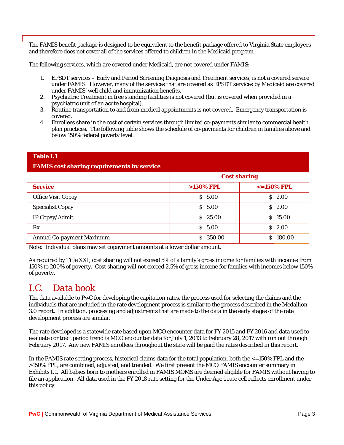The FAMIS benefit package is designed to be equivalent to the benefit package offered to Virginia State employees and therefore does not cover all of the services offered to children in the Medicaid program.

The following services, which are covered under Medicaid, are not covered under FAMIS:

- 1. EPSDT services Early and Period Screening Diagnosis and Treatment services, is not a covered service under FAMIS. However, many of the services that are covered as EPSDT services by Medicaid are covered under FAMIS' well child and immunization benefits.
- 2. Psychiatric Treatment in free standing facilities is not covered (but is covered when provided in a psychiatric unit of an acute hospital).
- 3. Routine transportation to and from medical appointments is not covered. Emergency transportation is covered.
- 4. Enrollees share in the cost of certain services through limited co-payments similar to commercial health plan practices. The following table shows the schedule of co-payments for children in families above and below 150% federal poverty level.

| <b>FAMIS cost sharing requirements by service</b> |                     |                      |  |  |  |  |  |  |
|---------------------------------------------------|---------------------|----------------------|--|--|--|--|--|--|
|                                                   | <b>Cost sharing</b> |                      |  |  |  |  |  |  |
| <b>Service</b>                                    | $>150\%$ FPL        | $\epsilon$ =150% FPL |  |  |  |  |  |  |
| <b>Office Visit Copay</b>                         | \$5.00              | 2.00<br>S.           |  |  |  |  |  |  |
| <b>Specialist Copay</b>                           | \$5.00              | 2.00<br>S.           |  |  |  |  |  |  |
| IP Copay/Admit                                    | \$25.00             | \$15.00              |  |  |  |  |  |  |
| Rx                                                | $S$ 5.00            | \$2.00               |  |  |  |  |  |  |
| <b>Annual Co-payment Maximum</b>                  | \$ 350.00           | 180.00<br>S          |  |  |  |  |  |  |

#### **Table I.1**

Note: Individual plans may set copayment amounts at a lower dollar amount.

As required by Title XXI, cost sharing will not exceed 5% of a family's gross income for families with incomes from 150% to 200% of poverty. Cost sharing will not exceed 2.5% of gross income for families with incomes below 150% of poverty.

# <span id="page-7-0"></span>*I.C. Data book*

The data available to PwC for developing the capitation rates, the process used for selecting the claims and the individuals that are included in the rate development process is similar to the process described in the Medallion 3.0 report. In addition, processing and adjustments that are made to the data in the early stages of the rate development process are similar.

The rate developed is a statewide rate based upon MCO encounter data for FY 2015 and FY 2016 and data used to evaluate contract period trend is MCO encounter data for July 1, 2013 to February 28, 2017 with run out through February 2017. Any new FAMIS enrollees throughout the state will be paid the rates described in this report.

In the FAMIS rate setting process, historical claims data for the total population, both the  $\epsilon$ =150% FPL and the >150% FPL, are combined, adjusted, and trended. We first present the MCO FAMIS encounter summary in Exhibits I.1. All babies born to mothers enrolled in FAMIS MOMS are deemed eligible for FAMIS without having to file an application. All data used in the FY 2018 rate setting for the Under Age 1 rate cell reflects enrollment under this policy.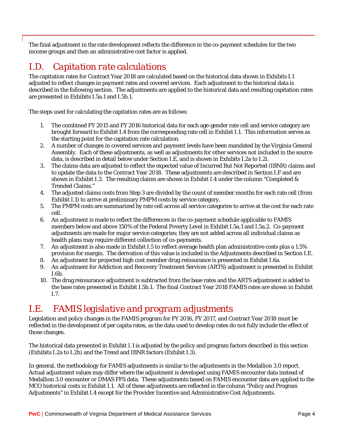The final adjustment in the rate development reflects the difference in the co-payment schedules for the two income groups and then an administrative cost factor is applied.

# <span id="page-8-0"></span>*I.D. Capitation rate calculations*

The capitation rates for Contract Year 2018 are calculated based on the historical data shown in Exhibits I.1 adjusted to reflect changes in payment rates and covered services. Each adjustment to the historical data is described in the following section. The adjustments are applied to the historical data and resulting capitation rates are presented in Exhibits I.5a.1 and I.5b.1.

The steps used for calculating the capitation rates are as follows:

- 1. The combined FY 2015 and FY 2016 historical data for each age-gender rate cell and service category are brought forward to Exhibit I.4 from the corresponding rate cell in Exhibit I.1. This information serves as the starting point for the capitation rate calculation.
- 2. A number of changes in covered services and payment levels have been mandated by the Virginia General Assembly. Each of these adjustments, as well as adjustments for other services not included in the source data, is described in detail below under Section I.E, and is shown in Exhibits I.2a to I.2i.
- 3. The claims data are adjusted to reflect the expected value of Incurred But Not Reported (IBNR) claims and to update the data to the Contract Year 2018. These adjustments are described in Section I.F and are shown in Exhibit I.3. The resulting claims are shown in Exhibit I.4 under the column "Completed & Trended Claims."
- 4. The adjusted claims costs from Step 3 are divided by the count of member months for each rate cell (from Exhibit I.1) to arrive at preliminary PMPM costs by service category.
- 5. The PMPM costs are summarized by rate cell across all service categories to arrive at the cost for each rate cell.
- 6. An adjustment is made to reflect the differences in the co-payment schedule applicable to FAMIS members below and above 150% of the Federal Poverty Level in Exhibit I.5a.1 and I.5a.2. Co-payment adjustments are made for major service categories; they are not added across all individual claims as health plans may require different collection of co-payments.
- 7. An adjustment is also made in Exhibit I.5 to reflect average health plan administrative costs plus a 1.5% provision for margin. The derivation of this value is included in the Adjustments described in Section I.E.
- 8. An adjustment for projected high cost member drug reinsurance is presented in Exhibit I.6a.
- 9. An adjustment for Addiction and Recovery Treatment Services (ARTS) adjustment is presented in Exhibit I.6b.
- 10. The drug reinsurance adjustment is subtracted from the base rates and the ARTS adjustment is added to the base rates presented in Exhibit I.5b.1. The final Contract Year 2018 FAMIS rates are shown in Exhibit I.7.

# <span id="page-8-1"></span>*I.E. FAMIS legislative and program adjustments*

Legislation and policy changes in the FAMIS program for FY 2016, FY 2017, and Contract Year 2018 must be reflected in the development of per capita rates, as the data used to develop rates do not fully include the effect of those changes.

The historical data presented in Exhibit I.1 is adjusted by the policy and program factors described in this section (Exhibits I.2a to I.2h) and the Trend and IBNR factors (Exhibit I.3).

In general, the methodology for FAMIS adjustments is similar to the adjustments in the Medallion 3.0 report. Actual adjustment values may differ where the adjustment is developed using FAMIS encounter data instead of Medallion 3.0 encounter or DMAS FFS data. These adjustments based on FAMIS encounter data are applied to the MCO historical costs in Exhibit I.1. All of these adjustments are reflected in the column "Policy and Program Adjustments" in Exhibit I.4 except for the Provider Incentive and Administrative Cost Adjustments.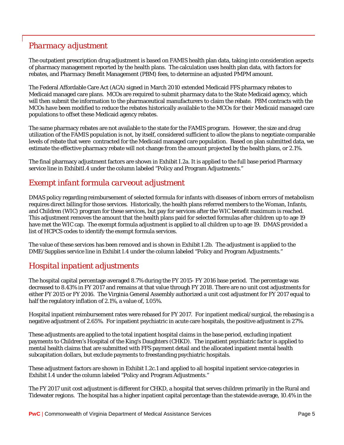### *Pharmacy adjustment*

The outpatient prescription drug adjustment is based on FAMIS health plan data, taking into consideration aspects of pharmacy management reported by the health plans. The calculation uses health plan data, with factors for rebates, and Pharmacy Benefit Management (PBM) fees, to determine an adjusted PMPM amount.

The Federal Affordable Care Act (ACA) signed in March 2010 extended Medicaid FFS pharmacy rebates to Medicaid managed care plans. MCOs are required to submit pharmacy data to the State Medicaid agency, which will then submit the information to the pharmaceutical manufacturers to claim the rebate. PBM contracts with the MCOs have been modified to reduce the rebates historically available to the MCOs for their Medicaid managed care populations to offset these Medicaid agency rebates.

The same pharmacy rebates are not available to the state for the FAMIS program. However, the size and drug utilization of the FAMIS population is not, by itself, considered sufficient to allow the plans to negotiate comparable levels of rebate that were contracted for the Medicaid managed care population. Based on plan submitted data, we estimate the effective pharmacy rebate will not change from the amount projected by the health plans, or 2.1%.

The final pharmacy adjustment factors are shown in Exhibit I.2a. It is applied to the full base period Pharmacy service line in ExhibitI.4 under the column labeled "Policy and Program Adjustments."

#### *Exempt infant formula carveout adjustment*

DMAS policy regarding reimbursement of selected formula for infants with diseases of inborn errors of metabolism requires direct billing for those services. Historically, the health plans referred members to the Woman, Infants, and Children (WIC) program for these services, but pay for services after the WIC benefit maximum is reached. This adjustment removes the amount that the health plans paid for selected formulas after children up to age 19 have met the WIC cap. The exempt formula adjustment is applied to all children up to age 19. DMAS provided a list of HCPCS codes to identify the exempt formula services.

The value of these services has been removed and is shown in Exhibit I.2b. The adjustment is applied to the DME/Supplies service line in Exhibit I.4 under the column labeled "Policy and Program Adjustments."

### *Hospital inpatient adjustments*

The hospital capital percentage averaged 8.7% during the FY 2015- FY 2016 base period. The percentage was decreased to 8.43% in FY 2017 and remains at that value through FY 2018. There are no unit cost adjustments for either FY 2015 or FY 2016. The Virginia General Assembly authorized a unit cost adjustment for FY 2017 equal to half the regulatory inflation of 2.1%, a value of, 1.05%.

Hospital inpatient reimbursement rates were rebased for FY 2017. For inpatient medical/surgical, the rebasing is a negative adjustment of 2.65%. For inpatient psychiatric in acute care hospitals, the positive adjustment is 27%.

These adjustments are applied to the total inpatient hospital claims in the base period, excluding inpatient payments to Children's Hospital of the King's Daughters (CHKD). The inpatient psychiatric factor is applied to mental health claims that are submitted with FFS payment detail and the allocated inpatient mental health subcapitation dollars, but exclude payments to freestanding psychiatric hospitals.

These adjustment factors are shown in Exhibit I.2c.1 and applied to all hospital inpatient service categories in Exhibit I.4 under the column labeled "Policy and Program Adjustments."

The FY 2017 unit cost adjustment is different for CHKD, a hospital that serves children primarily in the Rural and Tidewater regions. The hospital has a higher inpatient capital percentage than the statewide average, 10.4% in the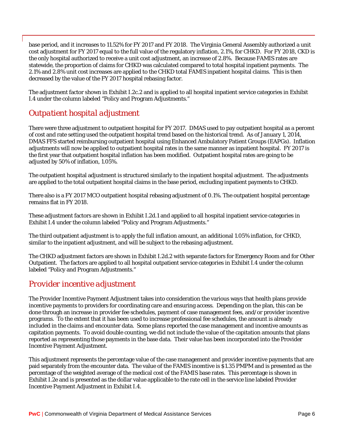base period, and it increases to 11.52% for FY 2017 and FY 2018. The Virginia General Assembly authorized a unit cost adjustment for FY 2017 equal to the full value of the regulatory inflation, 2.1%, for CHKD. For FY 2018, CKD is the only hospital authorized to receive a unit cost adjustment, an increase of 2.8%. Because FAMIS rates are statewide, the proportion of claims for CHKD was calculated compared to total hospital inpatient payments. The 2.1% and 2.8% unit cost increases are applied to the CHKD total FAMIS inpatient hospital claims. This is then decreased by the value of the FY 2017 hospital rebasing factor.

The adjustment factor shown in Exhibit I.2c.2 and is applied to all hospital inpatient service categories in Exhibit I.4 under the column labeled "Policy and Program Adjustments."

### *Outpatient hospital adjustment*

There were three adjustment to outpatient hospital for FY 2017. DMAS used to pay outpatient hospital as a percent of cost and rate setting used the outpatient hospital trend based on the historical trend. As of January 1, 2014, DMAS FFS started reimbursing outpatient hospital using Enhanced Ambulatory Patient Groups (EAPGs). Inflation adjustments will now be applied to outpatient hospital rates in the same manner as inpatient hospital. FY 2017 is the first year that outpatient hospital inflation has been modified. Outpatient hospital rates are going to be adjusted by 50% of inflation, 1.05%.

The outpatient hospital adjustment is structured similarly to the inpatient hospital adjustment. The adjustments are applied to the total outpatient hospital claims in the base period, excluding inpatient payments to CHKD.

There also is a FY 2017 MCO outpatient hospital rebasing adjustment of 0.1%. The outpatient hospital percentage remains flat in FY 2018.

These adjustment factors are shown in Exhibit I.2d.1 and applied to all hospital inpatient service categories in Exhibit I.4 under the column labeled "Policy and Program Adjustments."

The third outpatient adjustment is to apply the full inflation amount, an additional 1.05% inflation, for CHKD, similar to the inpatient adjustment, and will be subject to the rebasing adjustment.

The CHKD adjustment factors are shown in Exhibit I.2d.2 with separate factors for Emergency Room and for Other Outpatient. The factors are applied to all hospital outpatient service categories in Exhibit I.4 under the column labeled "Policy and Program Adjustments."

### *Provider incentive adjustment*

The Provider Incentive Payment Adjustment takes into consideration the various ways that health plans provide incentive payments to providers for coordinating care and ensuring access. Depending on the plan, this can be done through an increase in provider fee schedules, payment of case management fees, and/or provider incentive programs. To the extent that it has been used to increase professional fee schedules, the amount is already included in the claims and encounter data. Some plans reported the case management and incentive amounts as capitation payments. To avoid double counting, we did not include the value of the capitation amounts that plans reported as representing those payments in the base data. Their value has been incorporated into the Provider Incentive Payment Adjustment.

This adjustment represents the percentage value of the case management and provider incentive payments that are paid separately from the encounter data. The value of the FAMIS incentive is \$1.35 PMPM and is presented as the percentage of the weighted average of the medical cost of the FAMIS base rates. This percentage is shown in Exhibit I.2e and is presented as the dollar value applicable to the rate cell in the service line labeled Provider Incentive Payment Adjustment in Exhibit I.4.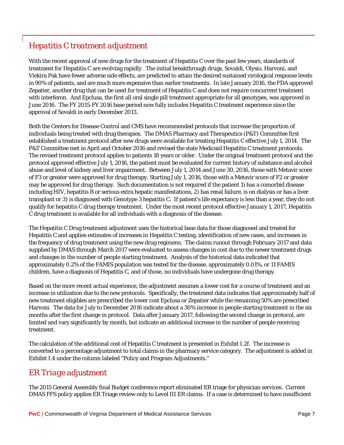## *Hepatitis C treatment adjustment*

With the recent approval of new drugs for the treatment of Hepatitis C over the past few years, standards of treatment for Hepatitis C are evolving rapidly. The initial breakthrough drugs, Sovaldi, Olysio, Harvoni, and Viekira Pak have fewer adverse side effects, are predicted to attain the desired sustained virological response levels in 90% of patients, and are much more expensive than earlier treatments. In late January 2016, the FDA approved Zepatier, another drug that can be used for treatment of Hepatitis C and does not require concurrent treatment with interferon. And Epclusa, the first all oral single pill treatment appropriate for all genotypes, was approved in June 2016. The FY 2015-FY 2016 base period now fully includes Hepatitis C treatment experience since the approval of Sovaldi in early December 2013.

Both the Centers for Disease Control and CMS have recommended protocols that increase the proportion of individuals being treated with drug therapies. The DMAS Pharmacy and Therapeutics (P&T) Committee first established a treatment protocol after new drugs were available for treating Hepatitis C effective July 1, 2014. The P&T Committee met in April and October 2016 and revised the state Medicaid Hepatitis C treatment protocols. The revised treatment protocol applies to patients 18 years or older. Under the original treatment protocol and the protocol approved effective July 1, 2016, the patient must be evaluated for current history of substance and alcohol abuse and level of kidney and liver impairment. Between July 1, 2014 and June 30, 2016, those with Metavir score of F3 or greater were approved for drug therapy. Starting July 1, 2016, those with a Metavir score of F2 or greater may be approved for drug therapy. Such documentation is not required if the patient 1) has a comorbid disease including HIV, hepatitis B or serious extra hepatic manifestations, 2) has renal failure, is on dialysis or has a liver transplant or 3) is diagnosed with Genotype 3 hepatitis C. If patient's life expectancy is less than a year, they do not qualify for hepatitis C drug therapy treatment. Under the most recent protocol effective January 1, 2017, Hepatitis C drug treatment is available for all individuals with a diagnosis of the disease.

The Hepatitis C Drug treatment adjustment uses the historical base data for those diagnosed and treated for Hepatitis C and applies estimates of increases in Hepatitis C testing, identification of new cases, and increases in the frequency of drug treatment using the new drug regimens. The claims runout through February 2017 and data supplied by DMAS through March 2017 were evaluated to assess changes in cost due to the newer treatment drugs and changes in the number of people starting treatment. Analysis of the historical data indicated that approximately 0.2% of the FAMIS population was tested for the disease, approximately 0.01%, or 11 FAMIS children, have a diagnosis of Hepatitis C, and of those, no individuals have undergone drug therapy.

Based on the more recent actual experience, the adjustment assumes a lower cost for a course of treatment and an increase in utilization due to the new protocols. Specifically, the treatment data indicates that approximately half of new treatment eligibles are prescribed the lower cost Epclusa or Zepatier while the remaining 50% are prescribed Harvoni. The data for July to December 2016 indicate about a 30% increase in people starting treatment in the six months after the first change in protocol. Data after January 2017, following the second change in protocol, are limited and vary significantly by month, but indicate an additional increase in the number of people receiving treatment.

The calculation of the additional cost of Hepatitis C treatment is presented in Exhibit I.2f. The increase is converted to a percentage adjustment to total claims in the pharmacy service category. The adjustment is added in Exhibit I.4 under the column labeled "Policy and Program Adjustments."

### *ER Triage adjustment*

The 2015 General Assembly final Budget conference report eliminated ER triage for physician services. Current DMAS FFS policy applies ER Triage review only to Level III ER claims. If a case is determined to have insufficient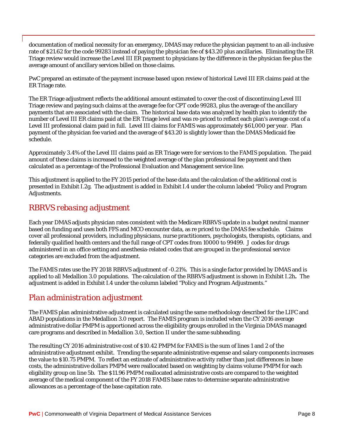documentation of medical necessity for an emergency, DMAS may reduce the physician payment to an all-inclusive rate of \$21.62 for the code 99283 instead of paying the physician fee of \$43.20 plus ancillaries. Eliminating the ER Triage review would increase the Level III ER payment to physicians by the difference in the physician fee plus the average amount of ancillary services billed on those claims.

PwC prepared an estimate of the payment increase based upon review of historical Level III ER claims paid at the ER Triage rate.

The ER Triage adjustment reflects the additional amount estimated to cover the cost of discontinuing Level III Triage review and paying such claims at the average fee for CPT code 99283, plus the average of the ancillary payments that are associated with the claim. The historical base data was analyzed by health plan to identify the number of Level III ER claims paid at the ER Triage level and was re-priced to reflect each plan's average cost of a Level III professional claim paid in full. Level III claims for FAMIS was approximately \$61,000 per year. Plan payment of the physician fee varied and the average of \$43.20 is slightly lower than the DMAS Medicaid fee schedule.

Approximately 3.4% of the Level III claims paid as ER Triage were for services to the FAMIS population. The paid amount of these claims is increased to the weighted average of the plan professional fee payment and then calculated as a percentage of the Professional Evaluation and Management service line.

This adjustment is applied to the FY 2015 period of the base data and the calculation of the additional cost is presented in Exhibit I.2g. The adjustment is added in Exhibit I.4 under the column labeled "Policy and Program Adjustments.

#### *RBRVS rebasing adjustment*

Each year DMAS adjusts physician rates consistent with the Medicare RBRVS update in a budget neutral manner based on funding and uses both FFS and MCO encounter data, as re priced to the DMAS fee schedule. Claims cover all professional providers, including physicians, nurse practitioners, psychologists, therapists, opticians, and federally qualified health centers and the full range of CPT codes from 10000 to 99499. J codes for drugs administered in an office setting and anesthesia-related codes that are grouped in the professional service categories are excluded from the adjustment.

The FAMIS rates use the FY 2018 RBRVS adjustment of -0.21%. This is a single factor provided by DMAS and is applied to all Medallion 3.0 populations. The calculation of the RBRVS adjustment is shown in Exhibit I.2h**.** The adjustment is added in Exhibit I.4 under the column labeled "Policy and Program Adjustments."

#### *Plan administration adjustment*

The FAMIS plan administrative adjustment is calculated using the same methodology described for the LIFC and ABAD populations in the Medallion 3.0 report. The FAMIS program is included when the CY 2016 average administrative dollar PMPM is apportioned across the eligibility groups enrolled in the Virginia DMAS managed care programs and described in Medallion 3.0, Section II under the same subheading.

The resulting CY 2016 administrative cost of \$10.42 PMPM for FAMIS is the sum of lines 1 and 2 of the administrative adjustment exhibit. Trending the separate administrative expense and salary components increases the value to \$10.75 PMPM. To reflect an estimate of administrative activity rather than just differences in base costs, the administrative dollars PMPM were reallocated based on weighting by claims volume PMPM for each eligibility group on line 5b. The \$11.96 PMPM reallocated administrative costs are compared to the weighted average of the medical component of the FY 2018 FAMIS base rates to determine separate administrative allowances as a percentage of the base capitation rate.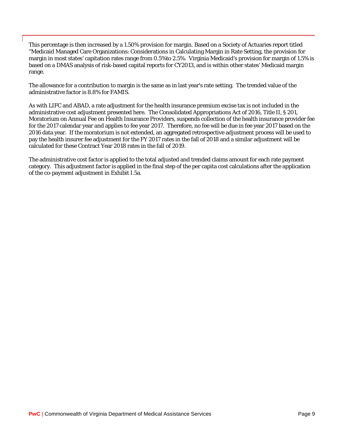This percentage is then increased by a 1.50% provision for margin. Based on a Society of Actuaries report titled "Medicaid Managed Care Organizations: Considerations in Calculating Margin in Rate Setting, the provision for margin in most states' capitation rates range from 0.5%to 2.5%. Virginia Medicaid's provision for margin of 1.5% is based on a DMAS analysis of risk-based capital reports for CY2013, and is within other states' Medicaid margin range.

The allowance for a contribution to margin is the same as in last year's rate setting. The trended value of the administrative factor is 8.8% for FAMIS.

As with LIFC and ABAD, a rate adjustment for the health insurance premium excise tax is not included in the administrative cost adjustment presented here. The Consolidated Appropriations Act of 2016, Title II, § 201, Moratorium on Annual Fee on Health Insurance Providers, suspends collection of the health insurance provider fee for the 2017 calendar year and applies to fee year 2017. Therefore, no fee will be due in fee year 2017 based on the 2016 data year. If the moratorium is not extended, an aggregated retrospective adjustment process will be used to pay the health insurer fee adjustment for the FY 2017 rates in the fall of 2018 and a similar adjustment will be calculated for these Contract Year 2018 rates in the fall of 2019.

The administrative cost factor is applied to the total adjusted and trended claims amount for each rate payment category. This adjustment factor is applied in the final step of the per capita cost calculations after the application of the co-payment adjustment in Exhibit I.5a.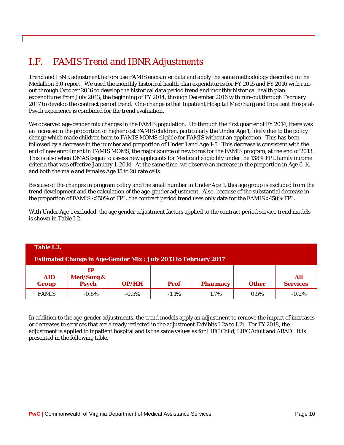# <span id="page-14-0"></span>*I.F. FAMIS Trend and IBNR Adjustments*

Trend and IBNR adjustment factors use FAMIS encounter data and apply the same methodology described in the Medallion 3.0 report. We used the monthly historical health plan expenditures for FY 2015 and FY 2016 with runout through October 2016 to develop the historical data period trend and monthly historical health plan expenditures from July 2013, the beginning of FY 2014, through December 2016 with run-out through February 2017 to develop the contract period trend. One change is that Inpatient Hospital Med/Surg and Inpatient Hospital-Psych experience is combined for the trend evaluation.

We observed age-gender mix changes in the FAMIS population. Up through the first quarter of FY 2014, there was an increase in the proportion of higher cost FAMIS children, particularly the Under Age 1, likely due to the policy change which made children born to FAMIS MOMS eligible for FAMIS without an application. This has been followed by a decrease in the number and proportion of Under 1 and Age 1-5. This decrease is consistent with the end of new enrollment in FAMIS MOMS, the major source of newborns for the FAMIS program, at the end of 2013. This is also when DMAS began to assess new applicants for Medicaid eligibility under the 138% FPL family income criteria that was effective January 1, 2014. At the same time, we observe an increase in the proportion in Age 6-14 and both the male and females Age 15 to 20 rate cells.

Because of the changes in program policy and the small number in Under Age 1, this age group is excluded from the trend development and the calculation of the age-gender adjustment. Also, because of the substantial decrease in the proportion of FAMIS <150% of FPL, the contract period trend uses only data for the FAMIS >150% FPL.

With Under Age 1 excluded, the age gender adjustment factors applied to the contract period service trend models is shown in Table I.2.

| Table I.2.                                                            |                                             |          |             |                 |              |                        |  |  |  |  |  |  |
|-----------------------------------------------------------------------|---------------------------------------------|----------|-------------|-----------------|--------------|------------------------|--|--|--|--|--|--|
| <b>Estimated Change in Age-Gender Mix: July 2013 to February 2017</b> |                                             |          |             |                 |              |                        |  |  |  |  |  |  |
| <b>AID</b><br><b>Group</b>                                            | IP<br><b>Med/Surg &amp;</b><br><b>Psych</b> | OP/HH    | <b>Prof</b> | <b>Pharmacy</b> | <b>Other</b> | All<br><b>Services</b> |  |  |  |  |  |  |
| <b>FAMIS</b>                                                          | $-0.6\%$                                    | $-0.5\%$ | $-1.1\%$    | 1.7%            | 0.5%         | $-0.2%$                |  |  |  |  |  |  |

In addition to the age-gender adjustments, the trend models apply an adjustment to remove the impact of increases or decreases to services that are already reflected in the adjustment Exhibits I.2a to I.2i. For FY 2018, the adjustment is applied to inpatient hospital and is the same values as for LIFC Child, LIFC Adult and ABAD. It is presented in the following table.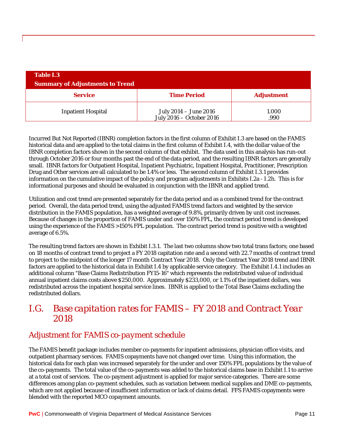| <b>Table I.3</b>                       |                                                   |                   |  |  |  |  |  |  |  |  |  |  |
|----------------------------------------|---------------------------------------------------|-------------------|--|--|--|--|--|--|--|--|--|--|
| <b>Summary of Adjustments to Trend</b> |                                                   |                   |  |  |  |  |  |  |  |  |  |  |
| <b>Service</b>                         | <b>Time Period</b>                                | <b>Adjustment</b> |  |  |  |  |  |  |  |  |  |  |
| <b>Inpatient Hospital</b>              | July 2014 - June 2016<br>July 2016 - October 2016 | 1.000<br>.990     |  |  |  |  |  |  |  |  |  |  |

Incurred But Not Reported (IBNR) completion factors in the first column of Exhibit I.3 are based on the FAMIS historical data and are applied to the total claims in the first column of Exhibit I.4, with the dollar value of the IBNR completion factors shown in the second column of that exhibit. The data used in this analysis has run-out through October 2016 or four months past the end of the data period, and the resulting IBNR factors are generally small. IBNR factors for Outpatient Hospital, Inpatient Psychiatric, Inpatient Hospital, Practitioner, Prescription Drug and Other services are all calculated to be 1.4% or less. The second column of Exhibit I.3.1 provides information on the cumulative impact of the policy and program adjustments in Exhibits I.2a - I.2h. This is for informational purposes and should be evaluated in conjunction with the IBNR and applied trend.

Utilization and cost trend are presented separately for the data period and as a combined trend for the contract period. Overall, the data period trend, using the adjusted FAMIS trend factors and weighted by the service distribution in the FAMIS population, has a weighted average of 9.8%, primarily driven by unit cost increases. Because of changes in the proportion of FAMIS under and over 150% FPL, the contract period trend is developed using the experience of the FAMIS >150% FPL population. The contract period trend is positive with a weighted average of 6.5%.

The resulting trend factors are shown in Exhibit I.3.1. The last two columns show two total trans factors; one based on 18 months of contract trend to project a FY 2018 capitation rate and a second with 22.7 months of contract trend to project to the midpoint of the longer 17 month Contract Year 2018. Only the Contract Year 2018 trend and IBNR factors are applied to the historical data in Exhibit I.4 by applicable service category. The Exhibit I.4.1 includes an additional column "Base Claims Redistribution FY15-16" which represents the redistributed value of individual annual inpatient claims costs above \$250,000. Approximately \$233,000, or 1.1% of the inpatient dollars, was redistributed across the inpatient hospital service lines. IBNR is applied to the Total Base Claims excluding the redistributed dollars.

## <span id="page-15-0"></span>*I.G. Base capitation rates for FAMIS – FY 2018 and Contract Year 2018*

### *Adjustment for FAMIS co-payment schedule*

The FAMIS benefit package includes member co-payments for inpatient admissions, physician office visits, and outpatient pharmacy services. FAMIS copayments have not changed over time. Using this information, the historical data for each plan was increased separately for the under and over 150% FPL populations by the value of the co-payments. The total value of the co-payments was added to the historical claims base in Exhibit I.1 to arrive at a total cost of services. The co-payment adjustment is applied for major service categories. There are some differences among plan co-payment schedules, such as variation between medical supplies and DME co-payments, which are not applied because of insufficient information or lack of claims detail. FFS FAMIS copayments were blended with the reported MCO copayment amounts.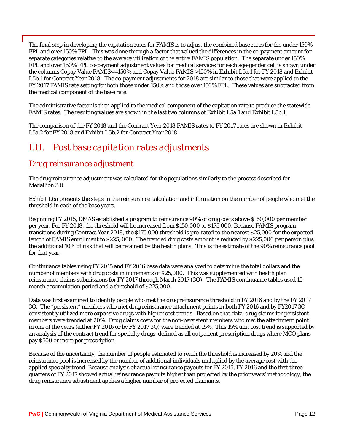The final step in developing the capitation rates for FAMIS is to adjust the combined base rates for the under 150% FPL and over 150% FPL. This was done through a factor that valued the differences in the co-payment amount for separate categories relative to the average utilization of the entire FAMIS population. The separate under 150% FPL and over 150% FPL co-payment adjustment values for medical services for each age-gender cell is shown under the columns Copay Value FAMIS<=150% and Copay Value FAMIS >150% in Exhibit I.5a.1 for FY 2018 and Exhibit I.5b.1 for Contract Year 2018. The co-payment adjustments for 2018 are similar to those that were applied to the FY 2017 FAMIS rate setting for both those under 150% and those over 150% FPL. These values are subtracted from the medical component of the base rate.

The administrative factor is then applied to the medical component of the capitation rate to produce the statewide FAMIS rates. The resulting values are shown in the last two columns of Exhibit I.5a.1 and Exhibit I.5b.1.

The comparison of the FY 2018 and the Contract Year 2018 FAMIS rates to FY 2017 rates are shown in Exhibit I.5a.2 for FY 2018 and Exhibit I.5b.2 for Contract Year 2018.

## <span id="page-16-0"></span>*I.H. Post base capitation rates adjustments*

#### *Drug reinsurance adjustment*

The drug reinsurance adjustment was calculated for the populations similarly to the process described for Medallion 3.0.

Exhibit I.6a presents the steps in the reinsurance calculation and information on the number of people who met the threshold in each of the base years.

Beginning FY 2015, DMAS established a program to reinsurance 90% of drug costs above \$150,000 per member per year. For FY 2018, the threshold will be increased from \$150,000 to \$175,000. Because FAMIS program transitions during Contract Year 2018, the \$175,000 threshold is pro-rated to the nearest \$25,000 for the expected length of FAMIS enrollment to \$225, 000. The trended drug costs amount is reduced by \$225,000 per person plus the additional 10% of risk that will be retained by the health plans. This is the estimate of the 90% reinsurance pool for that year.

Continuance tables using FY 2015 and FY 2016 base data were analyzed to determine the total dollars and the number of members with drug costs in increments of \$25,000. This was supplemented with health plan reinsurance claims submissions for FY 2017 through March 2017 (3Q). The FAMIS continuance tables used 15 month accumulation period and a threshold of \$225,000.

Data was first examined to identify people who met the drug reinsurance threshold in FY 2016 and by the FY 2017 3Q. The "persistent" members who met drug reinsurance attachment points in both FY 2016 and by FY2017 3Q consistently utilized more expensive drugs with higher cost trends. Based on that data, drug claims for persistent members were trended at 20%. Drug claims costs for the non-persistent members who met the attachment point in one of the years (either FY 2016 or by FY 2017 3Q) were trended at 15%. This 15% unit cost trend is supported by an analysis of the contract trend for specialty drugs, defined as all outpatient prescription drugs where MCO plans pay \$500 or more per prescription.

Because of the uncertainty, the number of people estimated to reach the threshold is increased by 20% and the reinsurance pool is increased by the number of additional individuals multiplied by the average cost with the applied specialty trend. Because analysis of actual reinsurance payouts for FY 2015, FY 2016 and the first three quarters of FY 2017 showed actual reinsurance payouts higher than projected by the prior years' methodology, the drug reinsurance adjustment applies a higher number of projected claimants.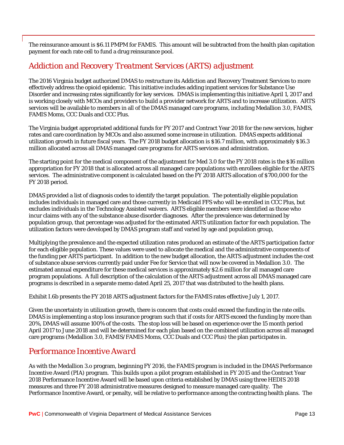The reinsurance amount is \$6.11 PMPM for FAMIS. This amount will be subtracted from the health plan capitation payment for each rate cell to fund a drug reinsurance pool.

#### *Addiction and Recovery Treatment Services (ARTS) adjustment*

The 2016 Virginia budget authorized DMAS to restructure its Addiction and Recovery Treatment Services to more effectively address the opioid epidemic. This initiative includes adding inpatient services for Substance Use Disorder and increasing rates significantly for key services. DMAS is implementing this initiative April 1, 2017 and is working closely with MCOs and providers to build a provider network for ARTS and to increase utilization. ARTS services will be available to members in all of the DMAS managed care programs, including Medallion 3.0, FAMIS, FAMIS Moms, CCC Duals and CCC Plus.

The Virginia budget appropriated additional funds for FY 2017 and Contract Year 2018 for the new services, higher rates and care coordination by MCOs and also assumed some increase in utilization. DMAS expects additional utilization growth in future fiscal years. The FY 2018 budget allocation is \$16.7 million, with approximately \$16.3 million allocated across all DMAS managed care programs for ARTS services and administration.

The starting point for the medical component of the adjustment for Med 3.0 for the FY 2018 rates is the \$16 million appropriation for FY 2018 that is allocated across all managed care populations with enrollees eligible for the ARTS services. The administrative component is calculated based on the FY 2018 ARTS allocation of \$700,000 for the FY 2018 period.

DMAS provided a list of diagnosis codes to identify the target population. The potentially eligible population includes individuals in managed care and those currently in Medicaid FFS who will be enrolled in CCC Plus, but excludes individuals in the Technology Assisted waivers. ARTS eligible members were identified as those who incur claims with any of the substance abuse disorder diagnoses. After the prevalence was determined by population group, that percentage was adjusted for the estimated ARTS utilization factor for each population. The utilization factors were developed by DMAS program staff and varied by age and population group,

Multiplying the prevalence and the expected utilization rates produced an estimate of the ARTS participation factor for each eligible population. These values were used to allocate the medical and the administrative components of the funding per ARTS participant. In addition to the new budget allocation, the ARTS adjustment includes the cost of substance abuse services currently paid under Fee for Service that will now be covered in Medallion 3.0. The estimated annual expenditure for these medical services is approximately \$2.6 million for all managed care program populations. A full description of the calculation of the ARTS adjustment across all DMAS managed care programs is described in a separate memo dated April 25, 2017 that was distributed to the health plans.

Exhibit I.6b presents the FY 2018 ARTS adjustment factors for the FAMIS rates effective July 1, 2017.

Given the uncertainty in utilization growth, there is concern that costs could exceed the funding in the rate cells. DMAS is implementing a stop loss insurance program such that if costs for ARTS exceed the funding by more than 20%, DMAS will assume 100% of the costs. The stop loss will be based on experience over the 15 month period April 2017 to June 2018 and will be determined for each plan based on the combined utilization across all managed care programs (Medallion 3.0, FAMIS/FAMIS Moms, CCC Duals and CCC Plus) the plan participates in.

### *Performance Incentive Award*

As with the Medallion 3.o program, beginning FY 2016, the FAMIS program is included in the DMAS Performance Incentive Award (PIA) program. This builds upon a pilot program established in FY 2015 and the Contract Year 2018 Performance Incentive Award will be based upon criteria established by DMAS using three HEDIS 2018 measures and three FY 2018 administrative measures designed to measure managed care quality. The Performance Incentive Award, or penalty, will be relative to performance among the contracting health plans. The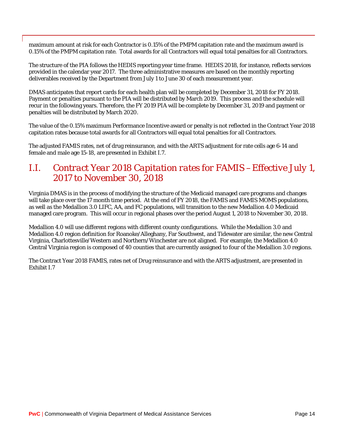maximum amount at risk for each Contractor is 0.15% of the PMPM capitation rate and the maximum award is 0.15% of the PMPM capitation rate. Total awards for all Contractors will equal total penalties for all Contractors.

The structure of the PIA follows the HEDIS reporting year time frame. HEDIS 2018, for instance, reflects services provided in the calendar year 2017. The three administrative measures are based on the monthly reporting deliverables received by the Department from July 1 to June 30 of each measurement year.

DMAS anticipates that report cards for each health plan will be completed by December 31, 2018 for FY 2018. Payment or penalties pursuant to the PIA will be distributed by March 2019. This process and the schedule will recur in the following years. Therefore, the FY 2019 PIA will be complete by December 31, 2019 and payment or penalties will be distributed by March 2020.

The value of the 0.15% maximum Performance Incentive award or penalty is not reflected in the Contract Year 2018 capitation rates because total awards for all Contractors will equal total penalties for all Contractors.

The adjusted FAMIS rates, net of drug reinsurance, and with the ARTS adjustment for rate cells age 6-14 and female and male age 15-18, are presented in Exhibit I.7.

## <span id="page-18-0"></span>*I.I. Contract Year 2018 Capitation rates for FAMIS –Effective July 1, 2017 to November 30, 2018*

Virginia DMAS is in the process of modifying the structure of the Medicaid managed care programs and changes will take place over the 17 month time period. At the end of FY 2018, the FAMIS and FAMIS MOMS populations, as well as the Medallion 3.0 LIFC, AA, and FC populations, will transition to the new Medallion 4.0 Medicaid managed care program. This will occur in regional phases over the period August 1, 2018 to November 30, 2018.

Medallion 4.0 will use different regions with different county configurations. While the Medallion 3.0 and Medallion 4.0 region definition for Roanoke/Alleghany, Far Southwest, and Tidewater are similar, the new Central Virginia, Charlottesville/Western and Northern/Winchester are not aligned. For example, the Medallion 4.0 Central Virginia region is composed of 40 counties that are currently assigned to four of the Medallion 3.0 regions.

The Contract Year 2018 FAMIS, rates net of Drug reinsurance and with the ARTS adjustment, are presented in Exhibit I.7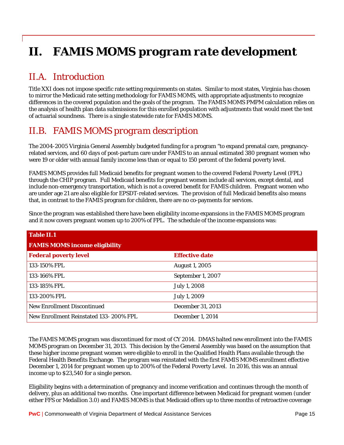# <span id="page-19-0"></span>*II. FAMIS MOMS program rate development*

# <span id="page-19-1"></span>*II.A. Introduction*

Title XXI does not impose specific rate setting requirements on states. Similar to most states, Virginia has chosen to mirror the Medicaid rate setting methodology for FAMIS MOMS, with appropriate adjustments to recognize differences in the covered population and the goals of the program. The FAMIS MOMS PMPM calculation relies on the analysis of health plan data submissions for this enrolled population with adjustments that would meet the test of actuarial soundness. There is a single statewide rate for FAMIS MOMS.

# <span id="page-19-2"></span>*II.B. FAMIS MOMS program description*

The 2004-2005 Virginia General Assembly budgeted funding for a program "to expand prenatal care, pregnancyrelated services, and 60 days of post-partum care under FAMIS to an annual estimated 380 pregnant women who were 19 or older with annual family income less than or equal to 150 percent of the federal poverty level.

FAMIS MOMS provides full Medicaid benefits for pregnant women to the covered Federal Poverty Level (FPL) through the CHIP program. Full Medicaid benefits for pregnant women include all services, except dental, and include non-emergency transportation, which is not a covered benefit for FAMIS children. Pregnant women who are under age 21 are also eligible for EPSDT-related services. The provision of full Medicaid benefits also means that, in contrast to the FAMIS program for children, there are no co-payments for services.

Since the program was established there have been eligibility income expansions in the FAMIS MOMS program and it now covers pregnant women up to 200% of FPL. The schedule of the income expansions was:

| <b>Table II.1</b>                      |                         |
|----------------------------------------|-------------------------|
| <b>FAMIS MOMS income eligibility</b>   |                         |
| <b>Federal poverty level</b>           | <b>Effective date</b>   |
| 133-150% FPL                           | <b>August 1, 2005</b>   |
| 133-166% FPL                           | September 1, 2007       |
| 133-185% FPL                           | July 1, 2008            |
| 133-200% FPL                           | July 1, 2009            |
| <b>New Enrollment Discontinued</b>     | December 31, 2013       |
| New Enrollment Reinstated 133-200% FPL | <b>December 1, 2014</b> |

The FAMIS MOMS program was discontinued for most of CY 2014. DMAS halted new enrollment into the FAMIS MOMS program on December 31, 2013. This decision by the General Assembly was based on the assumption that these higher income pregnant women were eligible to enroll in the Qualified Health Plans available through the Federal Health Benefits Exchange. The program was reinstated with the first FAMIS MOMS enrollment effective December 1, 2014 for pregnant women up to 200% of the Federal Poverty Level. In 2016, this was an annual income up to \$23,540 for a single person.

Eligibility begins with a determination of pregnancy and income verification and continues through the month of delivery, plus an additional two months. One important difference between Medicaid for pregnant women (under either FFS or Medallion 3.0) and FAMIS MOMS is that Medicaid offers up to three months of retroactive coverage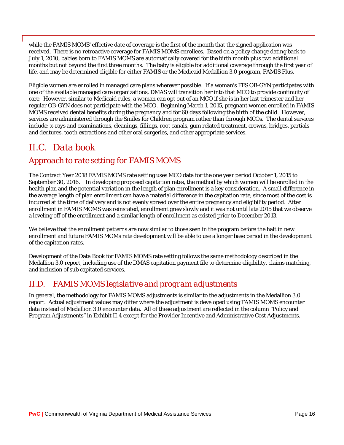while the FAMIS MOMS' effective date of coverage is the first of the month that the signed application was received. There is no retroactive coverage for FAMIS MOMS enrollees. Based on a policy change dating back to July 1, 2010, babies born to FAMIS MOMS are automatically covered for the birth month plus two additional months but not beyond the first three months. The baby is eligible for additional coverage through the first year of life, and may be determined eligible for either FAMIS or the Medicaid Medallion 3.0 program, FAMIS Plus.

Eligible women are enrolled in managed care plans wherever possible. If a woman's FFS OB-GYN participates with one of the available managed care organizations, DMAS will transition her into that MCO to provide continuity of care. However, similar to Medicaid rules, a woman can opt out of an MCO if she is in her last trimester and her regular OB-GYN does not participate with the MCO. Beginning March 1, 2015, pregnant women enrolled in FAMIS MOMS received dental benefits during the pregnancy and for 60 days following the birth of the child. However, services are administered through the Smiles for Children program rather than through MCOs. The dental services include: x-rays and examinations, cleanings, fillings, root canals, gum related treatment, crowns, bridges, partials and dentures, tooth extractions and other oral surgeries, and other appropriate services.

## <span id="page-20-0"></span>*II.C. Data book*

#### *Approach to rate setting for FAMIS MOMS*

The Contract Year 2018 FAMIS MOMS rate setting uses MCO data for the one year period October 1, 2015 to September 30, 2016. In developing proposed capitation rates, the method by which women will be enrolled in the health plan and the potential variation in the length of plan enrollment is a key consideration. A small difference in the average length of plan enrollment can have a material difference in the capitation rate, since most of the cost is incurred at the time of delivery and is not evenly spread over the entire pregnancy and eligibility period. After enrollment in FAMIS MOMS was reinstated, enrollment grew slowly and it was not until late 2015 that we observe a leveling off of the enrollment and a similar length of enrollment as existed prior to December 2013.

We believe that the enrollment patterns are now similar to those seen in the program before the halt in new enrollment and future FAMIS MOMs rate development will be able to use a longer base period in the development of the capitation rates.

Development of the Data Book for FAMIS MOMS rate setting follows the same methodology described in the Medallion 3.0 report, including use of the DMAS capitation payment file to determine eligibility, claims matching, and inclusion of sub capitated services.

### <span id="page-20-1"></span>*II.D. FAMIS MOMS legislative and program adjustments*

In general, the methodology for FAMIS MOMS adjustments is similar to the adjustments in the Medallion 3.0 report. Actual adjustment values may differ where the adjustment is developed using FAMIS MOMS encounter data instead of Medallion 3.0 encounter data. All of these adjustment are reflected in the column "Policy and Program Adjustments" in Exhibit II.4 except for the Provider Incentive and Administrative Cost Adjustments.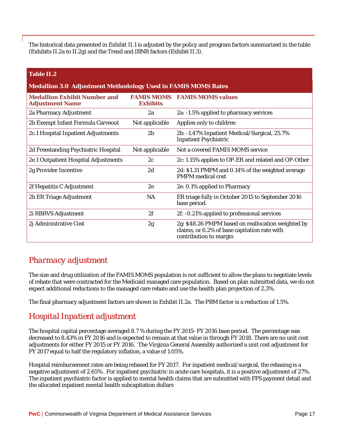The historical data presented in Exhibit II.1 is adjusted by the policy and program factors summarized in the table (Exhibits II.2a to II.2g) and the Trend and IBNR factors (Exhibit II.3).

#### **Table II.2**

# **Medallion 3.0 Adjustment Methodology Used in FAMIS MOMS Rates**

| <b>Medallion Exhibit Number and</b><br><b>Adjustment Name</b> | <b>FAMIS MOMS</b><br><b>Exhibits</b> | <b>FAMIS MOMS values</b>                                                                                                     |
|---------------------------------------------------------------|--------------------------------------|------------------------------------------------------------------------------------------------------------------------------|
| 2a Pharmacy Adjustment                                        | 2a                                   | 2a: -1.5% applied to pharmacy services                                                                                       |
| 2b Exempt Infant Formula Carveout                             | Not applicable                       | Applies only to children                                                                                                     |
| 2c.1 Hospital Inpatient Adjustments                           | 2 <sub>b</sub>                       | 2b: -1.47% Inpatient Medical/Surgical, 25.7%<br><b>Inpatient Psychiatric</b>                                                 |
| 2d Freestanding Psychiatric Hospital                          | Not applicable                       | Not a covered FAMIS MOMS service                                                                                             |
| 2e.1 Outpatient Hospital Adjustments                          | 2c                                   | 2c: 1.15% applies to OP-ER and related and OP-Other                                                                          |
| 2g Provider Incentive                                         | 2d                                   | 2d: \$1.31 PMPM and 0.14% of the weighted average<br><b>PMPM</b> medical cost                                                |
| 2f Hepatitis C Adjustment                                     | 2e                                   | 2e: 0.1% applied to Pharmacy                                                                                                 |
| 2h ER Triage Adjustment                                       | NA                                   | ER triage fully in October 2015 to September 2016<br>base period.                                                            |
| 2i RBRVS Adjustment                                           | 2f                                   | 2f: -0.21% applied to professional services                                                                                  |
| 2j Administrative Cost                                        | 2g                                   | 2g: \$48.26 PMPM based on reallocation weighted by<br>claims, or 6.2% of base capitation rate with<br>contribution to margin |

#### *Pharmacy adjustment*

The size and drug utilization of the FAMIS MOMS population is not sufficient to allow the plans to negotiate levels of rebate that were contracted for the Medicaid managed care population. Based on plan submitted data, we do not expect additional reductions to the managed care rebate and use the health plan projection of 2.3%.

The final pharmacy adjustment factors are shown in Exhibit II.2a. The PBM factor is a reduction of 1.5%.

#### *Hospital Inpatient adjustment*

The hospital capital percentage averaged 8.7 % during the FY 2015- FY 2016 base period. The percentage was decreased to 8.43% in FY 2016 and is expected to remain at that value in through FY 2018. There are no unit cost adjustments for either FY 2015 or FY 2016. The Virginia General Assembly authorized a unit cost adjustment for FY 2017 equal to half the regulatory inflation, a value of 1.05%.

Hospital reimbursement rates are being rebased for FY 2017. For inpatient medical/surgical, the rebasing is a negative adjustment of 2.65%. For inpatient psychiatric in acute care hospitals, it is a positive adjustment of 27%. The inpatient psychiatric factor is applied to mental health claims that are submitted with FFS payment detail and the allocated inpatient mental health subcapitation dollars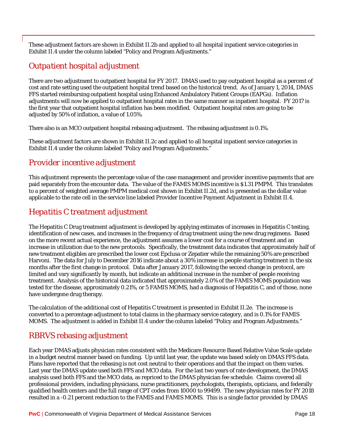These adjustment factors are shown in Exhibit II.2b and applied to all hospital inpatient service categories in Exhibit II.4 under the column labeled "Policy and Program Adjustments."

### *Outpatient hospital adjustment*

There are two adjustment to outpatient hospital for FY 2017. DMAS used to pay outpatient hospital as a percent of cost and rate setting used the outpatient hospital trend based on the historical trend. As of January 1, 2014, DMAS FFS started reimbursing outpatient hospital using Enhanced Ambulatory Patient Groups (EAPGs). Inflation adjustments will now be applied to outpatient hospital rates in the same manner as inpatient hospital. FY 2017 is the first year that outpatient hospital inflation has been modified. Outpatient hospital rates are going to be adjusted by 50% of inflation, a value of 1.05%.

There also is an MCO outpatient hospital rebasing adjustment. The rebasing adjustment is 0.1%.

These adjustment factors are shown in Exhibit II.2c and applied to all hospital inpatient service categories in Exhibit II.4 under the column labeled "Policy and Program Adjustments."

#### *Provider incentive adjustment*

This adjustment represents the percentage value of the case management and provider incentive payments that are paid separately from the encounter data. The value of the FAMIS MOMS incentive is \$1.31 PMPM. This translates to a percent of weighted average PMPM medical cost shown in Exhibit II.2d, and is presented as the dollar value applicable to the rate cell in the service line labeled Provider Incentive Payment Adjustment in Exhibit II.4.

### *Hepatitis C treatment adjustment*

The Hepatitis C Drug treatment adjustment is developed by applying estimates of increases in Hepatitis C testing, identification of new cases, and increases in the frequency of drug treatment using the new drug regimens. Based on the more recent actual experience, the adjustment assumes a lower cost for a course of treatment and an increase in utilization due to the new protocols. Specifically, the treatment data indicates that approximately half of new treatment eligibles are prescribed the lower cost Epclusa or Zepatier while the remaining 50% are prescribed Harvoni. The data for July to December 2016 indicate about a 30% increase in people starting treatment in the six months after the first change in protocol. Data after January 2017, following the second change in protocol, are limited and vary significantly by month, but indicate an additional increase in the number of people receiving treatment. Analysis of the historical data indicated that approximately 2.0% of the FAMIS MOMS population was tested for the disease, approximately 0.21%, or 5 FAMIS MOMS, had a diagnosis of Hepatitis C, and of those, none have undergone drug therapy.

The calculation of the additional cost of Hepatitis C treatment is presented in Exhibit II.2e. The increase is converted to a percentage adjustment to total claims in the pharmacy service category, and is 0.1% for FAMIS MOMS. The adjustment is added in Exhibit II.4 under the column labeled "Policy and Program Adjustments."

### RBRVS rebasing adjustment

Each year DMAS adjusts physician rates consistent with the Medicare Resource Based Relative Value Scale update in a budget neutral manner based on funding. Up until last year, the update was based solely on DMAS FFS data. Plans have reported that the rebasing is not cost neutral to their operations and that the impact on them varies. Last year the DMAS update used both FFS and MCO data. For the last two years of rate development, the DMAS analysis used both FFS and the MCO data, as repriced to the DMAS physician fee schedule. Claims covered all professional providers, including physicians, nurse practitioners, psychologists, therapists, opticians, and federally qualified health centers and the full range of CPT codes from 10000 to 99499. The new physician rates for FY 2018 resulted in a -0.21 percent reduction to the FAMIS and FAMIS MOMS. This is a single factor provided by DMAS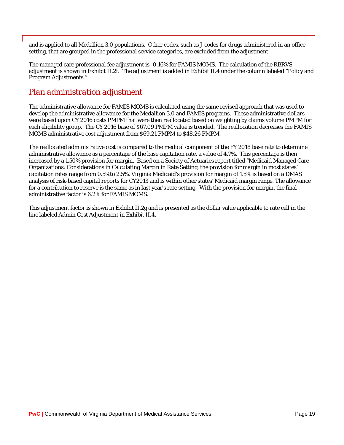and is applied to all Medallion 3.0 populations. Other codes, such as J codes for drugs administered in an office setting, that are grouped in the professional service categories, are excluded from the adjustment.

The managed care professional fee adjustment is -0.16% for FAMIS MOMS. The calculation of the RBRVS adjustment is shown in Exhibit II.2f. The adjustment is added in Exhibit II.4 under the column labeled "Policy and Program Adjustments."

### *Plan administration adjustment*

The administrative allowance for FAMIS MOMS is calculated using the same revised approach that was used to develop the administrative allowance for the Medallion 3.0 and FAMIS programs. These administrative dollars were based upon CY 2016 costs PMPM that were then reallocated based on weighting by claims volume PMPM for each eligibility group. The CY 2016 base of \$67.09 PMPM value is trended. The reallocation decreases the FAMIS MOMS administrative cost adjustment from \$69.21 PMPM to \$48.26 PMPM.

The reallocated administrative cost is compared to the medical component of the FY 2018 base rate to determine administrative allowance as a percentage of the base capitation rate, a value of 4.7%. This percentage is then increased by a 1.50% provision for margin. Based on a Society of Actuaries report titled "Medicaid Managed Care Organizations: Considerations in Calculating Margin in Rate Setting, the provision for margin in most states' capitation rates range from 0.5%to 2.5%. Virginia Medicaid's provision for margin of 1.5% is based on a DMAS analysis of risk-based capital reports for CY2013 and is within other states' Medicaid margin range. The allowance for a contribution to reserve is the same as in last year's rate setting. With the provision for margin, the final administrative factor is 6.2% for FAMIS MOMS.

This adjustment factor is shown in Exhibit II.2g and is presented as the dollar value applicable to rate cell in the line labeled Admin Cost Adjustment in Exhibit II.4.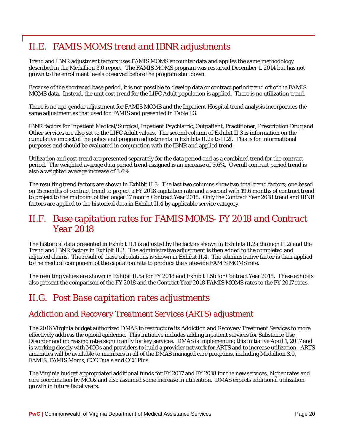# <span id="page-24-0"></span>*II.E. FAMIS MOMS trend and IBNR adjustments*

Trend and IBNR adjustment factors uses FAMIS MOMS encounter data and applies the same methodology described in the Medallion 3.0 report. The FAMIS MOMS program was restarted December 1, 2014 but has not grown to the enrollment levels observed before the program shut down.

Because of the shortened base period, it is not possible to develop data or contract period trend off of the FAMIS MOMS data. Instead, the unit cost trend for the LIFC Adult population is applied. There is no utilization trend.

There is no age-gender adjustment for FAMIS MOMS and the Inpatient Hospital trend analysis incorporates the same adjustment as that used for FAMIS and presented in Table I.3.

IBNR factors for Inpatient Medical/Surgical, Inpatient Psychiatric, Outpatient, Practitioner, Prescription Drug and Other services are also set to the LIFC Adult values. The second column of Exhibit II.3 is information on the cumulative impact of the policy and program adjustments in Exhibits II.2a to II.2f. This is for informational purposes and should be evaluated in conjunction with the IBNR and applied trend.

Utilization and cost trend are presented separately for the data period and as a combined trend for the contract period. The weighted average data period trend assigned is an increase of 3.6%. Overall contract period trend is also a weighted average increase of 3.6%.

The resulting trend factors are shown in Exhibit II.3. The last two columns show two total trend factors; one based on 15 months of contract trend to project a FY 2018 capitation rate and a second with 19.6 months of contract trend to project to the midpoint of the longer 17 month Contract Year 2018. Only the Contract Year 2018 trend and IBNR factors are applied to the historical data in Exhibit II.4 by applicable service category.

## <span id="page-24-1"></span>*II.F. Base capitation rates for FAMIS MOMS- FY 2018 and Contract Year 2018*

The historical data presented in Exhibit II.1 is adjusted by the factors shown in Exhibits II.2a through II.2i and the Trend and IBNR factors in Exhibit II.3. The administrative adjustment is then added to the completed and adjusted claims. The result of these calculations is shown in Exhibit II.4. The administrative factor is then applied to the medical component of the capitation rate to produce the statewide FAMIS MOMS rate.

The resulting values are shown in Exhibit II.5a for FY 2018 and Exhibit I.5b for Contract Year 2018. These exhibits also present the comparison of the FY 2018 and the Contract Year 2018 FAMIS MOMS rates to the FY 2017 rates.

# <span id="page-24-2"></span>*II.G. Post Base capitation rates adjustments*

#### *Addiction and Recovery Treatment Services (ARTS) adjustment*

The 2016 Virginia budget authorized DMAS to restructure its Addiction and Recovery Treatment Services to more effectively address the opioid epidemic. This initiative includes adding inpatient services for Substance Use Disorder and increasing rates significantly for key services. DMAS is implementing this initiative April 1, 2017 and is working closely with MCOs and providers to build a provider network for ARTS and to increase utilization. ARTS amenities will be available to members in all of the DMAS managed care programs, including Medallion 3.0, FAMIS, FAMIS Moms, CCC Duals and CCC Plus.

The Virginia budget appropriated additional funds for FY 2017 and FY 2018 for the new services, higher rates and care coordination by MCOs and also assumed some increase in utilization. DMAS expects additional utilization growth in future fiscal years.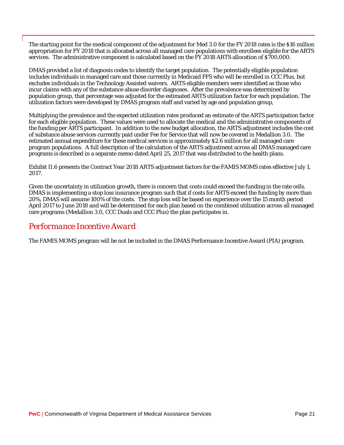The starting point for the medical component of the adjustment for Med 3.0 for the FY 2018 rates is the \$16 million appropriation for FY 2018 that is allocated across all managed care populations with enrollees eligible for the ARTS services. The administrative component is calculated based on the FY 2018 ARTS allocation of \$700,000.

DMAS provided a list of diagnosis codes to identify the target population. The potentially eligible population includes individuals in managed care and those currently in Medicaid FFS who will be enrolled in CCC Plus, but excludes individuals in the Technology Assisted waivers. ARTS eligible members were identified as those who incur claims with any of the substance abuse disorder diagnoses. After the prevalence was determined by population group, that percentage was adjusted for the estimated ARTS utilization factor for each population. The utilization factors were developed by DMAS program staff and varied by age and population group,

Multiplying the prevalence and the expected utilization rates produced an estimate of the ARTS participation factor for each eligible population. These values were used to allocate the medical and the administrative components of the funding per ARTS participant. In addition to the new budget allocation, the ARTS adjustment includes the cost of substance abuse services currently paid under Fee for Service that will now be covered in Medallion 3.0. The estimated annual expenditure for these medical services is approximately \$2.6 million for all managed care program populations. A full description of the calculation of the ARTS adjustment across all DMAS managed care programs is described in a separate memo dated April 25, 2017 that was distributed to the health plans.

Exhibit II.6 presents the Contract Year 2018 ARTS adjustment factors for the FAMIS MOMS rates effective July 1, 2017.

Given the uncertainty in utilization growth, there is concern that costs could exceed the funding in the rate cells. DMAS is implementing a stop loss insurance program such that if costs for ARTS exceed the funding by more than 20%, DMAS will assume 100% of the costs. The stop loss will be based on experience over the 15 month period April 2017 to June 2018 and will be determined for each plan based on the combined utilization across all managed care programs (Medallion 3.0, CCC Duals and CCC Plus) the plan participates in.

### *Performance Incentive Award*

The FAMIS MOMS program will be not be included in the DMAS Performance Incentive Award (PIA) program.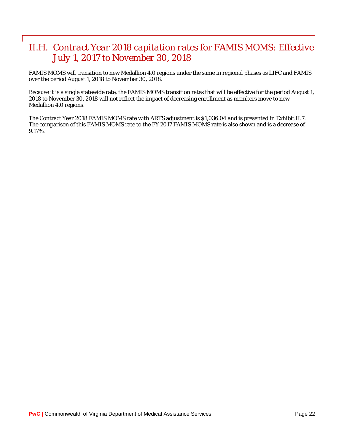# <span id="page-26-0"></span>*II.H. Contract Year 2018 capitation rates for FAMIS MOMS: Effective July 1, 2017 to November 30, 2018*

FAMIS MOMS will transition to new Medallion 4.0 regions under the same in regional phases as LIFC and FAMIS over the period August 1, 2018 to November 30, 2018.

Because it is a single statewide rate, the FAMIS MOMS transition rates that will be effective for the period August 1, 2018 to November 30, 2018 will not reflect the impact of decreasing enrollment as members move to new Medallion 4.0 regions.

The Contract Year 2018 FAMIS MOMS rate with ARTS adjustment is \$1,036.04 and is presented in Exhibit II.7. The comparison of this FAMIS MOMS rate to the FY 2017 FAMIS MOMS rate is also shown and is a decrease of 9.17%.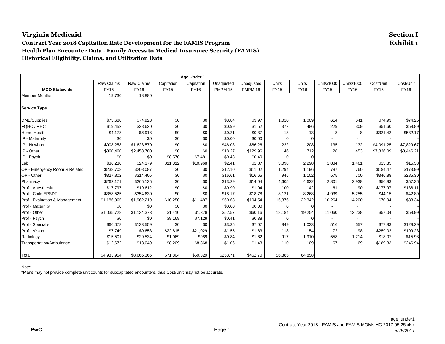#### **Contract Year 2018 Capitation Rate Development for the FAMIS Program Exhibit 1 Health Plan Encounter Data - Family Access to Medical Insurance Security (FAMIS) Historical Eligibility, Claims, and Utilization Data**

|                                |             |             |             | Age Under 1 |                |                |             |                |                          |                          |             |             |
|--------------------------------|-------------|-------------|-------------|-------------|----------------|----------------|-------------|----------------|--------------------------|--------------------------|-------------|-------------|
|                                | Raw Claims  | Raw Claims  | Capitation  | Capitation  | Unadjusted     | Unadjusted     | Units       | <b>Units</b>   | <b>Units/1000</b>        | <b>Units/1000</b>        | Cost/Unit   | Cost/Unit   |
| <b>MCO Statewide</b>           | <b>FY15</b> | <b>FY16</b> | <b>FY15</b> | <b>FY16</b> | <b>PMPM 15</b> | <b>PMPM 16</b> | <b>FY15</b> | <b>FY16</b>    | <b>FY15</b>              | <b>FY16</b>              | <b>FY15</b> | <b>FY16</b> |
| <b>Member Months</b>           | 19,730      | 18,880      |             |             |                |                |             |                |                          |                          |             |             |
| <b>Service Type</b>            |             |             |             |             |                |                |             |                |                          |                          |             |             |
| <b>DME/Supplies</b>            | \$75,680    | \$74,923    | \$0         | \$0         | \$3.84         | \$3.97         | 1,010       | 1,009          | 614                      | 641                      | \$74.93     | \$74.25     |
| FQHC / RHC                     | \$19,452    | \$28,620    | \$0         | \$0         | \$0.99         | \$1.52         | 377         | 486            | 229                      | 309                      | \$51.60     | \$58.89     |
| Home Health                    | \$4,178     | \$6,918     | \$0         | \$0         | \$0.21         | \$0.37         | 13          | 13             | 8                        | 8                        | \$321.42    | \$532.17    |
| IP - Maternity                 | \$0         | \$0         | \$0         | \$0         | \$0.00         | \$0.00         | $\mathbf 0$ | $\overline{0}$ |                          |                          |             |             |
| IP - Newborn                   | \$908,258   | \$1,628,570 | \$0         | \$0         | \$46.03        | \$86.26        | 222         | 208            | 135                      | 132                      | \$4,091.25  | \$7,829.67  |
| IP - Other                     | \$360,460   | \$2,453,700 | \$0         | \$0         | \$18.27        | \$129.96       | 46          | 712            | 28                       | 453                      | \$7,836.09  | \$3,446.21  |
| IP - Psych                     | \$0         | \$0         | \$8,570     | \$7,481     | \$0.43         | \$0.40         | 0           | $\overline{0}$ |                          | $\overline{\phantom{a}}$ |             |             |
| Lab                            | \$36,230    | \$24,379    | \$11,312    | \$10,968    | \$2.41         | \$1.87         | 3,098       | 2,298          | 1,884                    | 1,461                    | \$15.35     | \$15.38     |
| OP - Emergency Room & Related  | \$238,708   | \$208,087   | \$0         | \$0         | \$12.10        | \$11.02        | 1,294       | 1,196          | 787                      | 760                      | \$184.47    | \$173.99    |
| OP - Other                     | \$327,802   | \$314,405   | \$0         | \$0         | \$16.61        | \$16.65        | 945         | 1,102          | 575                      | 700                      | \$346.88    | \$285.30    |
| Pharmacy                       | \$262,171   | \$265,135   | \$0         | \$0         | \$13.29        | \$14.04        | 4,605       | 4,622          | 2,801                    | 2,938                    | \$56.93     | \$57.36     |
| Prof - Anesthesia              | \$17,797    | \$19,612    | \$0         | \$0         | \$0.90         | \$1.04         | 100         | 142            | 61                       | 90                       | \$177.97    | \$138.11    |
| Prof - Child EPSDT             | \$358,525   | \$354,630   | \$0         | \$0         | \$18.17        | \$18.78        | 8,121       | 8,268          | 4,939                    | 5,255                    | \$44.15     | \$42.89     |
| Prof - Evaluation & Management | \$1,186,965 | \$1,962,219 | \$10,250    | \$11,487    | \$60.68        | \$104.54       | 16,876      | 22,342         | 10,264                   | 14,200                   | \$70.94     | \$88.34     |
| Prof - Maternity               | \$0         | \$0         | \$0         | \$0         | \$0.00         | \$0.00         | 0           | $\overline{0}$ | $\overline{\phantom{a}}$ |                          |             |             |
| Prof - Other                   | \$1,035,728 | \$1,134,373 | \$1,410     | \$1,378     | \$52.57        | \$60.16        | 18,184      | 19,254         | 11,060                   | 12,238                   | \$57.04     | \$58.99     |
| Prof - Psych                   | \$0         | \$0         | \$8,168     | \$7,129     | \$0.41         | \$0.38         | $\mathbf 0$ | $\overline{0}$ |                          | $\overline{a}$           |             |             |
| Prof - Specialist              | \$66,078    | \$133,559   | \$0         | \$0         | \$3.35         | \$7.07         | 849         | 1,033          | 516                      | 657                      | \$77.83     | \$129.29    |
| Prof - Vision                  | \$7,749     | \$9,653     | \$22,815    | \$21,029    | \$1.55         | \$1.63         | 118         | 154            | 72                       | 98                       | \$259.02    | \$199.23    |
| Radiology                      | \$15,501    | \$29,534    | \$1,069     | \$989       | \$0.84         | \$1.62         | 917         | 1,910          | 558                      | 1,214                    | \$18.07     | \$15.98     |
| Transportation/Ambulance       | \$12,672    | \$18,049    | \$8,209     | \$8,868     | \$1.06         | \$1.43         | 110         | 109            | 67                       | 69                       | \$189.83    | \$246.94    |
| Total                          | \$4,933,954 | \$8,666,366 | \$71,804    | \$69,329    | \$253.71       | \$462.70       | 56,885      | 64,858         |                          |                          |             |             |

Note: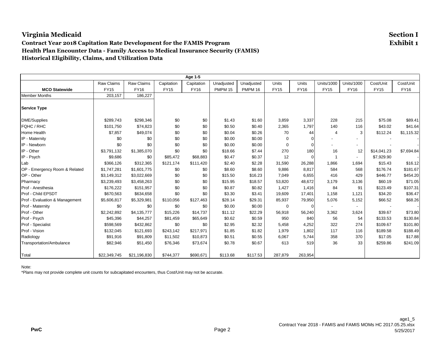#### **Contract Year 2018 Capitation Rate Development for the FAMIS Program Exhibit 1 Health Plan Encounter Data - Family Access to Medical Insurance Security (FAMIS) Historical Eligibility, Claims, and Utilization Data**

|                                |              |              |             | Age 1-5     |                |                |             |                |                          |                          |             |             |
|--------------------------------|--------------|--------------|-------------|-------------|----------------|----------------|-------------|----------------|--------------------------|--------------------------|-------------|-------------|
|                                | Raw Claims   | Raw Claims   | Capitation  | Capitation  | Unadjusted     | Unadjusted     | Units       | Units          | <b>Units/1000</b>        | <b>Units/1000</b>        | Cost/Unit   | Cost/Unit   |
| <b>MCO Statewide</b>           | <b>FY15</b>  | <b>FY16</b>  | <b>FY15</b> | <b>FY16</b> | <b>PMPM 15</b> | <b>PMPM 16</b> | <b>FY15</b> | <b>FY16</b>    | <b>FY15</b>              | <b>FY16</b>              | <b>FY15</b> | <b>FY16</b> |
| <b>Member Months</b>           | 203,157      | 186,227      |             |             |                |                |             |                |                          |                          |             |             |
| <b>Service Type</b>            |              |              |             |             |                |                |             |                |                          |                          |             |             |
| <b>DME/Supplies</b>            | \$289,743    | \$298,346    | \$0         | \$0         | \$1.43         | \$1.60         | 3,859       | 3,337          | 228                      | 215                      | \$75.08     | \$89.41     |
| FQHC / RHC                     | \$101,750    | \$74,823     | \$0         | \$0         | \$0.50         | \$0.40         | 2,365       | 1,797          | 140                      | 116                      | \$43.02     | \$41.64     |
| Home Health                    | \$7,857      | \$49,074     | \$0         | \$0         | \$0.04         | \$0.26         | 70          | 44             | $\overline{4}$           | 3                        | \$112.24    | \$1,115.32  |
| IP - Maternity                 | \$0          | \$0          | \$0         | \$0         | \$0.00         | \$0.00         | 0           | $\overline{0}$ |                          |                          |             |             |
| IP - Newborn                   | \$0          | \$0          | \$0         | \$0         | \$0.00         | \$0.00         | 0           | $\overline{0}$ |                          | $\overline{\phantom{a}}$ |             |             |
| IP - Other                     | \$3,791,132  | \$1,385,070  | \$0         | \$0         | \$18.66        | \$7.44         | 270         | 180            | 16                       | 12                       | \$14,041.23 | \$7,694.84  |
| IP - Psych                     | \$9,686      | \$0          | \$85,472    | \$68,883    | \$0.47         | \$0.37         | 12          | $\overline{0}$ |                          | $\overline{\phantom{a}}$ | \$7,929.90  |             |
| Lab                            | \$366,126    | \$312,365    | \$121,174   | \$111,420   | \$2.40         | \$2.28         | 31,590      | 26,288         | 1,866                    | 1,694                    | \$15.43     | \$16.12     |
| OP - Emergency Room & Related  | \$1,747,281  | \$1,601,775  | \$0         | \$0         | \$8.60         | \$8.60         | 9,886       | 8.817          | 584                      | 568                      | \$176.74    | \$181.67    |
| OP - Other                     | \$3,149,312  | \$3,022,669  | \$0         | \$0         | \$15.50        | \$16.23        | 7,049       | 6,655          | 416                      | 429                      | \$446.77    | \$454.20    |
| Pharmacy                       | \$3,239,493  | \$3,458,263  | \$0         | \$0         | \$15.95        | \$18.57        | 53,820      | 48,672         | 3,179                    | 3,136                    | \$60.19     | \$71.05     |
| Prof - Anesthesia              | \$176,222    | \$151,957    | \$0         | \$0         | \$0.87         | \$0.82         | 1,427       | 1,416          | 84                       | 91                       | \$123.49    | \$107.31    |
| Prof - Child EPSDT             | \$670,563    | \$634,658    | \$0         | \$0         | \$3.30         | \$3.41         | 19,609      | 17,401         | 1,158                    | 1,121                    | \$34.20     | \$36.47     |
| Prof - Evaluation & Management | \$5,606,817  | \$5,329,981  | \$110,056   | \$127,463   | \$28.14        | \$29.31        | 85,937      | 79,950         | 5,076                    | 5,152                    | \$66.52     | \$68.26     |
| Prof - Maternity               | \$0          | \$0          | \$0         | \$0         | \$0.00         | \$0.00         | 0           | $\overline{0}$ | $\overline{\phantom{a}}$ |                          |             |             |
| Prof - Other                   | \$2,242,892  | \$4,135,777  | \$15,226    | \$14,737    | \$11.12        | \$22.29        | 56,918      | 56,240         | 3,362                    | 3,624                    | \$39.67     | \$73.80     |
| Prof - Psych                   | \$45,396     | \$44,257     | \$81,459    | \$65,649    | \$0.62         | \$0.59         | 950         | 840            | 56                       | 54                       | \$133.53    | \$130.84    |
| Prof - Specialist              | \$598,569    | \$432,862    | \$0         | \$0         | \$2.95         | \$2.32         | 5,458       | 4,252          | 322                      | 274                      | \$109.67    | \$101.80    |
| Prof - Vision                  | \$132,045    | \$121,693    | \$243,142   | \$217,971   | \$1.85         | \$1.82         | 1,979       | 1,802          | 117                      | 116                      | \$189.58    | \$188.49    |
| Radiology                      | \$91,916     | \$91,809     | \$11,502    | \$10,873    | \$0.51         | \$0.55         | 6,067       | 5,744          | 358                      | 370                      | \$17.05     | \$17.88     |
| Transportation/Ambulance       | \$82,946     | \$51,450     | \$76,346    | \$73,674    | \$0.78         | \$0.67         | 613         | 519            | 36                       | 33                       | \$259.86    | \$241.09    |
| Total                          | \$22,349,745 | \$21,196,830 | \$744,377   | \$690,671   | \$113.68       | \$117.53       | 287,879     | 263,954        |                          |                          |             |             |

Note: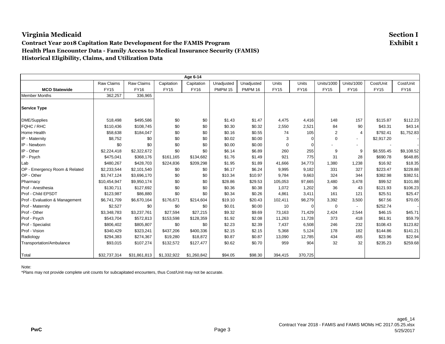#### **Contract Year 2018 Capitation Rate Development for the FAMIS Program Exhibit 1 Health Plan Encounter Data - Family Access to Medical Insurance Security (FAMIS) Historical Eligibility, Claims, and Utilization Data**

| Age 6-14                       |              |              |             |             |            |                |             |                |                   |                          |             |             |
|--------------------------------|--------------|--------------|-------------|-------------|------------|----------------|-------------|----------------|-------------------|--------------------------|-------------|-------------|
|                                | Raw Claims   | Raw Claims   | Capitation  | Capitation  | Unadjusted | Unadjusted     | Units       | <b>Units</b>   | <b>Units/1000</b> | <b>Units/1000</b>        | Cost/Unit   | Cost/Unit   |
| <b>MCO Statewide</b>           | <b>FY15</b>  | <b>FY16</b>  | <b>FY15</b> | <b>FY16</b> | PMPM 15    | <b>PMPM 16</b> | <b>FY15</b> | <b>FY16</b>    | <b>FY15</b>       | <b>FY16</b>              | <b>FY15</b> | <b>FY16</b> |
| <b>Member Months</b>           | 362,257      | 336,965      |             |             |            |                |             |                |                   |                          |             |             |
| <b>Service Type</b>            |              |              |             |             |            |                |             |                |                   |                          |             |             |
| <b>DME/Supplies</b>            | 518,498      | \$495,586    | \$0         | \$0         | \$1.43     | \$1.47         | 4,475       | 4,416          | 148               | 157                      | \$115.87    | \$112.23    |
| FQHC / RHC                     | \$110,436    | \$108,745    | \$0         | \$0         | \$0.30     | \$0.32         | 2,550       | 2,521          | 84                | 90                       | \$43.31     | \$43.14     |
| <b>Home Health</b>             | \$58,638     | \$184,047    | \$0         | \$0         | \$0.16     | \$0.55         | 74          | 105            | $\overline{2}$    | 4                        | \$792.41    | \$1,752.83  |
| IP - Maternity                 | \$8,752      | \$0          | \$0         | \$0         | \$0.02     | \$0.00         | 3           | $\overline{0}$ | $\mathbf 0$       |                          | \$2,917.20  |             |
| IP - Newborn                   | \$0          | \$0          | \$0         | \$0         | \$0.00     | \$0.00         | $\Omega$    | $\mathbf 0$    |                   | $\overline{\phantom{a}}$ |             |             |
| IP - Other                     | \$2,224,418  | \$2,322,672  | \$0         | \$0         | \$6.14     | \$6.89         | 260         | 255            | 9                 | 9                        | \$8,555.45  | \$9,108.52  |
| IP - Psych                     | \$475,041    | \$368,176    | \$161.165   | \$134,682   | \$1.76     | \$1.49         | 921         | 775            | 31                | 28                       | \$690.78    | \$648.85    |
| Lab                            | \$480,267    | \$428,703    | \$224,836   | \$209,298   | \$1.95     | \$1.89         | 41,666      | 34,773         | 1,380             | 1,238                    | \$16.92     | \$18.35     |
| OP - Emergency Room & Related  | \$2,233,544  | \$2,101,540  | \$0         | \$0         | \$6.17     | \$6.24         | 9,995       | 9,182          | 331               | 327                      | \$223.47    | \$228.88    |
| OP - Other                     | \$3,747,124  | \$3,696,170  | \$0         | \$0         | \$10.34    | \$10.97        | 9,784       | 9,663          | 324               | 344                      | \$382.98    | \$382.51    |
| Pharmacy                       | \$10,454,947 | \$9,950,174  | \$0         | \$0         | \$28.86    | \$29.53        | 105,053     | 97,665         | 3,480             | 3,478                    | \$99.52     | \$101.88    |
| Prof - Anesthesia              | \$130,711    | \$127,692    | \$0         | \$0         | \$0.36     | \$0.38         | 1,072       | 1,202          | 36                | 43                       | \$121.93    | \$106.23    |
| Prof - Child EPSDT             | \$123,987    | \$86,880     | \$0         | \$0         | \$0.34     | \$0.26         | 4,861       | 3,411          | 161               | 121                      | \$25.51     | \$25.47     |
| Prof - Evaluation & Management | \$6,741,709  | \$6,670,164  | \$176,671   | \$214,604   | \$19.10    | \$20.43        | 102,411     | 98,279         | 3,392             | 3,500                    | \$67.56     | \$70.05     |
| Prof - Maternity               | \$2,527      | \$0          | \$0         | \$0         | \$0.01     | \$0.00         | 10          | $\overline{0}$ | 0                 | $\sim$                   | \$252.74    |             |
| Prof - Other                   | \$3,348,783  | \$3,237,761  | \$27,594    | \$27,215    | \$9.32     | \$9.69         | 73,163      | 71,429         | 2,424             | 2,544                    | \$46.15     | \$45.71     |
| Prof - Psych                   | \$543,704    | \$572,813    | \$153,598   | \$128,359   | \$1.92     | \$2.08         | 11,263      | 11,728         | 373               | 418                      | \$61.91     | \$59.79     |
| Prof - Specialist              | \$806,402    | \$805,807    | \$0         | \$0         | \$2.23     | \$2.39         | 7,437       | 6,508          | 246               | 232                      | \$108.43    | \$123.82    |
| Prof - Vision                  | \$340,429    | \$323,241    | \$437,206   | \$400,336   | \$2.15     | \$2.15         | 5,368       | 5,124          | 178               | 182                      | \$144.86    | \$141.21    |
| Radiology                      | \$294,383    | \$274,367    | \$19,280    | \$18,872    | \$0.87     | \$0.87         | 13,090      | 12,785         | 434               | 455                      | \$23.96     | \$22.94     |
| Transportation/Ambulance       | \$93,015     | \$107,274    | \$132,572   | \$127,477   | \$0.62     | \$0.70         | 959         | 904            | 32                | 32                       | \$235.23    | \$259.68    |
| Total                          | \$32,737,314 | \$31,861,813 | \$1,332,922 | \$1,260,842 | \$94.05    | \$98.30        | 394,415     | 370,725        |                   |                          |             |             |

Note: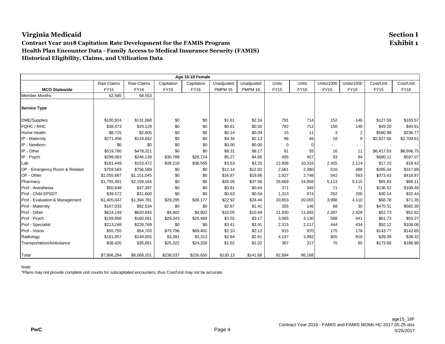#### **Contract Year 2018 Capitation Rate Development for the FAMIS Program Exhibit 1 Health Plan Encounter Data - Family Access to Medical Insurance Security (FAMIS) Historical Eligibility, Claims, and Utilization Data**

|                                |             |             |             | Age 15-18 Female |                |                |             |                |                   |                          |             |             |
|--------------------------------|-------------|-------------|-------------|------------------|----------------|----------------|-------------|----------------|-------------------|--------------------------|-------------|-------------|
|                                | Raw Claims  | Raw Claims  | Capitation  | Capitation       | Unadjusted     | Unadjusted     | Units       | Units          | <b>Units/1000</b> | <b>Units/1000</b>        | Cost/Unit   | Cost/Unit   |
| <b>MCO Statewide</b>           | <b>FY15</b> | <b>FY16</b> | <b>FY15</b> | <b>FY16</b>      | <b>PMPM 15</b> | <b>PMPM 16</b> | <b>FY15</b> | <b>FY16</b>    | <b>FY15</b>       | <b>FY16</b>              | <b>FY15</b> | <b>FY16</b> |
| <b>Member Months</b>           | 62,585      | 58,553      |             |                  |                |                |             |                |                   |                          |             |             |
| <b>Service Type</b>            |             |             |             |                  |                |                |             |                |                   |                          |             |             |
| <b>DME/Supplies</b>            | \$100,924   | \$131,068   | \$0         | \$0              | \$1.61         | \$2.24         | 791         | 714            | 152               | 146                      | \$127.59    | \$183.57    |
| FQHC / RHC                     | \$38,473    | \$29,129    | \$0         | \$0              | \$0.61         | \$0.50         | 782         | 712            | 150               | 146                      | \$49.20     | \$40.91     |
| Home Health                    | \$8,715     | \$2,605     | \$0         | \$0              | \$0.14         | \$0.04         | 15          | 11             | 3                 | $\overline{c}$           | \$580.99    | \$236.77    |
| IP - Maternity                 | \$271,456   | \$124,642   | \$0         | \$0              | \$4.34         | \$2.13         | 96          | 46             | 18                | 9                        | \$2,827.66  | \$2,709.61  |
| IP - Newborn                   | \$0         | \$0         | \$0         | \$0              | \$0.00         | \$0.00         | 0           | $\overline{0}$ |                   | $\overline{\phantom{a}}$ |             |             |
| IP - Other                     | \$519,780   | \$478,321   | \$0         | \$0              | \$8.31         | \$8.17         | 81          | 55             | 16                | 11                       | \$6,417.03  | \$8,696.75  |
| IP - Psych                     | \$299,063   | \$246,139   | \$30,788    | \$26,724         | \$5.27         | \$4.66         | 485         | 457            | 93                | 94                       | \$680.11    | \$597.07    |
| Lab                            | \$181,449   | \$153,472   | \$39,210    | \$36,565         | \$3.53         | \$3.25         | 12,806      | 10,316         | 2,455             | 2,114                    | \$17.23     | \$18.42     |
| OP - Emergency Room & Related  | \$759,563   | \$756,589   | \$0         | \$0              | \$12.14        | \$12.92        | 2,661       | 2,380          | 510               | 488                      | \$285.44    | \$317.89    |
| OP - Other                     | \$1,055,687 | \$1,151,045 | \$0         | \$0              | \$16.87        | \$19.66        | 2,827       | 2,748          | 542               | 563                      | \$373.43    | \$418.87    |
| Pharmacy                       | \$1,755,491 | \$2,199,164 | \$0         | \$0              | \$28.05        | \$37.56        | 26,669      | 24,958         | 5,113             | 5,115                    | \$65.83     | \$88.11     |
| Prof - Anesthesia              | \$50,648    | \$37,397    | \$0         | \$0              | \$0.81         | \$0.64         | 371         | 345            | 71                | 71                       | \$136.52    | \$108.40    |
| Prof - Child EPSDT             | \$39,572    | \$31,600    | \$0         | \$0              | \$0.63         | \$0.54         | 1,313       | 974            | 252               | 200                      | \$30.14     | \$32.44     |
| Prof - Evaluation & Management | \$1,405,047 | \$1,394,781 | \$29,295    | \$36,177         | \$22.92        | \$24.44        | 20,853      | 20,055         | 3,998             | 4,110                    | \$68.78     | \$71.35     |
| Prof - Maternity               | \$167,033   | \$82,534    | \$0         | \$0              | \$2.67         | \$1.41         | 355         | 146            | 68                | 30                       | \$470.51    | \$565.30    |
| Prof - Other                   | \$624,149   | \$620,845   | \$4,902     | \$4,802          | \$10.05        | \$10.69        | 11,930      | 11,845         | 2,287             | 2,428                    | \$52.73     | \$52.82     |
| Prof - Psych                   | \$159,856   | \$160,061   | \$29,343    | \$25,469         | \$3.02         | \$3.17         | 3,065       | 3,130          | 588               | 641                      | \$61.73     | \$59.27     |
| Prof - Specialist              | \$213,248   | \$228,769   | \$0         | \$0              | \$3.41         | \$3.91         | 2,315       | 2,117          | 444               | 434                      | \$92.12     | \$108.06    |
| Prof - Vision                  | \$55,755    | \$54,703    | \$75,796    | \$69,401         | \$2.10         | \$2.12         | 915         | 870            | 175               | 178                      | \$143.77    | \$142.65    |
| Radiology                      | \$161,957   | \$149,655   | \$3,381     | \$3,313          | \$2.64         | \$2.61         | 4,197       | 3,992          | 805               | 818                      | \$39.39     | \$38.32     |
| Transportation/Ambulance       | \$38,420    | \$35,681    | \$25,322    | \$24,200         | \$1.02         | \$1.02         | 367         | 317            | 70                | 65                       | \$173.68    | \$188.90    |
| Total                          | \$7,906,284 | \$8,068,201 | \$238,037   | \$226,650        | \$130.13       | \$141.66       | 92,894      | 86,188         |                   |                          |             |             |

Note: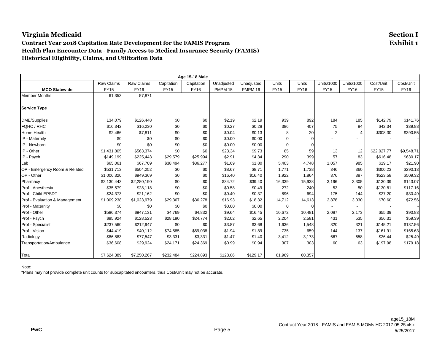#### **Contract Year 2018 Capitation Rate Development for the FAMIS Program Exhibit 1 Health Plan Encounter Data - Family Access to Medical Insurance Security (FAMIS) Historical Eligibility, Claims, and Utilization Data**

|                                |             |             |             | Age 15-18 Male |                |            |             |                |                          |                          |             |             |
|--------------------------------|-------------|-------------|-------------|----------------|----------------|------------|-------------|----------------|--------------------------|--------------------------|-------------|-------------|
|                                | Raw Claims  | Raw Claims  | Capitation  | Capitation     | Unadjusted     | Unadjusted | Units       | Units          | <b>Units/1000</b>        | <b>Units/1000</b>        | Cost/Unit   | Cost/Unit   |
| <b>MCO Statewide</b>           | <b>FY15</b> | <b>FY16</b> | <b>FY15</b> | <b>FY16</b>    | <b>PMPM 15</b> | PMPM 16    | <b>FY15</b> | <b>FY16</b>    | <b>FY15</b>              | <b>FY16</b>              | <b>FY15</b> | <b>FY16</b> |
| <b>Member Months</b>           | 61,353      | 57,871      |             |                |                |            |             |                |                          |                          |             |             |
| <b>Service Type</b>            |             |             |             |                |                |            |             |                |                          |                          |             |             |
| <b>DME/Supplies</b>            | 134,079     | \$126,448   | \$0         | \$0            | \$2.19         | \$2.19     | 939         | 892            | 184                      | 185                      | \$142.79    | \$141.76    |
| FQHC / RHC                     | \$16,342    | \$16,230    | \$0         | \$0            | \$0.27         | \$0.28     | 386         | 407            | 75                       | 84                       | \$42.34     | \$39.88     |
| Home Health                    | \$2,466     | \$7,811     | \$0         | \$0            | \$0.04         | \$0.13     | 8           | 20             | $\overline{2}$           | 4                        | \$308.30    | \$390.55    |
| IP - Maternity                 | \$0         | \$0         | \$0         | \$0            | \$0.00         | \$0.00     | 0           | $\overline{0}$ |                          |                          |             |             |
| IP - Newborn                   | \$0         | \$0         | \$0         | \$0            | \$0.00         | \$0.00     | $\mathbf 0$ | $\overline{0}$ |                          | $\sim$                   |             |             |
| IP - Other                     | \$1,431,805 | \$563,374   | \$0         | \$0            | \$23.34        | \$9.73     | 65          | 59             | 13                       | 12                       | \$22,027.77 | \$9,548.71  |
| IP - Psych                     | \$149,199   | \$225,443   | \$29,579    | \$25,994       | \$2.91         | \$4.34     | 290         | 399            | 57                       | 83                       | \$616.48    | \$630.17    |
| Lab                            | \$65,061    | \$67,709    | \$38,494    | \$36,277       | \$1.69         | \$1.80     | 5,403       | 4,748          | 1,057                    | 985                      | \$19.17     | \$21.90     |
| OP - Emergency Room & Related  | \$531,713   | \$504,252   | \$0         | \$0            | \$8.67         | \$8.71     | 1,771       | 1,738          | 346                      | 360                      | \$300.23    | \$290.13    |
| OP - Other                     | \$1,006,320 | \$949,369   | \$0         | \$0            | \$16.40        | \$16.40    | 1,922       | 1,864          | 376                      | 387                      | \$523.58    | \$509.32    |
| Pharmacy                       | \$2,130,443 | \$2,280,190 | \$0         | \$0            | \$34.72        | \$39.40    | 16,339      | 15,938         | 3,196                    | 3,305                    | \$130.39    | \$143.07    |
| Prof - Anesthesia              | \$35,579    | \$28,118    | \$0         | \$0            | \$0.58         | \$0.49     | 272         | 240            | 53                       | 50                       | \$130.81    | \$117.16    |
| Prof - Child EPSDT             | \$24,373    | \$21,162    | \$0         | \$0            | \$0.40         | \$0.37     | 896         | 694            | 175                      | 144                      | \$27.20     | \$30.49     |
| Prof - Evaluation & Management | \$1,009,238 | \$1,023,979 | \$29,367    | \$36,278       | \$16.93        | \$18.32    | 14,712      | 14,613         | 2,878                    | 3,030                    | \$70.60     | \$72.56     |
| Prof - Maternity               | \$0         | \$0         | \$0         | \$0            | \$0.00         | \$0.00     | 0           | $\overline{0}$ | $\overline{\phantom{a}}$ | $\overline{\phantom{a}}$ |             |             |
| Prof - Other                   | \$586,374   | \$947,131   | \$4,769     | \$4,832        | \$9.64         | \$16.45    | 10,672      | 10,481         | 2,087                    | 2,173                    | \$55.39     | \$90.83     |
| Prof - Psych                   | \$95,924    | \$128,523   | \$28,190    | \$24,774       | \$2.02         | \$2.65     | 2,204       | 2,581          | 431                      | 535                      | \$56.31     | \$59.39     |
| Prof - Specialist              | \$237,560   | \$212,947   | \$0         | \$0            | \$3.87         | \$3.68     | 1,636       | 1,548          | 320                      | 321                      | \$145.21    | \$137.56    |
| Prof - Vision                  | \$44,419    | \$40,112    | \$74,585    | \$69,038       | \$1.94         | \$1.89     | 735         | 659            | 144                      | 137                      | \$161.91    | \$165.63    |
| Radiology                      | \$86,883    | \$77,547    | \$3,331     | \$3,331        | \$1.47         | \$1.40     | 3,412       | 3,173          | 667                      | 658                      | \$26.44     | \$25.49     |
| Transportation/Ambulance       | \$36,608    | \$29,924    | \$24,171    | \$24,369       | \$0.99         | \$0.94     | 307         | 303            | 60                       | 63                       | \$197.98    | \$179.18    |
| Total                          | \$7,624,389 | \$7,250,267 | \$232,484   | \$224,893      | \$128.06       | \$129.17   | 61,969      | 60,357         |                          |                          |             |             |

Note: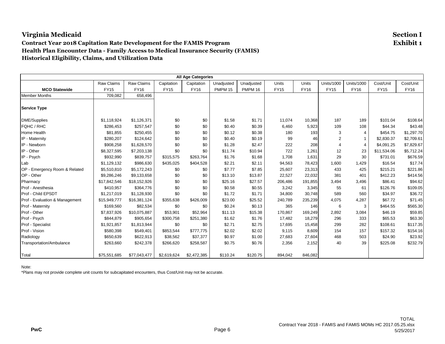#### **Contract Year 2018 Capitation Rate Development for the FAMIS Program Exhibit 1 Health Plan Encounter Data - Family Access to Medical Insurance Security (FAMIS) Historical Eligibility, Claims, and Utilization Data**

| <b>All Age Categories</b>      |              |                   |             |             |                |                |             |              |                   |                   |             |             |
|--------------------------------|--------------|-------------------|-------------|-------------|----------------|----------------|-------------|--------------|-------------------|-------------------|-------------|-------------|
|                                | Raw Claims   | <b>Raw Claims</b> | Capitation  | Capitation  | Unadjusted     | Unadjusted     | Units       | <b>Units</b> | <b>Units/1000</b> | <b>Units/1000</b> | Cost/Unit   | Cost/Unit   |
| <b>MCO Statewide</b>           | <b>FY15</b>  | <b>FY16</b>       | <b>FY15</b> | <b>FY16</b> | <b>PMPM 15</b> | <b>PMPM 16</b> | <b>FY15</b> | <b>FY16</b>  | <b>FY15</b>       | <b>FY16</b>       | <b>FY15</b> | <b>FY16</b> |
| <b>Member Months</b>           | 709,082      | 658,496           |             |             |                |                |             |              |                   |                   |             |             |
| <b>Service Type</b>            |              |                   |             |             |                |                |             |              |                   |                   |             |             |
| <b>DME/Supplies</b>            | \$1,118,924  | \$1,126,371       | \$0         | \$0         | \$1.58         | \$1.71         | 11,074      | 10,368       | 187               | 189               | \$101.04    | \$108.64    |
| FQHC / RHC                     | \$286,453    | \$257,547         | \$0         | \$0         | \$0.40         | \$0.39         | 6,460       | 5,923        | 109               | 108               | \$44.34     | \$43.48     |
| Home Health                    | \$81,855     | \$250,455         | \$0         | \$0         | \$0.12         | \$0.38         | 180         | 193          | 3                 | 4                 | \$454.75    | \$1,297.70  |
| IP - Maternity                 | \$280,207    | \$124,642         | \$0         | \$0         | \$0.40         | \$0.19         | 99          | 46           | $\overline{2}$    |                   | \$2,830.37  | \$2,709.61  |
| IP - Newborn                   | \$908,258    | \$1,628,570       | \$0         | \$0         | \$1.28         | \$2.47         | 222         | 208          | $\overline{4}$    | 4                 | \$4,091.25  | \$7,829.67  |
| IP - Other                     | \$8,327,595  | \$7,203,138       | \$0         | \$0         | \$11.74        | \$10.94        | 722         | 1,261        | 12                | 23                | \$11,534.06 | \$5,712.24  |
| IP - Psych                     | \$932,990    | \$839,757         | \$315,575   | \$263,764   | \$1.76         | \$1.68         | 1,708       | 1,631        | 29                | 30                | \$731.01    | \$676.59    |
| Lab                            | \$1,129,132  | \$986,630         | \$435,025   | \$404,528   | \$2.21         | \$2.11         | 94,563      | 78,423       | 1,600             | 1,429             | \$16.54     | \$17.74     |
| OP - Emergency Room & Related  | \$5,510,810  | \$5,172,243       | \$0         | \$0         | \$7.77         | \$7.85         | 25,607      | 23,313       | 433               | 425               | \$215.21    | \$221.86    |
| OP - Other                     | \$9,286,246  | \$9,133,658       | \$0         | \$0         | \$13.10        | \$13.87        | 22,527      | 22,032       | 381               | 401               | \$412.23    | \$414.56    |
| Pharmacy                       | \$17,842,546 | \$18,152,926      | \$0         | \$0         | \$25.16        | \$27.57        | 206,486     | 191,855      | 3,494             | 3,496             | \$86.41     | \$94.62     |
| Prof - Anesthesia              | \$410,957    | \$364,776         | \$0         | \$0         | \$0.58         | \$0.55         | 3,242       | 3,345        | 55                | 61                | \$126.76    | \$109.05    |
| Prof - Child EPSDT             | \$1,217,019  | \$1,128,930       | \$0         | \$0         | \$1.72         | \$1.71         | 34,800      | 30,748       | 589               | 560               | \$34.97     | \$36.72     |
| Prof - Evaluation & Management | \$15,949,777 | \$16,381,124      | \$355,638   | \$426,009   | \$23.00        | \$25.52        | 240,789     | 235,239      | 4,075             | 4,287             | \$67.72     | \$71.45     |
| Prof - Maternity               | \$169,560    | \$82,534          | \$0         | \$0         | \$0.24         | \$0.13         | 365         | 146          | 6                 | 3                 | \$464.55    | \$565.30    |
| Prof - Other                   | \$7,837,926  | \$10,075,887      | \$53,901    | \$52,964    | \$11.13        | \$15.38        | 170,867     | 169,249      | 2,892             | 3,084             | \$46.19     | \$59.85     |
| Prof - Psych                   | \$844,879    | \$905,654         | \$300,758   | \$251,380   | \$1.62         | \$1.76         | 17,482      | 18,279       | 296               | 333               | \$65.53     | \$63.30     |
| Prof - Specialist              | \$1,921,857  | \$1,813,944       | \$0         | \$0         | \$2.71         | \$2.75         | 17,695      | 15,458       | 299               | 282               | \$108.61    | \$117.35    |
| Prof - Vision                  | \$580,398    | \$549,401         | \$853,544   | \$777,775   | \$2.02         | \$2.02         | 9,115       | 8,609        | 154               | 157               | \$157.32    | \$154.16    |
| Radiology                      | \$650,639    | \$622,913         | \$38,562    | \$37,377    | \$0.97         | \$1.00         | 27,683      | 27,604       | 468               | 503               | \$24.90     | \$23.92     |
| Transportation/Ambulance       | \$263,660    | \$242,378         | \$266,620   | \$258,587   | \$0.75         | \$0.76         | 2,356       | 2,152        | 40                | 39                | \$225.08    | \$232.79    |
| Total                          | \$75,551,685 | \$77,043,477      | \$2,619,624 | \$2,472,385 | \$110.24       | \$120.75       | 894,042     | 846,082      |                   |                   |             |             |

Note: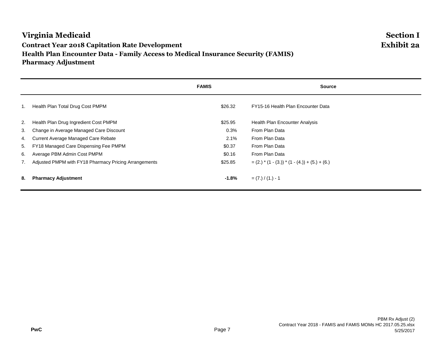#### **Virginia Medicaid Section I Contract Year 2018 Capitation Rate Development Exhibit 2a Health Plan Encounter Data - Family Access to Medical Insurance Security (FAMIS) Pharmacy Adjustment**

|    |                                                       | <b>FAMIS</b> | <b>Source</b>                                        |
|----|-------------------------------------------------------|--------------|------------------------------------------------------|
| 1. | Health Plan Total Drug Cost PMPM                      | \$26.32      | FY15-16 Health Plan Encounter Data                   |
| 2. | Health Plan Drug Ingredient Cost PMPM                 | \$25.95      | Health Plan Encounter Analysis                       |
| 3. | Change in Average Managed Care Discount               | 0.3%         | From Plan Data                                       |
| 4. | Current Average Managed Care Rebate                   | 2.1%         | From Plan Data                                       |
| 5. | FY18 Managed Care Dispensing Fee PMPM                 | \$0.37       | From Plan Data                                       |
| 6. | Average PBM Admin Cost PMPM                           | \$0.16       | From Plan Data                                       |
| 7. | Adjusted PMPM with FY18 Pharmacy Pricing Arrangements | \$25.85      | $= (2.)$ * $(1 - (3.))$ * $(1 - (4.)) + (5.) + (6.)$ |
| 8. | <b>Pharmacy Adjustment</b>                            | $-1.8\%$     | $= (7.) / (1.) - 1$                                  |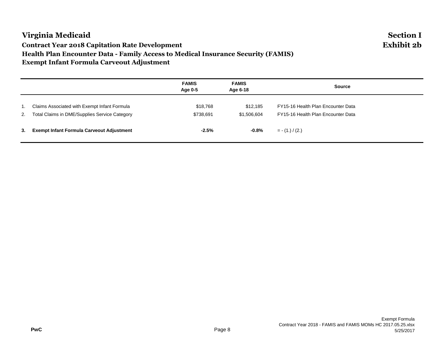#### **Virginia Medicaid Section I Contract Year 2018 Capitation Rate Development Exhibit 2b Health Plan Encounter Data - Family Access to Medical Insurance Security (FAMIS) Exempt Infant Formula Carveout Adjustment**

|    |                                                                                                  | <b>FAMIS</b><br>Age 0-5 | <b>FAMIS</b><br>Age 6-18 | <b>Source</b>                                                            |
|----|--------------------------------------------------------------------------------------------------|-------------------------|--------------------------|--------------------------------------------------------------------------|
|    | Claims Associated with Exempt Infant Formula<br>2. Total Claims in DME/Supplies Service Category | \$18,768<br>\$738,691   | \$12,185<br>\$1,506,604  | FY15-16 Health Plan Encounter Data<br>FY15-16 Health Plan Encounter Data |
| 3. | <b>Exempt Infant Formula Carveout Adjustment</b>                                                 | $-2.5%$                 | -0.8%                    | $= -(1.)/(2.)$                                                           |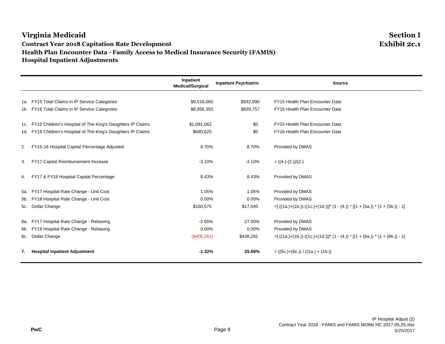#### **Virginia Medicaid Section I Contract Year 2018 Capitation Rate Development Health Plan Encounter Data - Family Access to Medical Insurance Security (FAMIS) Hospital Inpatient Adjustments**

|                                                                | Inpatient<br><b>Medical/Surgical</b> | <b>Inpatient Psychiatric</b> | <b>Source</b>                                                                   |
|----------------------------------------------------------------|--------------------------------------|------------------------------|---------------------------------------------------------------------------------|
|                                                                |                                      |                              |                                                                                 |
| 1a. FY15 Total Claims in IP Service Categories                 | \$9,516,060                          | \$932,990                    | FY15 Health Plan Encounter Data                                                 |
| 1b. FY16 Total Claims in IP Service Categories                 | \$8,956,350                          | \$839,757                    | FY16 Health Plan Encounter Data                                                 |
| 1c. FY15 Children's Hospital of The King's Daughters IP Claims | \$1,091,062                          | \$0                          | FY15 Health Plan Encounter Data                                                 |
| 1d. FY16 Children's Hospital of The King's Daughters IP Claims | \$680,625                            | \$0                          | FY16 Health Plan Encounter Data                                                 |
| 2. FY15-16 Hospital Capital Percentage Adjusted                | 8.70%                                | 8.70%                        | Provided by DMAS                                                                |
| 3. FY17 Capital Reimbursement Increase                         | $-3.10%$                             | $-3.10%$                     | $= ((4.)-(2.))/(2.)$                                                            |
| 4. FY17 & FY18 Hospital Capital Percentage                     | 8.43%                                | 8.43%                        | Provided by DMAS                                                                |
| 5a. FY17 Hospital Rate Change - Unit Cost                      | 1.05%                                | 1.05%                        | Provided by DMAS                                                                |
| 5b. FY18 Hospital Rate Change - Unit Cost                      | $0.00\%$                             | 0.00%                        | Provided by DMAS                                                                |
| 5c. Dollar Change                                              | \$160,575                            | \$17,045                     | $=[((1a.)+(1b.))-((1c.)+(1d.))]$ * $(1-(4.))$ * $[(1+(5a.))$ * $(1+(5b.))$ - 1] |
| 6a. FY17 Hospital Rate Change - Rebasing                       | $-2.65%$                             | 27.00%                       | Provided by DMAS                                                                |
| 6b. FY18 Hospital Rate Change - Rebasing                       | $0.00\%$                             | $0.00\%$                     | Provided by DMAS                                                                |
| 6c. Dollar Change                                              | (\$405,261)                          | \$438,292                    | $=[((1a.)+(1b.))-((1c.)+(1d.))]$ * $(1-(4.))$ * $[(1+(6a.))$ * $(1+(6b.))-1]$   |
| 7. Hospital Inpatient Adjustment                               | $-1.32%$                             | 25.69%                       | $= ((5c.)+(6c.)) / ((1a.)+(1b.))$                                               |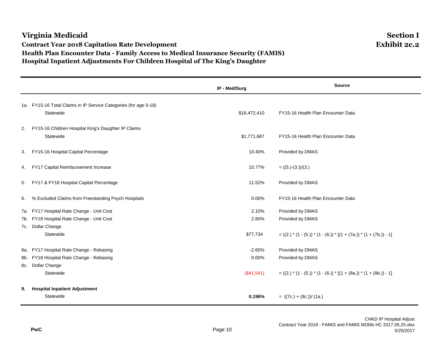## **Virginia Medicaid Section I Contract Year 2018 Capitation Rate Development Exhibit 2c.2 Health Plan Encounter Data - Family Access to Medical Insurance Security (FAMIS) Hospital Inpatient Adjustments For Children Hospital of The King's Daughter**

# **IP - Med/Surg Source** 1a. FY15-16 Total Claims in IP Service Categories (for age 0-18) Statewide **\$18,472,410** FY15-16 Health Plan Encounter Data 2. FY15-16 Children Hospital King's Daughter IP Claims Statewide \$1,771,687 FY15-16 Health Plan Encounter Data 3. FY15-16 Hospital Capital Percentage 10.40% Provided by DMAS 4. FY17 Capital Reimbursement Increase 10.77% = ((5.)-(3.))/(3.) 5. FY17 & FY18 Hospital Capital Percentage 11.52% Provided by DMAS 6. % Excluded Claims from Freestanding Psych Hospitals 0.00% FY15-16 Health Plan Encounter Data 7a. FY17 Hospital Rate Change - Unit Cost 2.10% Provided by DMAS 7b. FY18 Hospital Rate Change - Unit Cost 2.80% Provided by DMAS 7c. Dollar Change Statewide  $$77,734$   $= ((2.)^* (1 - (5.))^* (1 - (6.))^* (1 + (7a.))^* (1 + (7b.))^ - 1]$ 8a. FY17 Hospital Rate Change - Rebasing Change - Change - Change - 2.65% Provided by DMAS 8b. FY18 Hospital Rate Change - Rebasing 0.000 Provided by DMAS 8c. Dollar Change Statewide (\$41,541) =  $((2.)^* (1 - (5.))^* (1 - (6.))^* (1 + (8a.))^* (1 + (8b.))^ - 1)$ **9. Hospital Inpatient Adjustment** Statewide **0.196%** = ((7c.) + (8c.))/ (1a.)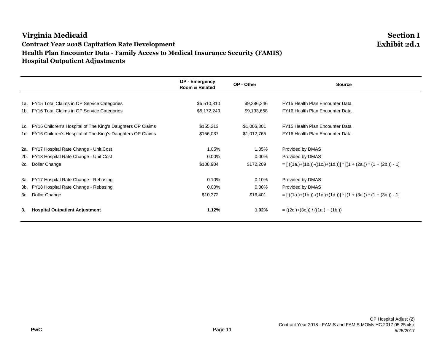# **Virginia Medicaid Section I Contract Year 2018 Capitation Rate Development Health Plan Encounter Data - Family Access to Medical Insurance Security (FAMIS) Hospital Outpatient Adjustments**

|       |                                                            | OP - Emergency<br>Room & Related | OP - Other  | <b>Source</b>                                                                |
|-------|------------------------------------------------------------|----------------------------------|-------------|------------------------------------------------------------------------------|
|       |                                                            |                                  |             |                                                                              |
| 1a. l | FY15 Total Claims in OP Service Categories                 | \$5,510,810                      | \$9,286,246 | FY15 Health Plan Encounter Data                                              |
|       | 1b. FY16 Total Claims in OP Service Categories             | \$5,172,243                      | \$9,133,658 | FY16 Health Plan Encounter Data                                              |
| 1c.   | FY15 Children's Hospital of The King's Daughters OP Claims | \$155,213                        | \$1,006,301 | FY15 Health Plan Encounter Data                                              |
| 1d.   | FY16 Children's Hospital of The King's Daughters OP Claims | \$156,037                        | \$1,012,765 | FY16 Health Plan Encounter Data                                              |
| 2a.   | FY17 Hospital Rate Change - Unit Cost                      | 1.05%                            | 1.05%       | Provided by DMAS                                                             |
| 2b.   | FY18 Hospital Rate Change - Unit Cost                      | $0.00\%$                         | $0.00\%$    | Provided by DMAS                                                             |
| 2c.   | Dollar Change                                              | \$108,904                        | \$172,209   | $= [ ((1a.)+(1b.)) - ((1c.)+(1d.))]$ * $[ (1 + (2a.))$ * $(1 + (2b.)) - 1 ]$ |
| 3а.   | FY17 Hospital Rate Change - Rebasing                       | 0.10%                            | $0.10\%$    | Provided by DMAS                                                             |
| 3b.   | FY18 Hospital Rate Change - Rebasing                       | $0.00\%$                         | 0.00%       | Provided by DMAS                                                             |
| 3c.   | Dollar Change                                              | \$10,372                         | \$16,401    | $= [ ((1a.)+(1b.)) - ((1c.)+(1d.))]$ * $[ (1 + (3a.))$ * $(1 + (3b.)) - 1 ]$ |
| 3.    | <b>Hospital Outpatient Adjustment</b>                      | 1.12%                            | $1.02\%$    | $= ((2c.)+(3c.)) / ((1a.)+(1b.))$                                            |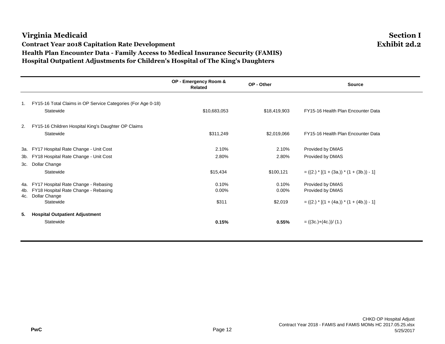## **Virginia Medicaid Section I Contract Year 2018 Capitation Rate Development Exhibit 2d.2 Health Plan Encounter Data - Family Access to Medical Insurance Security (FAMIS) Hospital Outpatient Adjustments for Children's Hospital of The King's Daughters**

**OP - Emergency Room & Related OP - Other Source** 1. FY15-16 Total Claims in OP Service Categories (For Age 0-18) Statewide **\$10,683,053** \$10,683,053 \$18,419,903 FY15-16 Health Plan Encounter Data 2. FY15-16 Children Hospital King's Daughter OP Claims Statewide **\$2,019,066** FY15-16 Health Plan Encounter Data **\$2,019,066** FY15-16 Health Plan Encounter Data 3a. FY17 Hospital Rate Change - Unit Cost 2.10% 2.10% Provided by DMAS 3b. FY18 Hospital Rate Change - Unit Cost 2.80% 2.80% Provided by DMAS 3c. Dollar Change Statewide \$15,434 \$100,121 = ((2.) \* [(1 + (3a.)) \* (1 + (3b.)) - 1] 4a. FY17 Hospital Rate Change - Rebasing 0.10% 0.10% Provided by DMAS 4b. FY18 Hospital Rate Change - Rebasing 0.00% 0.00% Provided by DMAS 4c. Dollar Change<br>Statewide  $$311$   $$2,019$   $= ((2.) * [(1 + (4a.)) * (1 + (4b.)) - 1]$ **5. Hospital Outpatient Adjustment** Statewide **0.15% 0.55%** = ((3c.)+(4c.))/ (1.)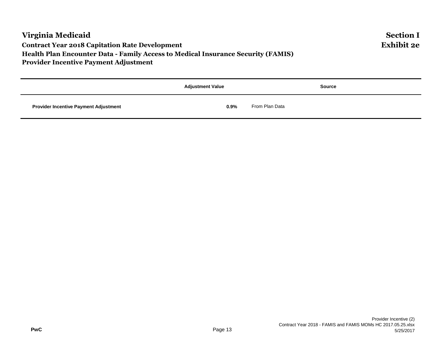|                                              | <b>Adjustment Value</b> | <b>Source</b>  |  |  |
|----------------------------------------------|-------------------------|----------------|--|--|
| <b>Provider Incentive Payment Adjustment</b> | $0.9\%$                 | From Plan Data |  |  |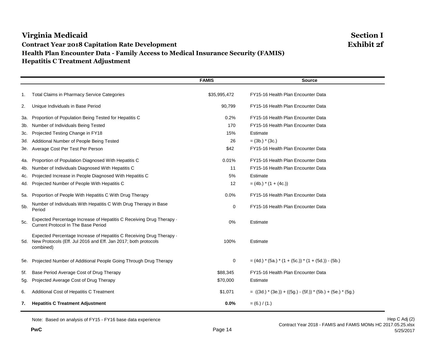## **Virginia Medicaid Section I Contract Year 2018 Capitation Rate Development Exhibit 2f Health Plan Encounter Data - Family Access to Medical Insurance Security (FAMIS) Hepatitis C Treatment Adjustment**

# **FAMIS Source** 1. Total Claims in Pharmacy Service Categories  $$35,995,472$  FY15-16 Health Plan Encounter Data 2. Unique Individuals in Base Period 90,799 FY15-16 Health Plan Encounter Data 3a. Proportion of Population Being Tested for Hepatitis C 0.2% FY15-16 Health Plan Encounter Data 3b. Number of Individuals Being Tested 170 FY15-16 Health Plan Encounter Data 3c. Projected Testing Change in FY18 15% Estimate in FY18 3d. Additional Number of People Being Tested 26 = (3b.) \* (3c.) 3e. Average Cost Per Test Per Person \$42 FY15-16 Health Plan Encounter Data 4a. Proportion of Population Diagnosed With Hepatitis C 0.01% FY15-16 Health Plan Encounter Data 4b. Number of Individuals Diagnosed With Hepatitis C 10 10 10 10 11 FY15-16 Health Plan Encounter Data 4c. Projected Increase in People Diagnosed With Hepatitis C 5% Estimate 4d. Projected Number of People With Hepatitis C  $(4b)$   $*$  (1 + (4c.)) 5a. Proportion of People With Hepatitis C With Drug Therapy 0.0% FY15-16 Health Plan Encounter Data 5b. Number of Individuals With Hepatitis C With Drug Therapy in Base 0 FY15-16 Health Plan Encounter Data 5c. Expected Percentage Increase of Hepatitis C Receiving Drug Therapy - Expected Percentage increase of Hepatitis C Receiving Drug Therapy<br>Current Protocol In The Base Period 5d. New Protocols (Eff. Jul 2016 and Eff. Jan 2017; both protocols Expected Percentage Increase of Hepatitis C Receiving Drug Therapy combined) 100% Estimate 5e. Projected Number of Additional People Going Through Drug Therapy  $0 = (4d.)$  \* (5a.) \* (1 + (5c.)) \* (1 + (5d.)) - (5b.) 5f. Base Period Average Cost of Drug Therapy **\$88,345** FY15-16 Health Plan Encounter Data 5g. Projected Average Cost of Drug Therapy **\$70,000** Estimate 6. Additional Cost of Hepatitis C Treatment  $$1,071 = ((3d.) * (3e.))+((5g.) - (5f.))+ (5e.) * (5g.)$ **7. Hepatitis C Treatment Adjustment 0.0%** = (6.) / (1.)

Note: Based on analysis of FY15 - FY16 base data experience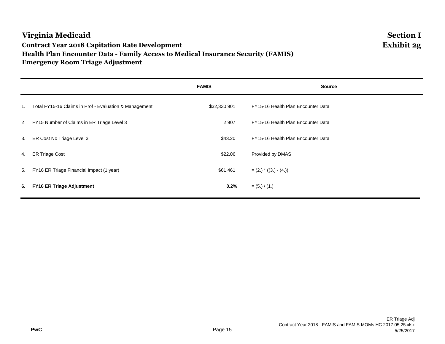# **Virginia Medicaid Section I Contract Year 2018 Capitation Rate Development Exhibit 2g Health Plan Encounter Data - Family Access to Medical Insurance Security (FAMIS) Emergency Room Triage Adjustment**

|                |                                                        | <b>FAMIS</b> | <b>Source</b>                      |
|----------------|--------------------------------------------------------|--------------|------------------------------------|
| 1.             | Total FY15-16 Claims in Prof - Evaluation & Management | \$32,330,901 | FY15-16 Health Plan Encounter Data |
| $\overline{2}$ | FY15 Number of Claims in ER Triage Level 3             | 2,907        | FY15-16 Health Plan Encounter Data |
|                | 3. ER Cost No Triage Level 3                           | \$43.20      | FY15-16 Health Plan Encounter Data |
| 4.             | <b>ER Triage Cost</b>                                  | \$22.06      | Provided by DMAS                   |
| 5.             | FY16 ER Triage Financial Impact (1 year)               | \$61,461     | $=(2.)$ * $((3.) - (4.)$           |
| 6.             | <b>FY16 ER Triage Adjustment</b>                       | 0.2%         | $= (5.) / (1.)$                    |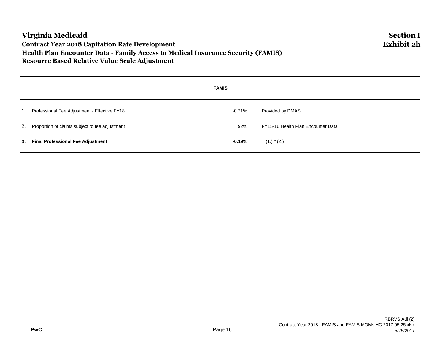# **Virginia Medicaid Section I Contract Year 2018 Capitation Rate Development Exhibit 2h Health Plan Encounter Data - Family Access to Medical Insurance Security (FAMIS) Resource Based Relative Value Scale Adjustment**

|                  |                                                   | <b>FAMIS</b> |                                    |
|------------------|---------------------------------------------------|--------------|------------------------------------|
| $\overline{1}$ . | Professional Fee Adjustment - Effective FY18      | $-0.21\%$    | Provided by DMAS                   |
|                  | 2. Proportion of claims subject to fee adjustment | 92%          | FY15-16 Health Plan Encounter Data |
|                  | 3. Final Professional Fee Adjustment              | -0.19%       | $=$ (1.) $*$ (2.)                  |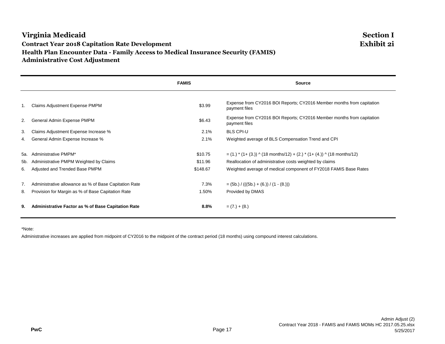## **Virginia Medicaid Section I Contract Year 2018 Capitation Rate Development Exhibit 2i Health Plan Encounter Data - Family Access to Medical Insurance Security (FAMIS) Administrative Cost Adjustment**

|     |                                                           | <b>FAMIS</b> | <b>Source</b>                                                                          |
|-----|-----------------------------------------------------------|--------------|----------------------------------------------------------------------------------------|
| 1.  | <b>Claims Adjustment Expense PMPM</b>                     | \$3.99       | Expense from CY2016 BOI Reports; CY2016 Member months from capitation<br>payment files |
| 2.  | General Admin Expense PMPM                                | \$6.43       | Expense from CY2016 BOI Reports; CY2016 Member months from capitation<br>payment files |
| 3.  | Claims Adjustment Expense Increase %                      | 2.1%         | <b>BLS CPI-U</b>                                                                       |
| 4.  | General Admin Expense Increase %                          | 2.1%         | Weighted average of BLS Compensation Trend and CPI                                     |
| 5а. | Administrative PMPM*                                      | \$10.75      |                                                                                        |
| 5b. | Administrative PMPM Weighted by Claims                    | \$11.96      | Reallocation of administrative costs weighted by claims                                |
| 6.  | Adjusted and Trended Base PMPM                            | \$148.67     | Weighted average of medical component of FY2018 FAMIS Base Rates                       |
| 7.  | Administrative allowance as % of Base Capitation Rate     | 7.3%         | $=$ (5b.) / (((5b.) + (6.)) / (1 - (8.)))                                              |
| 8.  | Provision for Margin as % of Base Capitation Rate         | 1.50%        | Provided by DMAS                                                                       |
| 9.  | <b>Administrative Factor as % of Base Capitation Rate</b> | 8.8%         | $= (7.) + (8.)$                                                                        |

\*Note:

Administrative increases are applied from midpoint of CY2016 to the midpoint of the contract period (18 months) using compound interest calculations.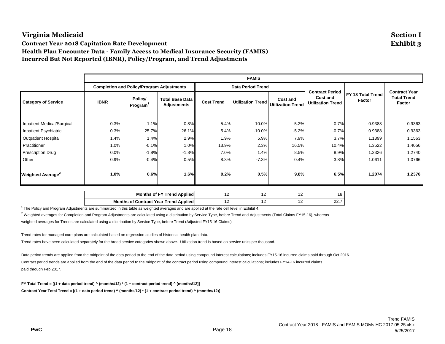**Contract Year 2018 Capitation Rate Development Exhibit 3 Health Plan Encounter Data - Family Access to Medical Insurance Security (FAMIS) Incurred But Not Reported (IBNR), Policy/Program, and Trend Adjustments**

|                               |             |                                                  |                                              |                   | <b>FAMIS</b>             |                                      |                                                                       |                             |                                                      |
|-------------------------------|-------------|--------------------------------------------------|----------------------------------------------|-------------------|--------------------------|--------------------------------------|-----------------------------------------------------------------------|-----------------------------|------------------------------------------------------|
|                               |             | <b>Completion and Policy/Program Adjustments</b> |                                              |                   | <b>Data Period Trend</b> |                                      |                                                                       |                             | <b>Contract Year</b><br><b>Total Trend</b><br>Factor |
| <b>Category of Service</b>    | <b>IBNR</b> | Policy/<br>Program <sup>1</sup>                  | <b>Total Base Data</b><br><b>Adjustments</b> | <b>Cost Trend</b> | <b>Utilization Trend</b> | Cost and<br><b>Utilization Trend</b> | <b>Contract Period</b><br><b>Cost and</b><br><b>Utilization Trend</b> | FY 18 Total Trend<br>Factor |                                                      |
|                               |             |                                                  |                                              |                   |                          |                                      |                                                                       |                             |                                                      |
| Inpatient Medical/Surgical    | 0.3%        | $-1.1%$                                          | $-0.8%$                                      | 5.4%              | $-10.0%$                 | $-5.2%$                              | $-0.7%$                                                               | 0.9388                      | 0.9363                                               |
| Inpatient Psychiatric         | 0.3%        | 25.7%                                            | 26.1%                                        | 5.4%              | $-10.0%$                 | $-5.2%$                              | $-0.7%$                                                               | 0.9388                      | 0.9363                                               |
| <b>Outpatient Hospital</b>    | 1.4%        | 1.4%                                             | 2.9%                                         | 1.9%              | 5.9%                     | 7.9%                                 | 3.7%                                                                  | 1.1399                      | 1.1563                                               |
| Practitioner                  | 1.0%        | $-0.1%$                                          | 1.0%                                         | 13.9%             | 2.3%                     | 16.5%                                | 10.4%                                                                 | 1.3522                      | 1.4056                                               |
| <b>Prescription Drug</b>      | 0.0%        | $-1.8%$                                          | $-1.8%$                                      | 7.0%              | 1.4%                     | 8.5%                                 | 8.9%                                                                  | 1.2326                      | 1.2740                                               |
| Other                         | 0.9%        | $-0.4%$                                          | 0.5%                                         | 8.3%              | $-7.3%$                  | 0.4%                                 | 3.8%                                                                  | 1.0611                      | 1.0766                                               |
| Weighted Average <sup>2</sup> | 1.0%        | 0.6%                                             | 1.6%                                         | 9.2%              | 0.5%                     | 9.8%                                 | 6.5%                                                                  | 1.2074                      | 1.2376                                               |

| <b>Months of FY Trend Applied</b>     | . . |     | $\Omega$<br>C |
|---------------------------------------|-----|-----|---------------|
| Months of Contract Year Trend Applied | . . | . . | <u>.</u>      |

 $1$  The Policy and Program Adjustments are summarized in this table as weighted averages and are applied at the rate cell level in Exhibit 4.

 $^2$  Weighted averages for Completion and Program Adjustments are calculated using a distribution by Service Type, before Trend and Adjustments (Total Claims FY15-16), whereas

weighted averages for Trends are calculated using a distribution by Service Type, before Trend (Adjusted FY15-16 Claims)

Trend rates for managed care plans are calculated based on regression studies of historical health plan data.

Trend rates have been calculated separately for the broad service categories shown above. Utilization trend is based on service units per thousand.

Data period trends are applied from the midpoint of the data period to the end of the data period using compound interest calculations; includes FY15-16 incurred claims paid through Oct 2016. Contract period trends are applied from the end of the data period to the midpoint of the contract period using compound interest calculations; includes FY14-16 incurred claims paid through Feb 2017.

**FY Total Trend = [(1 + data period trend) ^ (months/12) \* (1 + contract period trend) ^ (months/12)] Contract Year Total Trend = [(1 + data period trend) ^ (months/12) \* (1 + contract period trend) ^ (months/12)]**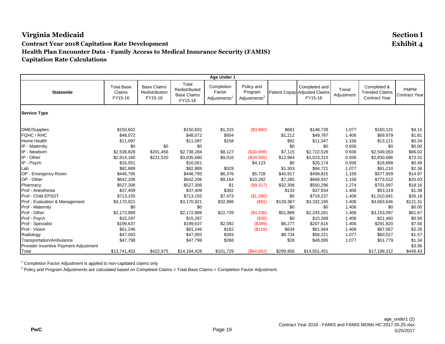**Age Under 1 Statewide** Total Base Claims FY15-16 Base Claims Redistribution FY15-16 Total Redistributed Base Claims FY15-16 Completion Factor Adjustments<sup>1</sup> Policy and Program Adjustments<sup>2</sup> Patient Copay Adjusted Claims Completed and FY15-16 Trend **Adjustment** Completed & Trended Claims Contract Year PMPM Contract Year **Service Type** DME/Supplies \$150,602 \$150,602 \$1,315 (\$3,860) \$681 \$148,739 1.077 \$160,131 \$4.15 FQHC / RHC \$48,072 \$48,072 \$504 \$1,212 \$49,787 1.406 \$69,979 \$1.81 Home Health \$11,097 \$11,097 \$158 \$0 \$92 \$11,347 1.156 \$13,121 \$0.34 IP - Maternity \$0 \$0 \$0 \$0 \$0.00 \$0 \$0 0.936 \$0 \$0.00 IP - Newborn \$2,536,828 \$201,456 \$2,738,284 \$8,127 (\$30,998) \$7,115 \$2,722,528 0.936 \$2,549,063 \$66.02 IP - Other \$2,814,160 \$221,520 \$3,035,680 \$9,016 (\$34,365) \$12,984 \$3,023,315 0.936 \$2,830,686 \$73.31 IP - Psych \$16,051 \$16,051 \$4,123 \$0 \$20,174 0.936 \$18,888 \$0.49 Lab \$82,889 \$82,889 \$529 \$1,303 \$84,721 1.077 \$91,210 \$2.36 OP - Emergency Room \$446,795 \$446,795 \$6,376 \$5,728 \$40,917 \$499,815 1.156 \$577,959 \$14.97<br>OP - Other \$642.206 \$642.206 \$9.164 \$10.282 \$7.285 OP - Other \$642,206 \$642,206 \$9,164 \$10,282 \$7,285 \$668,937 1.156 \$773,522 \$20.03 Pharmacy \$527,306 \$527,306 \$1 (\$9,317) \$32,306 \$550,296 1.274 \$701,097 \$18.16 Prof - Anesthesia \$37,409 \$37,409 \$392 \$133 \$37,934 1.406 \$53,319 \$1.38 Prof - Child EPSDT \$713,155 \$713,155 \$7,473 (\$1,390) \$0 \$719,237 1.406 \$1,010,941 \$26.18 Prof - Evaluation & Management \$3,170,921 \$3,170,921 \$32,998 (\$91) \$128,367 \$3,332,195 1.406 \$4,683,646 \$121.31 Prof - Maternity \$0 \$0 \$0 \$0 \$0 \$0 1.406 \$0 \$0.00 Prof - Other \$2,172,889 \$2,172,889 \$22,739 (\$4,236) \$51,889 \$2,243,281 1.406 \$3,153,097 \$81.67 Prof - Psych \$15,297 \$15,297 \$0 \$15,268 1.406 \$21,460 \$0.56 Prof - Specialist \$199,637 \$199,637 \$2,092 (\$389) \$6,277 \$207,616 1.406 \$291,820 \$7.56 Prof - Vision \$61,246 \$61,246 \$182 (\$119) \$634 \$61,944 1.406 \$87,067 \$2.26 Radiology \$47,093 \$47,093 \$393 \$8,734 \$56,221 1.077 \$60,527 \$1.57 Transportation/Ambulance \$47,798 \$47,798 \$268 \$28 \$48,095 1.077 \$51,779 \$1.34 Provider Incentive Payment Adjustment \$3.96 Total \$13,741,453 \$422,975 \$14,164,428 \$101,729 (\$64,662) \$299,956 \$14,501,451 \$17,199,312 \$449.43

<sup>1</sup> Completion Factor Adjustment is applied to non-capitated claims only

 $^2$  Policy and Program Adjustments are calculated based on Completed Claims = Total Base Claims + Completion Factor Adjustment.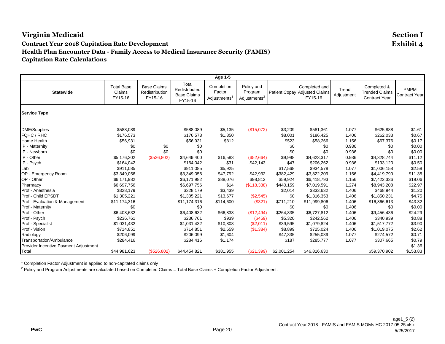**Age 1-5 Statewide** Total Base Claims FY15-16 Base Claims Redistribution FY15-16 Total Redistributed Base Claims FY15-16 Completion Factor Adjustments<sup>1</sup> Policy and Program Adjustments<sup>2</sup> Patient Copay Adjusted Claims Completed and FY15-16 Trend **Adjustment** Completed & Trended Claims Contract Year PMPM Contract Year **Service Type** DME/Supplies \$588,089 \$588,089 \$5,135 (\$15,072) \$3,209 \$581,361 1.077 \$625,888 \$1.61 FQHC / RHC \$176,573 \$176,573 \$1,850 \$0 \$8,001 \$186,425 1.406 \$262,033 \$0.67 Home Health \$56,931 \$56,931 \$812 \$523 \$58,266 1.156 \$67,376 \$0.17 IP - Maternity \$0 \$0 \$0 \$0 \$0 \$0 \$0 0.936 \$0 \$0.00 IP - Newborn \$0 \$0 \$0 \$0 \$0 \$0 \$0 0.936 \$0 \$0.00 IP - Other \$5,176,202 (\$526,802) \$4,649,400 \$16,583 (\$52,664) \$9,998 \$4,623,317 0.936 \$4,328,744 \$11.12 IP - Psych \$164,042 \$164,042 \$31 \$42,143 \$47 \$206,262 0.936 \$193,120 \$0.50 Lab \$911,085 \$911,085 \$5,925 \$17,568 \$934,578 1.077 \$1,006,158 \$2.58 OP - Emergency Room \$3,349,056 \$3,349,056 \$47,792 \$42,932 \$382,429 \$3,822,209 1.156 \$4,419,790 \$11.35 OP - Other \$6,171,982 \$6,171,982 \$88,076 \$98,812 \$59,924 \$6,418,793 1.156 \$7,422,336 \$19.06 Pharmacy \$6,697,756 \$6,697,756 \$14 (\$118,338) \$440,159 \$7,019,591 1.274 \$8,943,208 \$22.97 Prof - Anesthesia \$328,179 \$328,179 \$3,439 \$2,014 \$333,632 1.406 \$468,944 \$1.20 Prof - Child EPSDT \$1,305,221 \$1,305,221 \$13,677 (\$2,545) \$0 \$1,316,353 1.406 \$1,850,231 \$4.75 Prof - Evaluation & Management \$11,174,316 \$11,174,316 \$114,600 (\$321) \$711,210 \$11,999,806 1.406 \$16,866,613 \$43.32 Prof - Maternity \$0 \$0 \$0 \$0 \$0 \$0 1.406 \$0 \$0.00 Prof - Other \$6,408,632 \$6,408,632 \$66,838 (\$12,494) \$264,835 \$6,727,812 1.406 \$9,456,436 \$24.29 Prof - Psych \$236,761 \$236,761 \$939 (\$459) \$5,320 \$242,562 1.406 \$340,939 \$0.88 Prof - Specialist \$1,031,432 \$1,031,432 \$10,808 (\$2,011) \$39,595 \$1,079,824 1.406 \$1,517,772 \$3.90 Prof - Vision \$714,851 \$714,851 \$2,659 (\$1,384) \$8,899 \$725,024 1.406 \$1,019,075 \$2.62 Radiology \$206,099 \$206,099 \$1,604 \$47,335 \$255,039 1.077 \$274,572 \$0.71 Transportation/Ambulance \$284,416 \$284,416 \$1,174 \$187 \$285,777 1.077 \$307,665 \$0.79 Provider Incentive Payment Adjustment \$1.36 Total \$44,981,623 (\$526,802) \$44,454,821 \$381,955 (\$21,399) \$2,001,254 \$46,816,630 \$59,370,902 \$153.83

<sup>1</sup> Completion Factor Adjustment is applied to non-capitated claims only

 $^2$  Policy and Program Adjustments are calculated based on Completed Claims = Total Base Claims + Completion Factor Adjustment.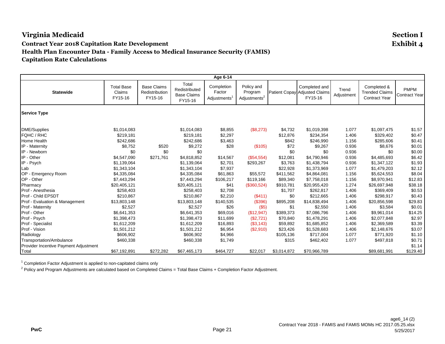**Age 6-14 Statewide** Total Base Claims FY15-16 Base Claims Redistribution FY15-16 Total Redistributed Base Claims FY15-16 Completion Factor Adjustments<sup>1</sup> Policy and Program Adjustments<sup>2</sup> Patient Copay Adjusted Claims Completed and FY15-16 Trend **Adjustment** Completed & Trended Claims Contract Year PMPM Contract Year **Service Type** DME/Supplies \$1,014,083 \$1,014,083 \$8,855 (\$8,273) \$4,732 \$1,019,398 1.077 \$1,097,475 \$1.57 FQHC / RHC \$219,181 \$219,181 \$2,297 \$12,876 \$234,354 1.406 \$329,402 \$0.47 Home Health \$242,686 \$242,686 \$3,463 \$842 \$246,990 1.156 \$285,606 \$0.41 IP - Maternity \$8,752 \$520 \$9,272 \$28 (\$105) \$72 \$9,267 0.936 \$8,676 \$0.01 IP - Newborn \$0 \$0 \$0 \$0 \$0 \$0 \$0 0.936 \$0 \$0.00 IP - Other \$4,547,090 \$271,761 \$4,818,852 \$14,567 (\$54,554) \$12,081 \$4,790,946 0.936 \$4,485,693 \$6.42 IP - Psych \$1,139,064 \$1,139,064 \$2,701 \$293,267 \$3,763 \$1,438,794 0.936 \$1,347,122 \$1.93 Lab \$1,343,104 \$1,343,104 \$7,937 \$0 \$22,928 \$1,373,969 1.077 \$1,479,203 \$2.12 OP - Emergency Room \$4,335,084 \$4,335,084 \$61,863 \$55,572 \$411,562 \$4,864,081 1.156 \$5,624,553 \$8.04 OP - Other \$7,443,294 \$7,443,294 \$106,217 \$119,166 \$89,340 \$7,758,018 1.156 \$8,970,941 \$12.83 Pharmacy \$20,405,121 \$20,405,121 \$41 (\$360,524) \$910,781 \$20,955,420 1.274 \$26,697,948 \$38.18 Prof - Anesthesia \$258,403 \$258,403 \$2,708 \$1,707 \$262,817 1.406 \$369,409 \$0.53 Prof - Child EPSDT \$210,867 \$210,867 \$2,210 (\$411) \$0 \$212,665 1.406 \$298,917 \$0.43 Prof - Evaluation & Management \$13,803,148 \$13,803,148 \$140,535 (\$396) \$895,208 \$14,838,494 1.406 \$20,856,598 \$29.83 Prof - Maternity \$2,527 \$2,527 \$26 (\$5) \$1 \$2,550 1.406 \$3,584 \$0.01 Prof - Other \$6,641,353 \$6,641,353 \$69,016 (\$12,947) \$389,373 \$7,086,796 1.406 \$9,961,014 \$14.25 Prof - Psych \$1,398,473 \$1,398,473 \$11,699 (\$2,721) \$70,840 \$1,478,291 1.406 \$2,077,848 \$2.97 Prof - Specialist \$1,612,209 \$1,612,209 \$16,893 (\$3,143) \$59,892 \$1,685,852 1.406 \$2,369,589 \$3.39 Prof - Vision \$1,501,212 \$1,501,212 \$6,954 (\$2,910) \$23,426 \$1,528,683 1.406 \$2,148,676 \$3.07 Radiology \$606,902 \$606,902 \$4,966 \$105,136 \$717,004 1.077 \$771,920 \$1.10 Transportation/Ambulance \$460,338 \$460,338 \$1,749 \$315 \$462,402 1.077 \$497,818 \$0.71 Provider Incentive Payment Adjustment \$1.14 Total \$67,192,891 \$272,282 \$67,465,173 \$464,727 \$22,017 \$3,014,872 \$70,966,789 \$89,681,991 \$129.40

<sup>1</sup> Completion Factor Adjustment is applied to non-capitated claims only

 $^2$  Policy and Program Adjustments are calculated based on Completed Claims = Total Base Claims + Completion Factor Adjustment.

**PwC** Page 21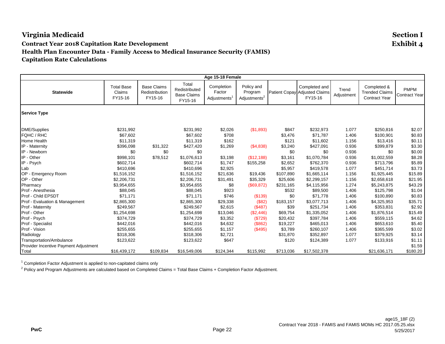**Age 15-18 Female Statewide** Total Base Claims FY15-16 Base Claims Redistribution FY15-16 Total Redistributed Base Claims FY15-16 Completion Factor Adjustments<sup>1</sup> Policy and Program Adjustments<sup>2</sup> Patient Copay Adjusted Claims Completed and FY15-16 Trend **Adjustment** Completed & Trended Claims Contract Year PMPM Contract Year **Service Type** DME/Supplies \$231,992 \$231,992 \$2,026 (\$1,893) \$847 \$232,973 1.077 \$250,816 \$2.07 FQHC / RHC \$67,602 \$67,602 \$708 \$3,476 \$71,787 1.406 \$100,901 \$0.83 Home Health \$11,319 \$11,319 \$162 \$121 \$11,602 1.156 \$13,416 \$0.11 IP - Maternity \$396,098 \$31,322 \$427,420 \$1,269 (\$4,838) \$3,240 \$427,091 0.936 \$399,879 \$3.30 IP - Newborn \$0 \$0 \$0 \$0 \$0 \$0 \$0 0.936 \$0 \$0.00 IP - Other \$998,101 \$78,512 \$1,076,613 \$3,198 (\$12,188) \$3,161 \$1,070,784 0.936 \$1,002,559 \$8.28 IP - Psych \$602,714 \$602,714 \$1,747 \$155,258 \$2,652 \$762,370 0.936 \$713,796 \$5.89 Lab \$410,696 \$410,696 \$2,925 \$5,957 \$419,578 1.077 \$451,714 \$3.73 OP - Emergency Room \$1,516,152 \$1,516,152 \$21,636 \$19,436 \$1,665,114 1.156 \$1,925,445 \$15.89<br>OP - Other \$2.206.731 OP - Other \$2,206,731 \$2,206,731 \$31,491 \$35,329 \$25,606 \$2,299,157 1.156 \$2658,618 \$21.95 Pharmacy \$3,954,655 \$3,954,655 \$8 (\$69,872) \$231,165 \$4,115,956 1.274 \$5,243,875 \$43.29 Prof - Anesthesia \$88,045 \$88,045 \$923 \$532 \$89,500 1.406 \$125,798 \$1.04 Prof - Child EPSDT \$71,171 \$71,171 \$746 (\$139) \$0 \$71,778 1.406 \$100,890 \$0.83 Prof - Evaluation & Management \$2,865,300 \$2,865,300 \$29,338 (\$82) \$183,157 \$3,077,713 1.406 \$4,325,953 \$35.71 Prof - Maternity \$249,567 \$249,567 \$2,615 (\$487) \$39 \$251,734 1.406 \$353,831 \$2.92 Prof - Other \$1,254,698 \$1,254,698 \$13,046 (\$2,446) \$69,754 \$1,335,052 1.406 \$1,876,514 \$15.49 Prof - Psych \$374,729 \$374,729 \$3,352 (\$729) \$20,432 \$397,784 1.406 \$559,115 \$4.62 Prof - Specialist \$442,016 \$442,016 \$4,632 (\$862) \$19,227 \$465,013 1.406 \$653,610 \$5.40 Prof - Vision \$255,655 \$255,655 \$1,157 (\$495) \$3,789 \$260,107 1.406 \$365,599 \$3.02 Radiology \$318,306 \$318,306 \$2,721 \$31,870 \$352,897 1.077 \$379,925 \$3.14 Transportation/Ambulance \$123,622 \$123,622 \$647 \$0 \$120 \$124,389 1.077 \$133,916 \$1.11 Provider Incentive Payment Adjustment \$1.59 Total \$16,439,172 \$109,834 \$16,549,006 \$124,344 \$115,992 \$713,036 \$17,502,378 \$21,636,171 \$180.20

<sup>1</sup> Completion Factor Adjustment is applied to non-capitated claims only

 $^2$  Policy and Program Adjustments are calculated based on Completed Claims = Total Base Claims + Completion Factor Adjustment.

**PwC** Page 22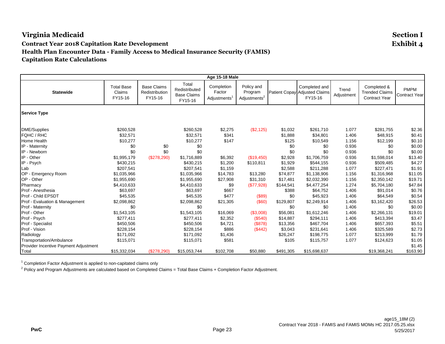**Age 15-18 Male Statewide** Total Base Claims FY15-16 Base Claims Redistribution FY15-16 Total Redistributed Base Claims FY15-16 Completion Factor Adjustments<sup>1</sup> Policy and Program Adjustments<sup>2</sup> Patient Copay Adjusted Claims Completed and FY15-16 Trend **Adjustment** Completed & Trended Claims Contract Year PMPM Contract Year **Service Type** DME/Supplies \$260,528 \$260,528 \$2,275 (\$2,125) \$1,032 \$261,710 1.077 \$281,755 \$2.36 FQHC / RHC \$32,571 \$32,571 \$341 \$1,888 \$34,801 1.406 \$48,915 \$0.41 Home Health \$10,277 \$10,277 \$147 \$125 \$10,549 1.156 \$12,199 \$0.10 IP - Maternity \$0 \$0 \$0 \$0 \$0 \$0 \$0 0.936 \$0 \$0.00 IP - Newborn \$0 \$0 \$0 \$0 \$0 \$0 \$0 0.936 \$0 \$0.00 IP - Other \$1,995,179 (\$278,290) \$1,716,889 \$6,392 (\$19,450) \$2,928 \$1,706,759 0.936 \$1,598,014 \$13.40 IP - Psych \$430,215 \$430,215 \$1,200 \$110,811 \$1,929 \$544,155 0.936 \$509,485 \$4.27 Lab \$207,541 \$207,541 \$1,159 \$2,588 \$211,288 1.077 \$227,471 \$1.91 OP - Emergency Room \$1,035,966 \$1,035,966 \$1,035,966 \$1,035,966 \$1,035,966 \$1,035,966 \$1,035,966 \$1,035,966 \$1,316,968 \$1316,968 \$10.05<br>OP -OP - Other \$1,955,690 \$1,955,690 \$27,908 \$31,310 \$17,481 \$2,032,390 1.156 \$2,350,142 \$19.71 Pharmacy \$4,410,633 \$4,410,633 \$9 (\$77,928) \$144,541 \$4,477,254 1.274 \$5,704,180 \$47.84 Prof - Anesthesia \$63,697 \$63,697 \$667 \$388 \$64,752 1.406 \$91,014 \$0.76 Prof - Child EPSDT \$45,535 \$45,535 \$477 (\$89) \$0 \$45,923 1.406 \$64,549 \$0.54 Prof - Evaluation & Management \$2,098,862 \$2,098,862 \$21,305 (\$60) \$129,807 \$2,249,914 1.406 \$3,162,420 \$26.53 Prof - Maternity \$0 \$0 \$0 \$0 \$0 \$0 1.406 \$0 \$0.00 Prof - Other \$1,543,105 \$1,543,105 \$16,069 (\$3,008) \$56,081 \$1,612,246 1.406 \$2,266,131 \$19.01 Prof - Psych \$277,411 \$277,411 \$2,352 (\$540) \$14,887 \$294,111 1.406 \$413,394 \$3.47 Prof - Specialist \$450,506 \$450,506 \$4,721 (\$878) \$13,356 \$467,704 1.406 \$657,393 \$5.51 Prof - Vision \$228,154 \$228,154 \$886 (\$442) \$3,043 \$231,641 1.406 \$325,589 \$2.73 Radiology \$171,092 \$171,092 \$1,436 \$26,247 \$198,775 1.077 \$213,999 \$1.79 Transportation/Ambulance \$115,071 \$115,071 \$581 \$0 \$105 \$115,757 1.077 \$124,623 \$1.05 Provider Incentive Payment Adjustment \$1.45 Total \$15,332,034 (\$278,290) \$15,053,744 \$102,708 \$50,880 \$491,305 \$15,698,637 \$19,368,241 \$163.90

<sup>1</sup> Completion Factor Adjustment is applied to non-capitated claims only

 $^2$  Policy and Program Adjustments are calculated based on Completed Claims = Total Base Claims + Completion Factor Adjustment.

**PwC** Page 23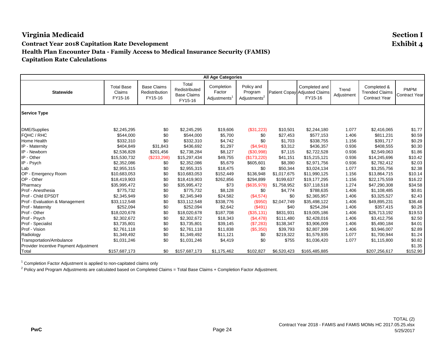**All Age Categories Statewide** Total Base Claims FY15-16 Base Claims Redistribution FY15-16 Total Redistributed Base Claims FY15-16 Completion Factor Adjustments<sup>1</sup> Policy and Program Adjustments<sup>2</sup> Patient Copay Adjusted Claims Completed and FY15-16 Trend **Adjustment** Completed & Trended Claims Contract Year PMPM Contract Year **Service Type** DME/Supplies \$2,245,295 \$0 \$2,245,295 \$19,606 (\$31,223) \$10,501 \$2,244,180 1.077 \$2,416,065 \$1.77 FQHC / RHC \$544,000 \$0 \$544,000 \$5,700 \$0 \$27,453 \$577,153 1.406 \$811,231 \$0.59 Home Health \$332,310 \$0 \$332,310 \$4,742 \$0 \$1,703 \$338,755 1.156 \$391,717 \$0.29 IP - Maternity \$404,849 \$31,843 \$436,692 \$1,297 (\$4,943) \$3,312 \$436,357 0.936 \$408,555 \$0.30 IP - Newborn \$2,536,828 \$201,456 \$2,738,284 \$8,127 (\$30,998) \$7,115 \$2,722,528 0.936 \$2,549,063 \$1.86 IP - Other \$15,530,732 (\$233,298) \$15,297,434 \$49,755 (\$173,220) \$41,151 \$15,215,121 0.936 \$14,245,696 \$10.42 IP - Psych \$2,352,086 \$0 \$2,352,086 \$5,679 \$605,601 \$8,390 \$2,971,756 0.936 \$2,782,412 \$2.03 Lab \$2,955,315 \$0 \$2,955,315 \$18,475 \$0 \$50,344 \$3,024,134 1.077 \$3,255,756 \$2.38 OP - Emergency Room \$10,683,053 \$0 \$10,683,053 \$152,449 \$136,948 \$1,017,675 \$11,990,125 1.156 \$13,864,715 \$10.14 OP - Other \$18,419,903 \$0 \$18,419,903 \$262,856 \$294,899 \$199,637 \$19,177,295 1.156 \$22,175,559 \$16.22 Pharmacy \$35,995,472 \$0 \$35,995,472 \$73 (\$635,979) \$1,758,952 \$37,118,518 1.274 \$47,290,308 \$34.58 Prof - Anesthesia \$775,732 \$0 \$775,732 \$8,128 \$0 \$4,774 \$788,635 1.406 \$1,108,485 \$0.81 Prof - Child EPSDT \$2,345,949 \$0 \$2,345,949 \$24,582 (\$4,574) \$0 \$2,365,957 1.406 \$3,325,527 \$2.43 Prof - Evaluation & Management \$33,112,548 \$0 \$33,112,548 \$338,776 (\$950) \$2,047,749 \$35,498,122 1.406 \$49,895,231 \$36.48 Prof - Maternity \$252,094 \$0 \$252,094 \$2,642 (\$491) \$40 \$254,284 1.406 \$357,415 \$0.26 Prof - Other \$18,020,678 \$0 \$18,020,678 \$187,708 (\$35,131) \$831,931 \$19,005,186 1.406 \$26,713,192 \$19.53 Prof - Psych \$2,302,672 \$0 \$2,302,672 \$18,343 (\$4,478) \$111,480 \$2,428,016 1.406 \$3,412,756 \$2.50 Prof - Specialist \$3,735,801 \$0 \$3,735,801 \$39,145 (\$7,283) \$138,347 \$3,906,009 1.406 \$5,490,184 \$4.01 Prof - Vision \$2,761,118 \$0 \$2,761,118 \$11,838 (\$5,350) \$39,793 \$2,807,399 1.406 \$3,946,007 \$2.89 Radiology \$1,349,492 \$0 \$1,349,492 \$11,121 \$0 \$219,322 \$1,579,935 1.077 \$1,700,944 \$1.24 Transportation/Ambulance \$1,031,246 \$1,031,246 \$1,031,246 \$4,419 \$0 \$755 \$1,036,420 1.077 \$1,115,800 \$0.82 Provider Incentive Payment Adjustment \$1.35 Total \$157,687,173 \$0 \$157,687,173 \$1,175,462 \$102,827 \$6,520,423 \$165,485,885 \$207,256,617 \$152.90

<sup>1</sup> Completion Factor Adjustment is applied to non-capitated claims only

 $^2$  Policy and Program Adjustments are calculated based on Completed Claims = Total Base Claims + Completion Factor Adjustment.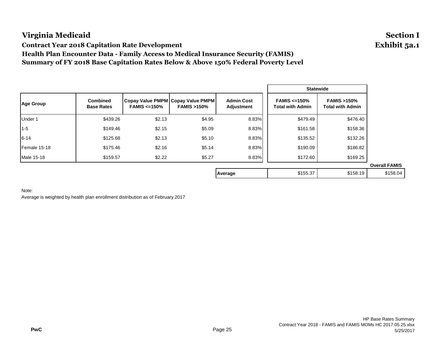**Contract Year 2018 Capitation Rate Development Exhibit 5a.1**

**Health Plan Encounter Data - Family Access to Medical Insurance Security (FAMIS)**

**Summary of FY 2018 Base Capitation Rates Below & Above 150% Federal Poverty Level**

|                  |                                      |                    |                                                            |                                        |                                        | <b>Statewide</b>                                 |                      |
|------------------|--------------------------------------|--------------------|------------------------------------------------------------|----------------------------------------|----------------------------------------|--------------------------------------------------|----------------------|
| <b>Age Group</b> | <b>Combined</b><br><b>Base Rates</b> | FAMIS $\leq$ =150% | Copay Value PMPM Copay Value PMPM<br><b>FAMIS &gt;150%</b> | <b>Admin Cost</b><br><b>Adjustment</b> | $FAMIS \leq 150\%$<br>Total with Admin | <b>FAMIS &gt;150%</b><br><b>Total with Admin</b> |                      |
| Under 1          | \$439.26                             | \$2.13             | \$4.95                                                     | 8.83%                                  | \$479.49                               | \$476.40                                         |                      |
| $1 - 5$          | \$149.46                             | \$2.15             | \$5.09                                                     | 8.83%                                  | \$161.58                               | \$158.36                                         |                      |
| $6 - 14$         | \$125.68                             | \$2.13             | \$5.10                                                     | 8.83%                                  | \$135.52                               | \$132.26                                         |                      |
| Female 15-18     | \$175.46                             | \$2.16             | \$5.14                                                     | 8.83%                                  | \$190.09                               | \$186.82                                         |                      |
| Male 15-18       | \$159.57                             | \$2.22             | \$5.27                                                     | 8.83%                                  | \$172.60                               | \$169.25                                         |                      |
|                  |                                      |                    |                                                            |                                        |                                        |                                                  | <b>Overall FAMIS</b> |
|                  |                                      |                    |                                                            | Average                                | \$155.37                               | \$158.19                                         | \$158.04             |

### Note: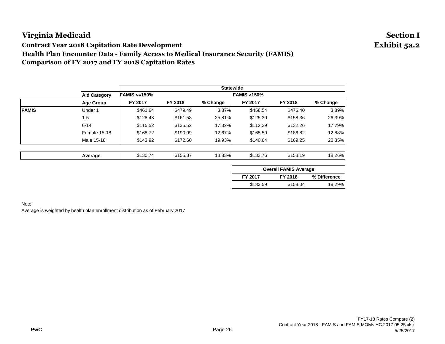**Contract Year 2018 Capitation Rate Development Exhibit 5a.2**

**Health Plan Encounter Data - Family Access to Medical Insurance Security (FAMIS)**

**Comparison of FY 2017 and FY 2018 Capitation Rates**

|               |                     | <b>Statewide</b> |          |          |          |                       |          |  |
|---------------|---------------------|------------------|----------|----------|----------|-----------------------|----------|--|
|               | <b>Aid Category</b> | FAMIS <=150%     |          |          |          | <b>FAMIS &gt;150%</b> |          |  |
|               | <b>Age Group</b>    | FY 2017          | FY 2018  | % Change | FY 2017  | FY 2018               | % Change |  |
| <b>IFAMIS</b> | Under 1             | \$461.64         | \$479.49 | 3.87%    | \$458.54 | \$476.40              | 3.89%    |  |
|               | 11-5                | \$128.43         | \$161.58 | 25.81%   | \$125.30 | \$158.36              | 26.39%   |  |
|               | $6 - 14$            | \$115.52         | \$135.52 | 17.32%   | \$112.29 | \$132.26              | 17.79%   |  |
|               | Female 15-18        | \$168.72         | \$190.09 | 12.67%   | \$165.50 | \$186.82              | 12.88%   |  |
|               | Male 15-18          | \$143.92         | \$172.60 | 19.93%   | \$140.64 | \$169.25              | 20.35%   |  |
|               |                     |                  |          |          |          |                       |          |  |

| Average | .<br>\$130.74<br>____ | \$155.37<br>___ | 18.83%l<br>. | $0.400 - 7$<br>.<br>1 L<br>. | 0.400<br>ຳເມ<br>ა158. | 260/<br>, , ,<br>◡.<br>___ |
|---------|-----------------------|-----------------|--------------|------------------------------|-----------------------|----------------------------|
|         |                       |                 |              |                              |                       |                            |

| <b>Overall FAMIS Average</b> |          |              |  |  |  |  |  |
|------------------------------|----------|--------------|--|--|--|--|--|
| FY 2017                      | FY 2018  | % Difference |  |  |  |  |  |
| \$133.59                     | \$158.04 | 18.29%       |  |  |  |  |  |

Note: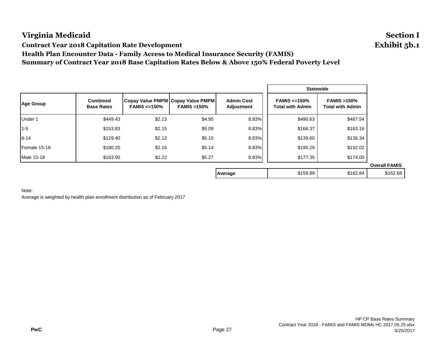**Contract Year 2018 Capitation Rate Development Exhibit 5b.1**

**Health Plan Encounter Data - Family Access to Medical Insurance Security (FAMIS)**

**Summary of Contract Year 2018 Base Capitation Rates Below & Above 150% Federal Poverty Level**

|                  |                                      |                    |                                                            |                                 |                                        | <b>Statewide</b>                                 |                      |
|------------------|--------------------------------------|--------------------|------------------------------------------------------------|---------------------------------|----------------------------------------|--------------------------------------------------|----------------------|
| <b>Age Group</b> | <b>Combined</b><br><b>Base Rates</b> | $FAMIS \leq 150\%$ | Copay Value PMPM Copay Value PMPM<br><b>FAMIS &gt;150%</b> | <b>Admin Cost</b><br>Adjustment | FAMIS $\leq$ =150%<br>Total with Admin | <b>FAMIS &gt;150%</b><br><b>Total with Admin</b> |                      |
| Under 1          | \$449.43                             | \$2.13             | \$4.95                                                     | 8.83%                           | \$490.63                               | \$487.54                                         |                      |
| $1 - 5$          | \$153.83                             | \$2.15             | \$5.09                                                     | 8.83%                           | \$166.37                               | \$163.16                                         |                      |
| $6 - 14$         | \$129.40                             | \$2.13             | \$5.10                                                     | 8.83%                           | \$139.60                               | \$136.34                                         |                      |
| Female 15-18     | \$180.20                             | \$2.16             | \$5.14                                                     | 8.83%                           | \$195.29                               | \$192.02                                         |                      |
| Male 15-18       | \$163.90                             | \$2.22             | \$5.27                                                     | 8.83%                           | \$177.35                               | \$174.00                                         |                      |
|                  |                                      |                    |                                                            |                                 |                                        |                                                  | <b>Overall FAMIS</b> |
|                  |                                      |                    |                                                            | Average                         | \$159.89                               | \$162.84                                         | \$162.68             |

### Note: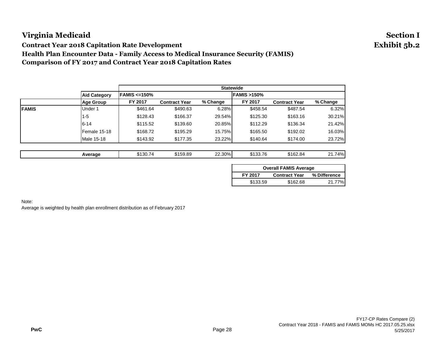**Contract Year 2018 Capitation Rate Development Exhibit 5b.2**

**Health Plan Encounter Data - Family Access to Medical Insurance Security (FAMIS)**

**Comparison of FY 2017 and Contract Year 2018 Capitation Rates**

|               |                     |              |                      |          | <b>Statewide</b>      |                      |          |
|---------------|---------------------|--------------|----------------------|----------|-----------------------|----------------------|----------|
|               | <b>Aid Category</b> | FAMIS <=150% |                      |          | <b>FAMIS &gt;150%</b> |                      |          |
|               | <b>Age Group</b>    | FY 2017      | <b>Contract Year</b> | % Change | FY 2017               | <b>Contract Year</b> | % Change |
| <b>IFAMIS</b> | Under 1             | \$461.64     | \$490.63             | 6.28%    | \$458.54              | \$487.54             | 6.32%    |
|               | 1-5                 | \$128.43     | \$166.37             | 29.54%   | \$125.30              | \$163.16             | 30.21%   |
|               | $6 - 14$            | \$115.52     | \$139.60             | 20.85%   | \$112.29              | \$136.34             | 21.42%   |
|               | Female 15-18        | \$168.72     | \$195.29             | 15.75%   | \$165.50              | \$192.02             | 16.03%   |
|               | Male 15-18          | \$143.92     | \$177.35             | 23.22%   | \$140.64              | \$174.00             | 23.72%   |
|               |                     |              |                      |          |                       |                      |          |

| Average | \$130.7<br>74 | \$159.89<br>. | 22.30% | \$133.76 | \$162.84<br>___ | 74%<br>ີ<br><b>70</b><br>--- |
|---------|---------------|---------------|--------|----------|-----------------|------------------------------|
|---------|---------------|---------------|--------|----------|-----------------|------------------------------|

| <b>Overall FAMIS Average</b> |                      |              |  |  |
|------------------------------|----------------------|--------------|--|--|
| FY 2017                      | <b>Contract Year</b> | % Difference |  |  |
| \$133.59                     | \$162.68             | 21.77%       |  |  |

Note: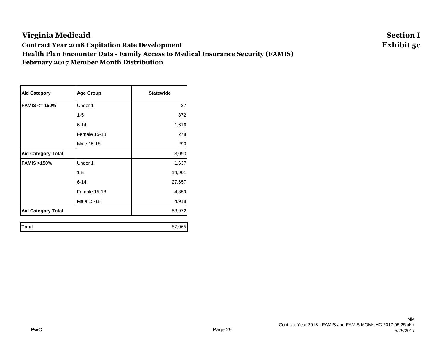# **Virginia Medicaid Section I Contract Year 2018 Capitation Rate Development Exhibit 5c Health Plan Encounter Data - Family Access to Medical Insurance Security (FAMIS) February 2017 Member Month Distribution**

| <b>Aid Category</b>       | <b>Age Group</b> | <b>Statewide</b> |
|---------------------------|------------------|------------------|
| $FAMIS \leq 150\%$        | Under 1          | 37               |
|                           | $1 - 5$          | 872              |
|                           | $6 - 14$         | 1,616            |
|                           | Female 15-18     | 278              |
|                           | Male 15-18       | 290              |
| <b>Aid Category Total</b> | 3,093            |                  |
| <b>FAMIS &gt;150%</b>     | Under 1          | 1,637            |
|                           | $1 - 5$          | 14,901           |
|                           | $6 - 14$         | 27,657           |
|                           | Female 15-18     | 4,859            |
|                           | Male 15-18       | 4,918            |
| <b>Aid Category Total</b> | 53,972           |                  |
| <b>Total</b>              |                  | 57,065           |

MM Contract Year 2018 - FAMIS and FAMIS MOMs HC 2017.05.25.xlsx 5/25/2017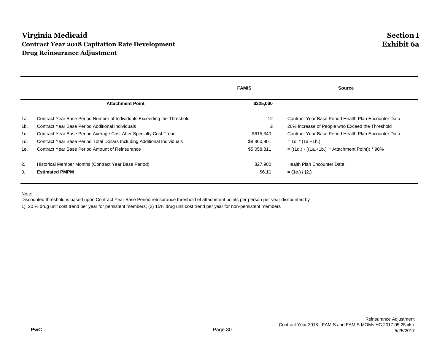# **Virginia Medicaid Section I Contract Year 2018 Capitation Rate Development Exhibit 6a Drug Reinsurance Adjustment**

|     |                                                                          | <b>FAMIS</b>   | <b>Source</b>                                        |
|-----|--------------------------------------------------------------------------|----------------|------------------------------------------------------|
|     | <b>Attachment Point</b>                                                  | \$225,000      |                                                      |
| 1a. | Contract Year Base Period Number of Individuals Exceeding the Threshold  | 12             | Contract Year Base Period Health Plan Encounter Data |
| 1b. | Contract Year Base Period Additional Individuals                         | $\overline{2}$ | 20% Increase of People who Exceed the Threshold      |
| 1c. | Contract Year Base Period Average Cost After Specialty Cost Trend        | \$615,340      | Contract Year Base Period Health Plan Encounter Data |
| 1d. | Contract Year Base Period Total Dollars Including Additional Individuals | \$8,860,901    | $= 1c.$ * (1a.+1b.)                                  |
| 1e. | Contract Year Base Period Amount of Reinsurance                          | \$5,058,811    | $= ((1d.) - ((1a.+1b.) * Attachment Point)) * 90%$   |
| 2.  | Historical Member Months (Contract Year Base Period)                     | 827,900        | Health Plan Encounter Data                           |
| 3.  | <b>Estimated PMPM</b>                                                    | \$6.11         | $=$ (1e.) / (2.)                                     |

Note:

Discounted threshold is based upon Contract Year Base Period reinsurance threshold of attachment points per person per year discounted by

1) 20 % drug unit cost trend per year for persistent members; (2) 15% drug unit cost trend per year for non-persistent members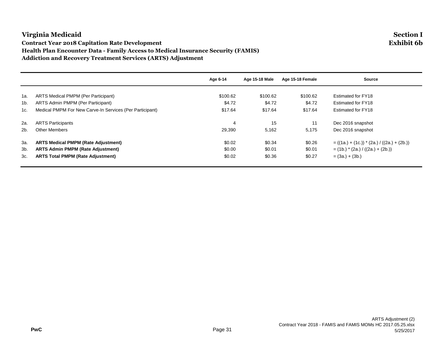## **Virginia Medicaid Section I Contract Year 2018 Capitation Rate Development Exhibit 6b Health Plan Encounter Data - Family Access to Medical Insurance Security (FAMIS) Addiction and Recovery Treatment Services (ARTS) Adjustment**

|                |                                                          | Age 6-14 | Age 15-18 Male | Age 15-18 Female | <b>Source</b>                                 |
|----------------|----------------------------------------------------------|----------|----------------|------------------|-----------------------------------------------|
|                |                                                          |          |                |                  |                                               |
| 1a.            | ARTS Medical PMPM (Per Participant)                      | \$100.62 | \$100.62       | \$100.62         | <b>Estimated for FY18</b>                     |
| 1 <sub>b</sub> | ARTS Admin PMPM (Per Participant)                        | \$4.72   | \$4.72         | \$4.72           | Estimated for FY18                            |
| 1c.            | Medical PMPM For New Carve-In Services (Per Participant) | \$17.64  | \$17.64        | \$17.64          | Estimated for FY18                            |
| 2a.            | <b>ARTS Participants</b>                                 | 4        | 15             | 11               | Dec 2016 snapshot                             |
| 2 <sub>b</sub> | <b>Other Members</b>                                     | 29,390   | 5,162          | 5,175            | Dec 2016 snapshot                             |
| За.            | <b>ARTS Medical PMPM (Rate Adjustment)</b>               | \$0.02   | \$0.34         | \$0.26           | $= ((1a.) + (1c.)) * (2a.) / ((2a.) + (2b.))$ |
| 3b.            | <b>ARTS Admin PMPM (Rate Adjustment)</b>                 | \$0.00   | \$0.01         | \$0.01           | $=$ (1b.) $*(2a.) / ((2a.) + (2b.))$          |
| 3c.            | <b>ARTS Total PMPM (Rate Adjustment)</b>                 | \$0.02   | \$0.36         | \$0.27           | $= (3a.) + (3b.)$                             |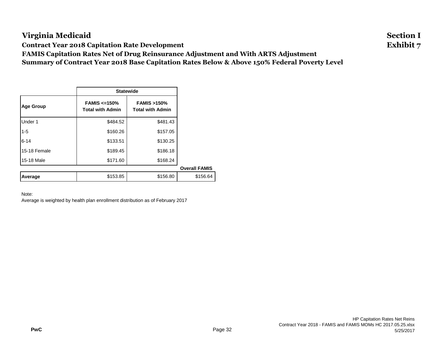**Contract Year 2018 Capitation Rate Development Exhibit 7**

**FAMIS Capitation Rates Net of Drug Reinsurance Adjustment and With ARTS Adjustment Summary of Contract Year 2018 Base Capitation Rates Below & Above 150% Federal Poverty Level**

|                  |                                              | <b>Statewide</b>                                 |  |  |  |
|------------------|----------------------------------------------|--------------------------------------------------|--|--|--|
| <b>Age Group</b> | FAMIS $\leq$ 150%<br><b>Total with Admin</b> | <b>FAMIS &gt;150%</b><br><b>Total with Admin</b> |  |  |  |
| Under 1          | \$484.52                                     | \$481.43                                         |  |  |  |
| $1 - 5$          | \$160.26                                     | \$157.05                                         |  |  |  |
| $6 - 14$         | \$133.51                                     | \$130.25                                         |  |  |  |
| 15-18 Female     | \$189.45                                     | \$186.18                                         |  |  |  |
| 15-18 Male       | \$171.60                                     | \$168.24                                         |  |  |  |
|                  |                                              |                                                  |  |  |  |
| Average          | \$153.85                                     | \$156.80                                         |  |  |  |

### Note: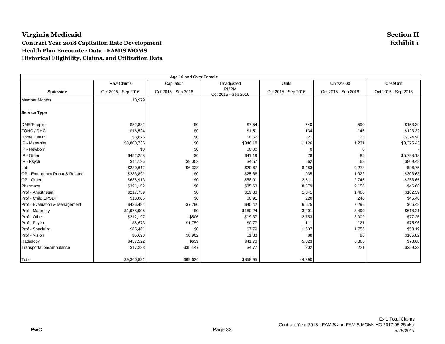## **Virginia Medicaid Section II Contract Year 2018 Capitation Rate Development Exhibit 1 Health Plan Encounter Data - FAMIS MOMS Historical Eligibility, Claims, and Utilization Data**

|                                | Age 10 and Over Female |                     |                                    |                     |                     |                     |  |
|--------------------------------|------------------------|---------------------|------------------------------------|---------------------|---------------------|---------------------|--|
|                                | Raw Claims             | Capitation          | Unadjusted                         | Units               | <b>Units/1000</b>   | Cost/Unit           |  |
| <b>Statewide</b>               | Oct 2015 - Sep 2016    | Oct 2015 - Sep 2016 | <b>PMPM</b><br>Oct 2015 - Sep 2016 | Oct 2015 - Sep 2016 | Oct 2015 - Sep 2016 | Oct 2015 - Sep 2016 |  |
| <b>Member Months</b>           | 10,979                 |                     |                                    |                     |                     |                     |  |
| <b>Service Type</b>            |                        |                     |                                    |                     |                     |                     |  |
| DME/Supplies                   | \$82,832               | \$0                 | \$7.54                             | 540                 | 590                 | \$153.39            |  |
| FQHC / RHC                     | \$16,524               | \$0                 | \$1.51                             | 134                 | 146                 | \$123.32            |  |
| Home Health                    | \$6,825                | \$0                 | \$0.62                             | 21                  | 23                  | \$324.98            |  |
| IP - Maternity                 | \$3,800,735            | \$0                 | \$346.18                           | 1,126               | 1,231               | \$3,375.43          |  |
| IP - Newborn                   | \$0                    | \$0                 | \$0.00                             | $\Omega$            | 0                   |                     |  |
| IP - Other                     | \$452,258              | \$0                 | \$41.19                            | 78                  | 85                  | \$5,798.18          |  |
| IP - Psych                     | \$41,136               | \$9,052             | \$4.57                             | 62                  | 68                  | \$809.48            |  |
| Lab                            | \$220,612              | \$6,328             | \$20.67                            | 8,483               | 9,272               | \$26.75             |  |
| OP - Emergency Room & Related  | \$283,891              | \$0                 | \$25.86                            | 935                 | 1,022               | \$303.63            |  |
| OP - Other                     | \$636,913              | \$0                 | \$58.01                            | 2,511               | 2,745               | \$253.65            |  |
| Pharmacy                       | \$391,152              | \$0                 | \$35.63                            | 8,379               | 9,158               | \$46.68             |  |
| Prof - Anesthesia              | \$217,759              | \$0                 | \$19.83                            | 1,341               | 1,466               | \$162.39            |  |
| Prof - Child EPSDT             | \$10,006               | \$0                 | \$0.91                             | 220                 | 240                 | \$45.48             |  |
| Prof - Evaluation & Management | \$436,484              | \$7,290             | \$40.42                            | 6,675               | 7,296               | \$66.48             |  |
| Prof - Maternity               | \$1,978,905            | \$0                 | \$180.24                           | 3,201               | 3,499               | \$618.21            |  |
| Prof - Other                   | \$212,197              | \$506               | \$19.37                            | 2,753               | 3,009               | \$77.26             |  |
| Prof - Psych                   | \$6,673                | \$1,759             | \$0.77                             | 111                 | 121                 | \$75.96             |  |
| Prof - Specialist              | \$85,481               | \$0                 | \$7.79                             | 1,607               | 1,756               | \$53.19             |  |
| Prof - Vision                  | \$5,690                | \$8,902             | \$1.33                             | 88                  | 96                  | \$165.82            |  |
| Radiology                      | \$457,522              | \$639               | \$41.73                            | 5,823               | 6,365               | \$78.68             |  |
| Transportation/Ambulance       | \$17,238               | \$35,147            | \$4.77                             | 202                 | 221                 | \$259.33            |  |
| Total                          | \$9,360,831            | \$69,624            | \$858.95                           | 44,290              |                     |                     |  |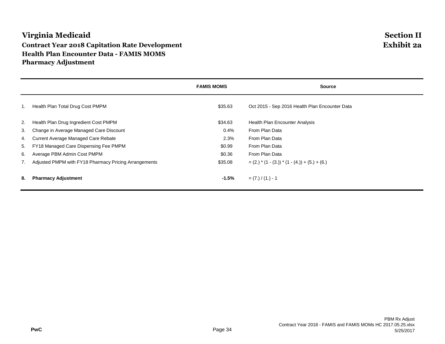# **Virginia Medicaid Section II Contract Year 2018 Capitation Rate Development Exhibit 2a Health Plan Encounter Data - FAMIS MOMS Pharmacy Adjustment**

|    |                                                       | <b>FAMIS MOMS</b> | <b>Source</b>                                       |
|----|-------------------------------------------------------|-------------------|-----------------------------------------------------|
| 1. | Health Plan Total Drug Cost PMPM                      | \$35.63           | Oct 2015 - Sep 2016 Health Plan Encounter Data      |
| 2. | Health Plan Drug Ingredient Cost PMPM                 | \$34.63           | Health Plan Encounter Analysis                      |
| 3. | Change in Average Managed Care Discount               | 0.4%              | From Plan Data                                      |
| 4. | Current Average Managed Care Rebate                   | 2.3%              | From Plan Data                                      |
| 5. | FY18 Managed Care Dispensing Fee PMPM                 | \$0.99            | From Plan Data                                      |
| 6. | Average PBM Admin Cost PMPM                           | \$0.36            | From Plan Data                                      |
|    | Adjusted PMPM with FY18 Pharmacy Pricing Arrangements | \$35.08           | $=(2.)$ * $(1 - (3.))$ * $(1 - (4.)) + (5.) + (6.)$ |
| 8. | <b>Pharmacy Adjustment</b>                            | $-1.5%$           | $= (7.) / (1.) - 1$                                 |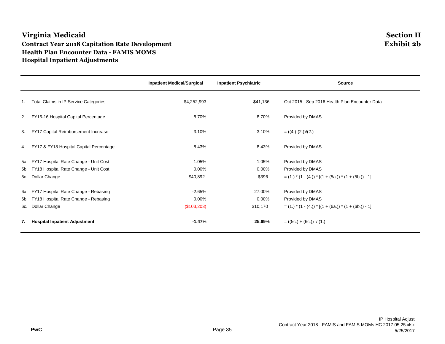# **Virginia Medicaid Section II Contract Year 2018 Capitation Rate Development Health Plan Encounter Data - FAMIS MOMS Hospital Inpatient Adjustments**

|    |                                                                | <b>Inpatient Medical/Surgical</b> | <b>Inpatient Psychiatric</b> | <b>Source</b>                                                              |
|----|----------------------------------------------------------------|-----------------------------------|------------------------------|----------------------------------------------------------------------------|
| 1. | Total Claims in IP Service Categories                          | \$4,252,993                       | \$41,136                     | Oct 2015 - Sep 2016 Health Plan Encounter Data                             |
|    | 2. FY15-16 Hospital Capital Percentage                         | 8.70%                             | 8.70%                        | Provided by DMAS                                                           |
| 3. | FY17 Capital Reimbursement Increase                            | $-3.10%$                          | $-3.10%$                     | $= ((4.)-(2.))/(2.)$                                                       |
|    | 4. FY17 & FY18 Hospital Capital Percentage                     | 8.43%                             | 8.43%                        | Provided by DMAS                                                           |
|    | 5a. FY17 Hospital Rate Change - Unit Cost                      | 1.05%                             | 1.05%                        | Provided by DMAS                                                           |
|    | 5b. FY18 Hospital Rate Change - Unit Cost<br>5c. Dollar Change | $0.00\%$<br>\$40,892              | $0.00\%$<br>\$396            | Provided by DMAS<br>$=$ (1) $*(1 - (4)) * [(1 + (5a.)) * (1 + (5b.)) - 1]$ |
|    | 6a. FY17 Hospital Rate Change - Rebasing                       | $-2.65%$                          | 27.00%                       | Provided by DMAS                                                           |
|    | 6b. FY18 Hospital Rate Change - Rebasing                       | $0.00\%$                          | $0.00\%$                     | Provided by DMAS                                                           |
|    | 6c. Dollar Change                                              | (\$103,203)                       | \$10,170                     | $=$ (1) $*(1 - (4)) * [(1 + (6a)) * (1 + (6b)) - 1]$                       |
| 7. | <b>Hospital Inpatient Adjustment</b>                           | $-1.47%$                          | 25.69%                       | $= ((5c.) + (6c.)) / (1.)$                                                 |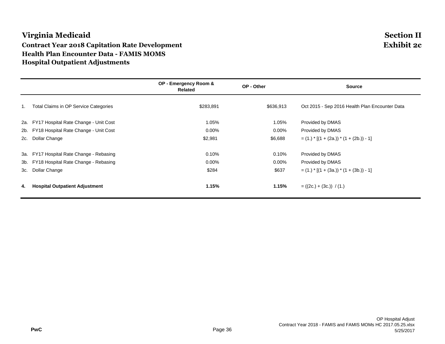# **Virginia Medicaid Section II Contract Year 2018 Capitation Rate Development Exhibit 2c Health Plan Encounter Data - FAMIS MOMS Hospital Outpatient Adjustments**

|     |                                           | OP - Emergency Room &<br>Related | OP - Other | <b>Source</b>                                  |
|-----|-------------------------------------------|----------------------------------|------------|------------------------------------------------|
| 1.  | Total Claims in OP Service Categories     | \$283,891                        | \$636,913  | Oct 2015 - Sep 2016 Health Plan Encounter Data |
|     | 2a. FY17 Hospital Rate Change - Unit Cost | 1.05%                            | 1.05%      | Provided by DMAS                               |
|     | 2b. FY18 Hospital Rate Change - Unit Cost | $0.00\%$                         | $0.00\%$   | Provided by DMAS                               |
| 2c. | Dollar Change                             | \$2,981                          | \$6,688    | $=$ (1.) $*$ [(1 + (2a.)) $*$ (1 + (2b.)) - 1] |
|     | 3a. FY17 Hospital Rate Change - Rebasing  | 0.10%                            | 0.10%      | Provided by DMAS                               |
|     | 3b. FY18 Hospital Rate Change - Rebasing  | $0.00\%$                         | $0.00\%$   | Provided by DMAS                               |
| 3c. | Dollar Change                             | \$284                            | \$637      | $=$ (1.) $*(1 + (3a.)) * (1 + (3b.)) - 1]$     |
| 4.  | <b>Hospital Outpatient Adjustment</b>     | 1.15%                            | 1.15%      | $= ((2c.) + (3c.)) / (1.)$                     |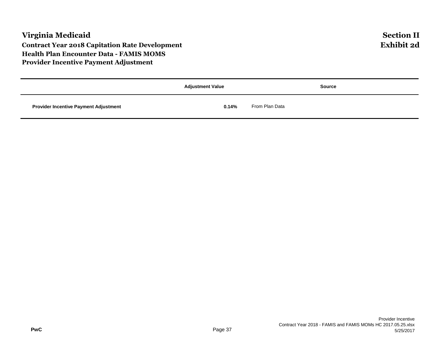|                                              | <b>Adjustment Value</b> | <b>Source</b>  |
|----------------------------------------------|-------------------------|----------------|
| <b>Provider Incentive Payment Adjustment</b> | 0.14%                   | From Plan Data |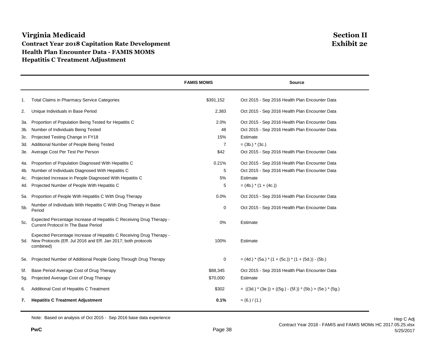## **Virginia Medicaid Section II Contract Year 2018 Capitation Rate Development Exhibit 2e Health Plan Encounter Data - FAMIS MOMS Hepatitis C Treatment Adjustment**

|     |                                                                                                                                                     | <b>FAMIS MOMS</b> | <b>Source</b>                                                 |
|-----|-----------------------------------------------------------------------------------------------------------------------------------------------------|-------------------|---------------------------------------------------------------|
| 1.  | <b>Total Claims in Pharmacy Service Categories</b>                                                                                                  | \$391,152         | Oct 2015 - Sep 2016 Health Plan Encounter Data                |
| 2.  | Unique Individuals in Base Period                                                                                                                   | 2,383             | Oct 2015 - Sep 2016 Health Plan Encounter Data                |
| 3а. | Proportion of Population Being Tested for Hepatitis C                                                                                               | 2.0%              | Oct 2015 - Sep 2016 Health Plan Encounter Data                |
| 3b. | Number of Individuals Being Tested                                                                                                                  | 48                | Oct 2015 - Sep 2016 Health Plan Encounter Data                |
| 3c. | Projected Testing Change in FY18                                                                                                                    | 15%               | Estimate                                                      |
| 3d. | Additional Number of People Being Tested                                                                                                            | $\overline{7}$    | $=$ (3b.) $*$ (3c.)                                           |
| 3e. | Average Cost Per Test Per Person                                                                                                                    | \$42              | Oct 2015 - Sep 2016 Health Plan Encounter Data                |
| 4a. | Proportion of Population Diagnosed With Hepatitis C                                                                                                 | 0.21%             | Oct 2015 - Sep 2016 Health Plan Encounter Data                |
| 4b. | Number of Individuals Diagnosed With Hepatitis C                                                                                                    | 5                 | Oct 2015 - Sep 2016 Health Plan Encounter Data                |
| 4c. | Projected Increase in People Diagnosed With Hepatitis C                                                                                             | 5%                | Estimate                                                      |
| 4d. | Projected Number of People With Hepatitis C                                                                                                         | 5                 | $= (4b.) * (1 + (4c.))$                                       |
| 5а. | Proportion of People With Hepatitis C With Drug Therapy                                                                                             | 0.0%              | Oct 2015 - Sep 2016 Health Plan Encounter Data                |
| 5b. | Number of Individuals With Hepatitis C With Drug Therapy in Base<br>Period                                                                          | 0                 | Oct 2015 - Sep 2016 Health Plan Encounter Data                |
| 5c. | Expected Percentage Increase of Hepatitis C Receiving Drug Therapy -<br>Current Protocol In The Base Period                                         | 0%                | Estimate                                                      |
| 5d. | Expected Percentage Increase of Hepatitis C Receiving Drug Therapy -<br>New Protocols (Eff. Jul 2016 and Eff. Jan 2017; both protocols<br>combined) | 100%              | Estimate                                                      |
| 5e. | Projected Number of Additional People Going Through Drug Therapy                                                                                    | 0                 | $=(4d.)$ * (5a.) * (1 + (5c.)) * (1 + (5d.)) - (5b.)          |
| 5f. | Base Period Average Cost of Drug Therapy                                                                                                            | \$88.345          | Oct 2015 - Sep 2016 Health Plan Encounter Data                |
| 5g. | Projected Average Cost of Drug Therapy                                                                                                              | \$70,000          | Estimate                                                      |
| 6.  | Additional Cost of Hepatitis C Treatment                                                                                                            | \$302             | $= ((3d.) * (3e.)) + ((5g.) - (5f.)) * (5b.) + (5e.) * (5g.)$ |
| 7.  | <b>Hepatitis C Treatment Adjustment</b>                                                                                                             | 0.1%              | $= (6.) / (1.)$                                               |

Note: Based on analysis of Oct 2015 - Sep 2016 base data experience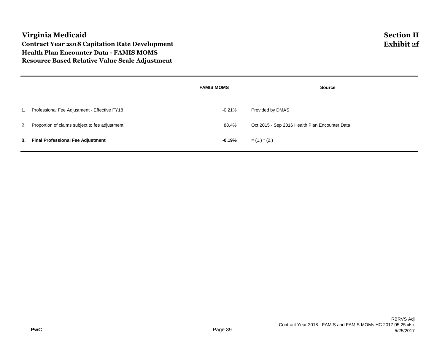## **Virginia Medicaid Section II Contract Year 2018 Capitation Rate Development Exhibit 2f Health Plan Encounter Data - FAMIS MOMS Resource Based Relative Value Scale Adjustment**

|                                                   | <b>FAMIS MOMS</b> | <b>Source</b>                                  |
|---------------------------------------------------|-------------------|------------------------------------------------|
| Professional Fee Adjustment - Effective FY18      | -0.21%            | Provided by DMAS                               |
| 2. Proportion of claims subject to fee adjustment | 88.4%             | Oct 2015 - Sep 2016 Health Plan Encounter Data |
| 3. Final Professional Fee Adjustment              | -0.19%            | $=$ (1.) $*$ (2.)                              |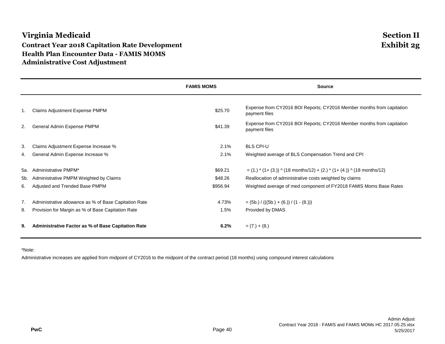# **Virginia Medicaid Section II Contract Year 2018 Capitation Rate Development Exhibit 2g Health Plan Encounter Data - FAMIS MOMS Administrative Cost Adjustment**

|     |                                                           | <b>FAMIS MOMS</b> | <b>Source</b>                                                                          |
|-----|-----------------------------------------------------------|-------------------|----------------------------------------------------------------------------------------|
|     |                                                           |                   |                                                                                        |
| -1. | <b>Claims Adjustment Expense PMPM</b>                     | \$25.70           | Expense from CY2016 BOI Reports; CY2016 Member months from capitation<br>payment files |
| 2.  | General Admin Expense PMPM                                | \$41.39           | Expense from CY2016 BOI Reports; CY2016 Member months from capitation<br>payment files |
| 3.  | Claims Adjustment Expense Increase %                      | 2.1%              | <b>BLS CPI-U</b>                                                                       |
| 4.  | General Admin Expense Increase %                          | 2.1%              | Weighted average of BLS Compensation Trend and CPI                                     |
| 5а. | Administrative PMPM*                                      | \$69.21           | $=$ (1.) $*(1+(3.))$ ^ (18 months/12) + (2.) $*(1+(4.))$ ^ (18 months/12)              |
| 5b. | Administrative PMPM Weighted by Claims                    | \$48.26           | Reallocation of administrative costs weighted by claims                                |
| 6.  | Adjusted and Trended Base PMPM                            | \$956.94          | Weighted average of med component of FY2018 FAMIS Moms Base Rates                      |
| 7.  | Administrative allowance as % of Base Capitation Rate     | 4.73%             | $=$ (5b.) / (((5b.) + (6.)) / (1 - (8.)))                                              |
| 8.  | Provision for Margin as % of Base Capitation Rate         | 1.5%              | Provided by DMAS                                                                       |
| 9.  | <b>Administrative Factor as % of Base Capitation Rate</b> | 6.2%              | $= (7.) + (8.)$                                                                        |

\*Note:

Administrative increases are applied from midpoint of CY2016 to the midpoint of the contract period (18 months) using compound interest calculations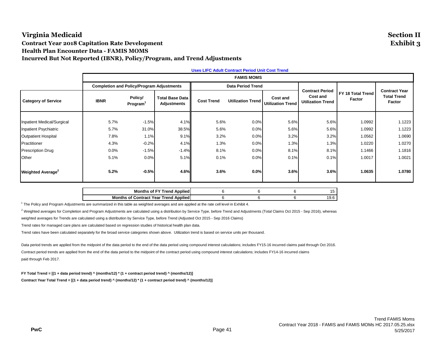## **Virginia Medicaid Section II Contract Year 2018 Capitation Rate Development Exhibit 3 Health Plan Encounter Data - FAMIS MOMS Incurred But Not Reported (IBNR), Policy/Program, and Trend Adjustments**

|                               | <b>Uses LIFC Adult Contract Period Unit Cost Trend</b> |                                                  |                                       |                   |                          |                                      |                                                                |                             |                                                      |  |
|-------------------------------|--------------------------------------------------------|--------------------------------------------------|---------------------------------------|-------------------|--------------------------|--------------------------------------|----------------------------------------------------------------|-----------------------------|------------------------------------------------------|--|
|                               |                                                        | <b>FAMIS MOMS</b>                                |                                       |                   |                          |                                      |                                                                |                             |                                                      |  |
|                               |                                                        | <b>Completion and Policy/Program Adjustments</b> |                                       |                   | <b>Data Period Trend</b> |                                      |                                                                |                             |                                                      |  |
| <b>Category of Service</b>    | <b>IBNR</b>                                            | Policy/<br>Program <sup>1</sup>                  | <b>Total Base Data</b><br>Adjustments | <b>Cost Trend</b> | <b>Utilization Trend</b> | Cost and<br><b>Utilization Trend</b> | <b>Contract Period</b><br>Cost and<br><b>Utilization Trend</b> | FY 18 Total Trend<br>Factor | <b>Contract Year</b><br><b>Total Trend</b><br>Factor |  |
|                               |                                                        |                                                  |                                       |                   |                          |                                      |                                                                |                             |                                                      |  |
| Inpatient Medical/Surgical    | 5.7%                                                   | $-1.5%$                                          | 4.1%                                  | 5.6%              | 0.0%                     | 5.6%                                 | 5.6%                                                           | 1.0992                      | 1.1223                                               |  |
| Inpatient Psychiatric         | 5.7%                                                   | 31.0%                                            | 38.5%                                 | 5.6%              | 0.0%                     | 5.6%                                 | 5.6%                                                           | 1.0992                      | 1.1223                                               |  |
| <b>Outpatient Hospital</b>    | 7.8%                                                   | 1.1%                                             | 9.1%                                  | 3.2%              | 0.0%                     | 3.2%                                 | 3.2%                                                           | 1.0562                      | 1.0690                                               |  |
| Practitioner                  | 4.3%                                                   | $-0.2%$                                          | 4.1%                                  | 1.3%              | 0.0%                     | 1.3%                                 | 1.3%                                                           | 1.0220                      | 1.0270                                               |  |
| Prescription Drug             | 0.0%                                                   | $-1.5%$                                          | $-1.4%$                               | 8.1%              | 0.0%                     | 8.1%                                 | 8.1%                                                           | 1.1466                      | 1.1816                                               |  |
| Other                         | 5.1%                                                   | 0.0%                                             | 5.1%                                  | 0.1%              | 0.0%                     | 0.1%                                 | 0.1%                                                           | 1.0017                      | 1.0021                                               |  |
| Weighted Average <sup>2</sup> | 5.2%                                                   | $-0.5%$                                          | 4.6%                                  | 3.6%              | 0.0%                     | 3.6%                                 | 3.6%                                                           | 1.0635                      | 1.0780                                               |  |

| <b>Months of FY Trend Applied</b>     |  | Ð    |
|---------------------------------------|--|------|
| Months of Contract Year Trend Applied |  | 'Y.O |

 $^1$  The Policy and Program Adjustments are summarized in this table as weighted averages and are applied at the rate cell level in Exhibit 4.

<sup>2</sup> Weighted averages for Completion and Program Adjustments are calculated using a distribution by Service Type, before Trend and Adjustments (Total Claims Oct 2015 - Sep 2016), whereas

weighted averages for Trends are calculated using a distribution by Service Type, before Trend (Adjusted Oct 2015 - Sep 2016 Claims)

Trend rates for managed care plans are calculated based on regression studies of historical health plan data.

Trend rates have been calculated separately for the broad service categories shown above. Utilization trend is based on service units per thousand.

Data period trends are applied from the midpoint of the data period to the end of the data period using compound interest calculations; includes FY15-16 incurred claims paid through Oct 2016. Contract period trends are applied from the end of the data period to the midpoint of the contract period using compound interest calculations; includes FY14-16 incurred claims paid through Feb 2017.

**FY Total Trend = [(1 + data period trend) ^ (months/12) \* (1 + contract period trend) ^ (months/12)]**

**Contract Year Total Trend = [(1 + data period trend) ^ (months/12) \* (1 + contract period trend) ^ (months/12)]**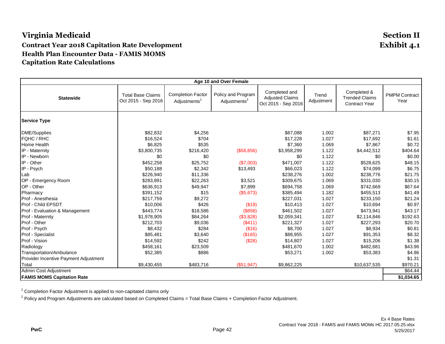# **Virginia Medicaid Section II Contract Year 2018 Capitation Rate Development Exhibit 4.1 Health Plan Encounter Data - FAMIS MOMS Capitation Rate Calculations**

| Age 10 and Over Female                          |                                                 |                                                      |                                                |                                                                |                     |                                                              |                              |  |
|-------------------------------------------------|-------------------------------------------------|------------------------------------------------------|------------------------------------------------|----------------------------------------------------------------|---------------------|--------------------------------------------------------------|------------------------------|--|
| <b>Statewide</b>                                | <b>Total Base Claims</b><br>Oct 2015 - Sep 2016 | <b>Completion Factor</b><br>Adjustments <sup>1</sup> | Policy and Program<br>Adjustments <sup>2</sup> | Completed and<br><b>Adjusted Claims</b><br>Oct 2015 - Sep 2016 | Trend<br>Adjustment | Completed &<br><b>Trended Claims</b><br><b>Contract Year</b> | <b>PMPM Contract</b><br>Year |  |
| <b>Service Type</b>                             |                                                 |                                                      |                                                |                                                                |                     |                                                              |                              |  |
| DME/Supplies                                    | \$82,832                                        | \$4,256                                              |                                                | \$87,088                                                       | 1.002               | \$87,271                                                     | \$7.95                       |  |
| <b>FQHC / RHC</b>                               | \$16,524                                        | \$704                                                |                                                | \$17,228                                                       | 1.027               | \$17,692                                                     | \$1.61                       |  |
| Home Health                                     | \$6,825                                         | \$535                                                |                                                | \$7,360                                                        | 1.069               | \$7,867                                                      | \$0.72                       |  |
| IP - Maternity                                  | \$3,800,735                                     | \$216,420                                            | (\$58,856)                                     | \$3,958,299                                                    | 1.122               | \$4,442,512                                                  | \$404.64                     |  |
| IP - Newborn                                    | \$0                                             | \$0                                                  |                                                | \$0                                                            | 1.122               | \$0                                                          | \$0.00                       |  |
| IP - Other                                      | \$452,258                                       | \$25,752                                             | (\$7,003)                                      | \$471,007                                                      | 1.122               | \$528,625                                                    | \$48.15                      |  |
| IP - Psych                                      | \$50,188                                        | \$2,342                                              | \$13,493                                       | \$66,023                                                       | 1.122               | \$74,099                                                     | \$6.75                       |  |
| Lab                                             | \$226,940                                       | \$11,336                                             |                                                | \$238,276                                                      | 1.002               | \$238,776                                                    | \$21.75                      |  |
| OP - Emergency Room                             | \$283,891                                       | \$22,263                                             | \$3,521                                        | \$309,675                                                      | 1.069               | \$331,030                                                    | \$30.15                      |  |
| OP - Other                                      | \$636,913                                       | \$49,947                                             | \$7,899                                        | \$694,758                                                      | 1.069               | \$742,669                                                    | \$67.64                      |  |
| Pharmacy                                        | \$391,152                                       | \$15                                                 | (\$5,673)                                      | \$385,494                                                      | 1.182               | \$455,513                                                    | \$41.49                      |  |
| Prof - Anesthesia                               | \$217,759                                       | \$9,272                                              |                                                | \$227,031                                                      | 1.027               | \$233,150                                                    | \$21.24                      |  |
| Prof - Child EPSDT                              | \$10,006                                        | \$426                                                | (\$19)                                         | \$10,413                                                       | 1.027               | \$10,694                                                     | \$0.97                       |  |
| Prof - Evaluation & Management                  | \$443,774                                       | \$18,586                                             | (\$858)                                        | \$461,502                                                      | 1.027               | \$473,941                                                    | \$43.17                      |  |
| Prof - Maternity                                | \$1,978,905                                     | \$84,264                                             | (\$3,828)                                      | \$2,059,341                                                    | 1.027               | \$2,114,846                                                  | \$192.63                     |  |
| Prof - Other                                    | \$212,703                                       | \$9,036                                              | (S411)                                         | \$221,327                                                      | 1.027               | \$227,293                                                    | \$20.70                      |  |
| Prof - Psych                                    | \$8,432                                         | \$284                                                | (\$16)                                         | \$8,700                                                        | 1.027               | \$8,934                                                      | \$0.81                       |  |
| Prof - Specialist                               | \$85,481                                        | \$3,640                                              | (\$165)                                        | \$88,955                                                       | 1.027               | \$91,353                                                     | \$8.32                       |  |
| Prof - Vision                                   | \$14,592                                        | \$242                                                | (\$28)                                         | \$14,807                                                       | 1.027               | \$15,206                                                     | \$1.38                       |  |
| Radiology                                       | \$458,161                                       | \$23,509                                             |                                                | \$481,670                                                      | 1.002               | \$482,681                                                    | \$43.96                      |  |
| Transportation/Ambulance                        | \$52,385                                        | \$886                                                |                                                | \$53,271                                                       | 1.002               | \$53,383                                                     | \$4.86                       |  |
| Provider Incentive Payment Adjustment           |                                                 |                                                      |                                                |                                                                |                     |                                                              | \$1.31                       |  |
| Total                                           | \$9,430,455                                     | \$483,716                                            | (\$51,947)                                     | \$9,862,225                                                    |                     | \$10,637,535                                                 | \$970.21                     |  |
| Admin Cost Adjustment<br>\$64.44                |                                                 |                                                      |                                                |                                                                |                     |                                                              |                              |  |
| <b>FAMIS MOMS Capitation Rate</b><br>\$1,034.65 |                                                 |                                                      |                                                |                                                                |                     |                                                              |                              |  |

<sup>1</sup> Completion Factor Adjustment is applied to non-capitated claims only

 $^2$  Policy and Program Adjustments are calculated based on Completed Claims = Total Base Claims + Completion Factor Adjustment.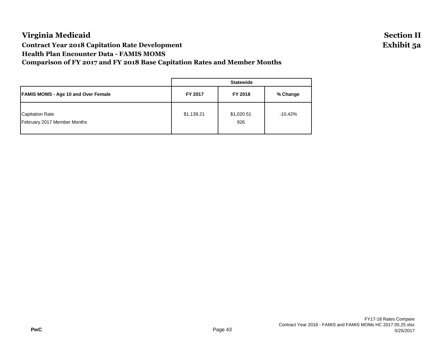# **Virginia Medicaid Section II Contract Year 2018 Capitation Rate Development Exhibit 5a Health Plan Encounter Data - FAMIS MOMS Comparison of FY 2017 and FY 2018 Base Capitation Rates and Member Months**

|                                                       | <b>Statewide</b> |                   |           |  |  |  |
|-------------------------------------------------------|------------------|-------------------|-----------|--|--|--|
| <b>FAMIS MOMS - Age 10 and Over Female</b>            | FY 2017          | FY 2018           | % Change  |  |  |  |
| <b>Capitation Rate</b><br>February 2017 Member Months | \$1,139.21       | \$1,020.51<br>926 | $-10.42%$ |  |  |  |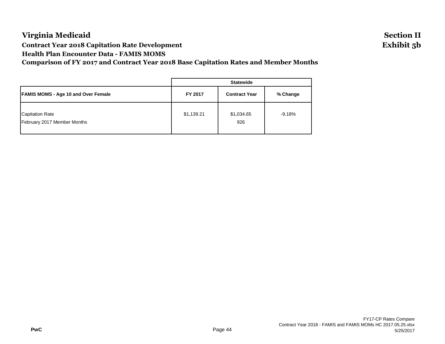# **Virginia Medicaid Section II Contract Year 2018 Capitation Rate Development Exhibit 5b Health Plan Encounter Data - FAMIS MOMS Comparison of FY 2017 and Contract Year 2018 Base Capitation Rates and Member Months**

**Statewide FAMIS MOMS - Age 10 and Over Female FY 2017 Contract Year % Change** Capitation Rate **19.18% Capitation Rate** 19.18% February 2017 Member Months 926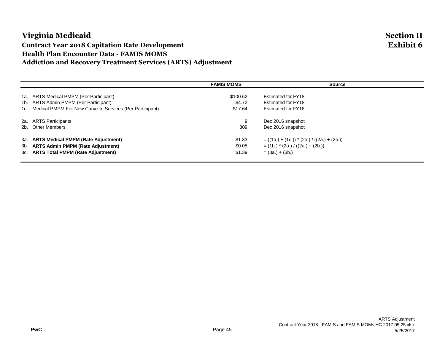# **Virginia Medicaid Section II Contract Year 2018 Capitation Rate Development Exhibit 6 Health Plan Encounter Data - FAMIS MOMS Addiction and Recovery Treatment Services (ARTS) Adjustment**

# **FAMIS MOMS Source** 1a. ARTS Medical PMPM (Per Participant) \$100.62 Estimated for FY18 1b. ARTS Admin PMPM (Per Participant) \$4.72 Estimated for FY18 1c. Medical PMPM For New Carve-In Services (Per Participant) \$17.64 Estimated for FY18 2a. ARTS Participants 9 Dec 2016 snapshot 2b. Other Members 809 Dec 2016 snapshot 3a. **ARTS Medical PMPM (Rate Adjustment)** \$1.33 = ((1a.) + (1c.)) \* (2a.) / ((2a.) + (2b.)) 3b. **ARTS Admin PMPM (Rate Adjustment)** \$0.05 = (1b.) \* (2a.) / ((2a.) + (2b.)) 3c. **ARTS Total PMPM (Rate Adjustment)** \$1.39 = (3a.) + (3b.)